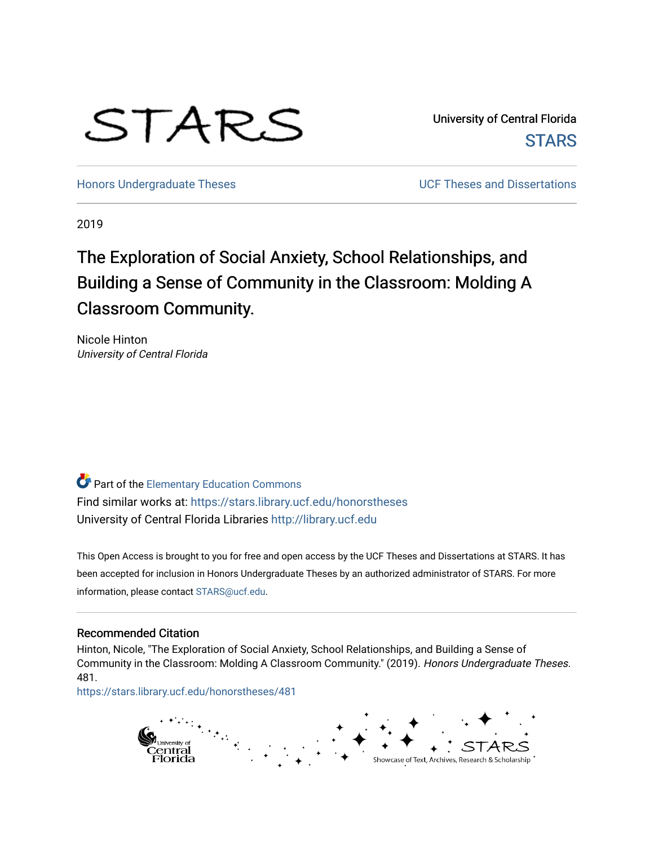# STARS

University of Central Florida **STARS** 

[Honors Undergraduate Theses](https://stars.library.ucf.edu/honorstheses) **No. 2018** UCF Theses and Dissertations

2019

## The Exploration of Social Anxiety, School Relationships, and Building a Sense of Community in the Classroom: Molding A Classroom Community.

Nicole Hinton University of Central Florida

Part of the [Elementary Education Commons](http://network.bepress.com/hgg/discipline/1378?utm_source=stars.library.ucf.edu%2Fhonorstheses%2F481&utm_medium=PDF&utm_campaign=PDFCoverPages)  Find similar works at: <https://stars.library.ucf.edu/honorstheses> University of Central Florida Libraries [http://library.ucf.edu](http://library.ucf.edu/) 

This Open Access is brought to you for free and open access by the UCF Theses and Dissertations at STARS. It has been accepted for inclusion in Honors Undergraduate Theses by an authorized administrator of STARS. For more information, please contact [STARS@ucf.edu.](mailto:STARS@ucf.edu)

#### Recommended Citation

Hinton, Nicole, "The Exploration of Social Anxiety, School Relationships, and Building a Sense of Community in the Classroom: Molding A Classroom Community." (2019). Honors Undergraduate Theses. 481.

[https://stars.library.ucf.edu/honorstheses/481](https://stars.library.ucf.edu/honorstheses/481?utm_source=stars.library.ucf.edu%2Fhonorstheses%2F481&utm_medium=PDF&utm_campaign=PDFCoverPages) 

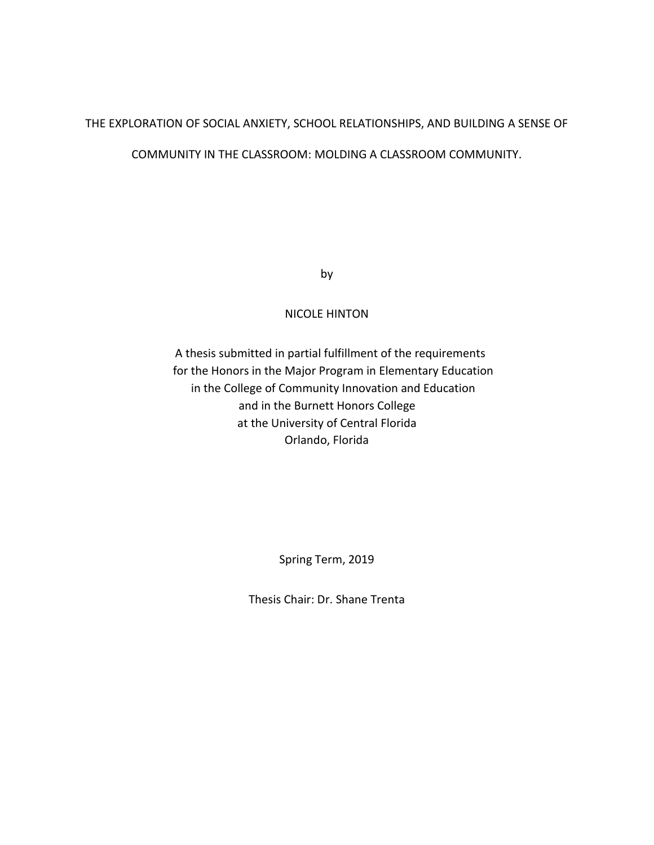#### THE EXPLORATION OF SOCIAL ANXIETY, SCHOOL RELATIONSHIPS, AND BUILDING A SENSE OF

#### COMMUNITY IN THE CLASSROOM: MOLDING A CLASSROOM COMMUNITY.

by

#### NICOLE HINTON

A thesis submitted in partial fulfillment of the requirements for the Honors in the Major Program in Elementary Education in the College of Community Innovation and Education and in the Burnett Honors College at the University of Central Florida Orlando, Florida

Spring Term, 2019

Thesis Chair: Dr. Shane Trenta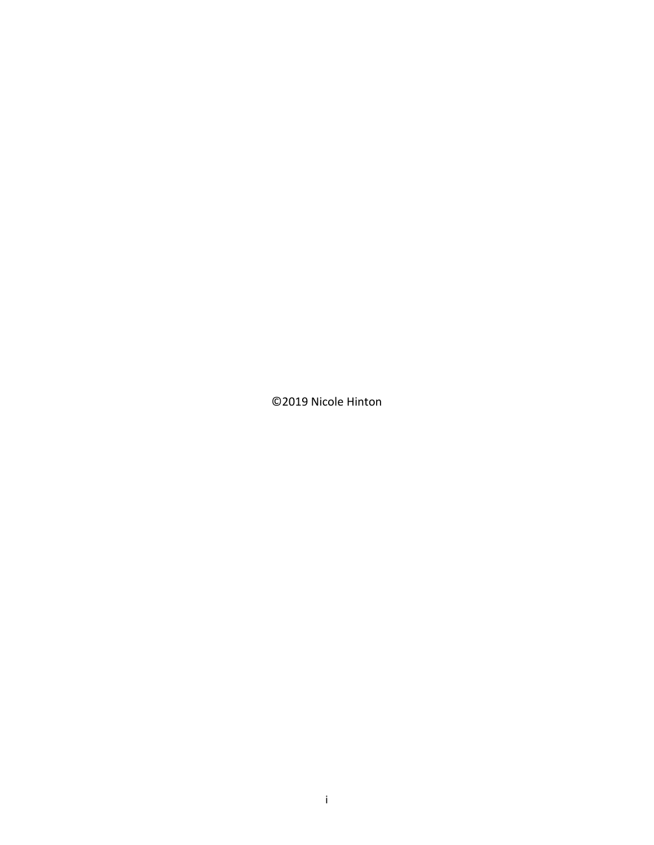©2019 Nicole Hinton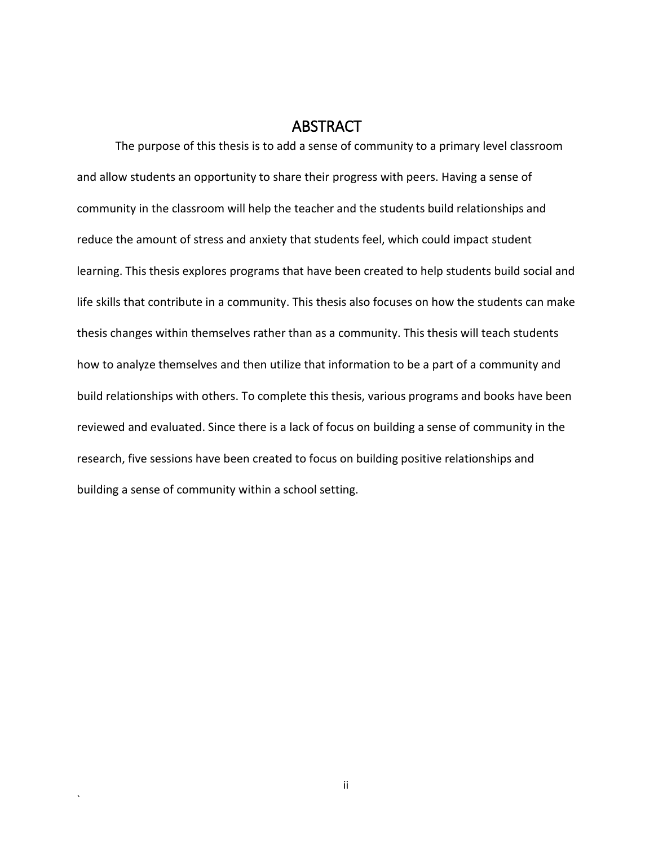#### ABSTRACT

<span id="page-3-0"></span>The purpose of this thesis is to add a sense of community to a primary level classroom and allow students an opportunity to share their progress with peers. Having a sense of community in the classroom will help the teacher and the students build relationships and reduce the amount of stress and anxiety that students feel, which could impact student learning. This thesis explores programs that have been created to help students build social and life skills that contribute in a community. This thesis also focuses on how the students can make thesis changes within themselves rather than as a community. This thesis will teach students how to analyze themselves and then utilize that information to be a part of a community and build relationships with others. To complete this thesis, various programs and books have been reviewed and evaluated. Since there is a lack of focus on building a sense of community in the research, five sessions have been created to focus on building positive relationships and building a sense of community within a school setting.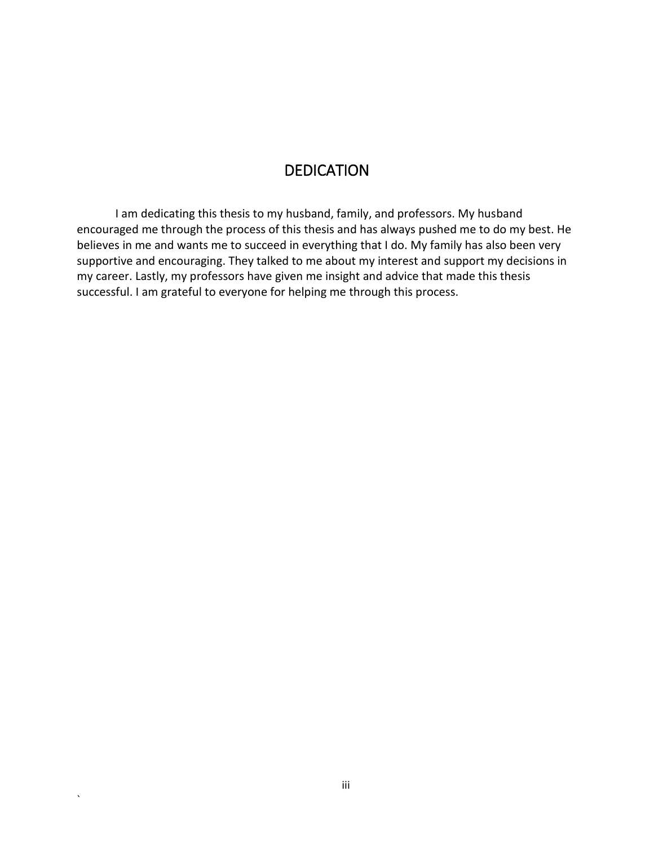## DEDICATION

<span id="page-4-0"></span>I am dedicating this thesis to my husband, family, and professors. My husband encouraged me through the process of this thesis and has always pushed me to do my best. He believes in me and wants me to succeed in everything that I do. My family has also been very supportive and encouraging. They talked to me about my interest and support my decisions in my career. Lastly, my professors have given me insight and advice that made this thesis successful. I am grateful to everyone for helping me through this process.

 $\overline{\phantom{a}}$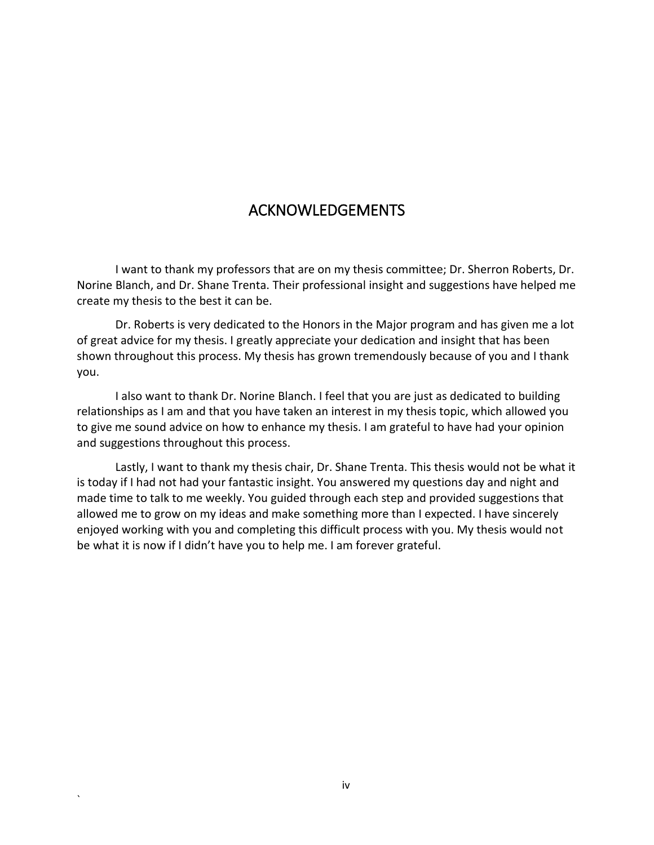## ACKNOWLEDGEMENTS

<span id="page-5-0"></span>I want to thank my professors that are on my thesis committee; Dr. Sherron Roberts, Dr. Norine Blanch, and Dr. Shane Trenta. Their professional insight and suggestions have helped me create my thesis to the best it can be.

Dr. Roberts is very dedicated to the Honors in the Major program and has given me a lot of great advice for my thesis. I greatly appreciate your dedication and insight that has been shown throughout this process. My thesis has grown tremendously because of you and I thank you.

I also want to thank Dr. Norine Blanch. I feel that you are just as dedicated to building relationships as I am and that you have taken an interest in my thesis topic, which allowed you to give me sound advice on how to enhance my thesis. I am grateful to have had your opinion and suggestions throughout this process.

Lastly, I want to thank my thesis chair, Dr. Shane Trenta. This thesis would not be what it is today if I had not had your fantastic insight. You answered my questions day and night and made time to talk to me weekly. You guided through each step and provided suggestions that allowed me to grow on my ideas and make something more than I expected. I have sincerely enjoyed working with you and completing this difficult process with you. My thesis would not be what it is now if I didn't have you to help me. I am forever grateful.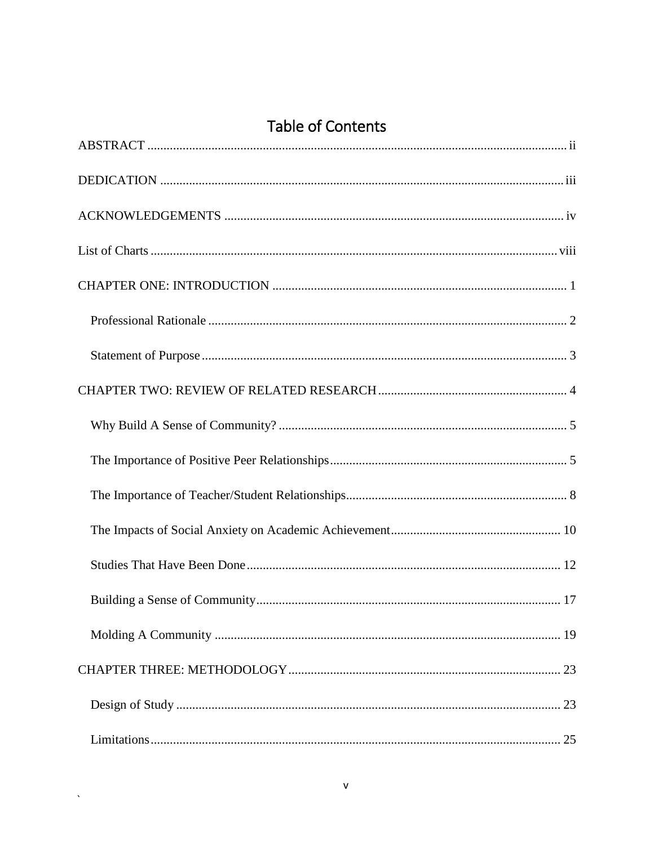## **Table of Contents**

 $\hat{\mathbf{v}}$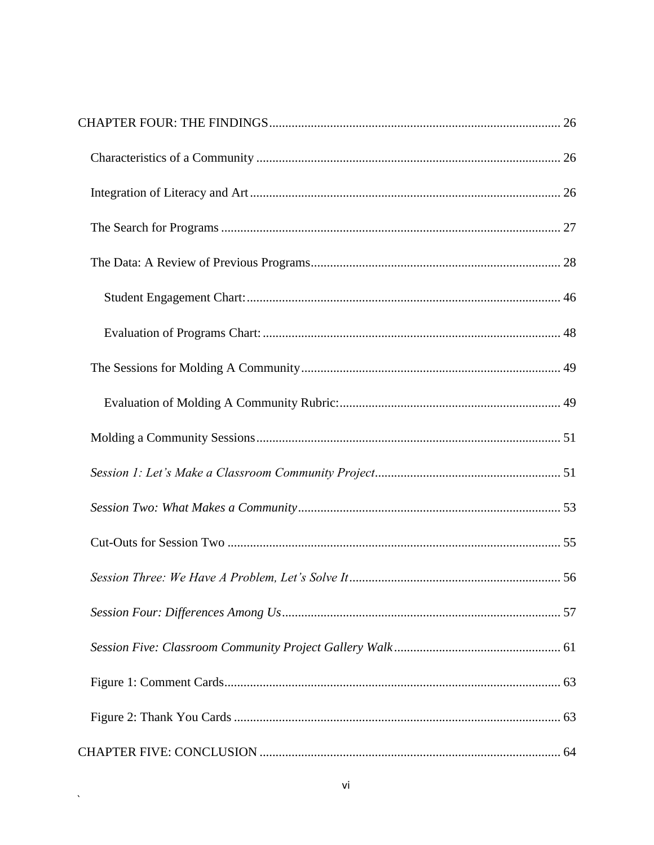$\sim 10^{-10}$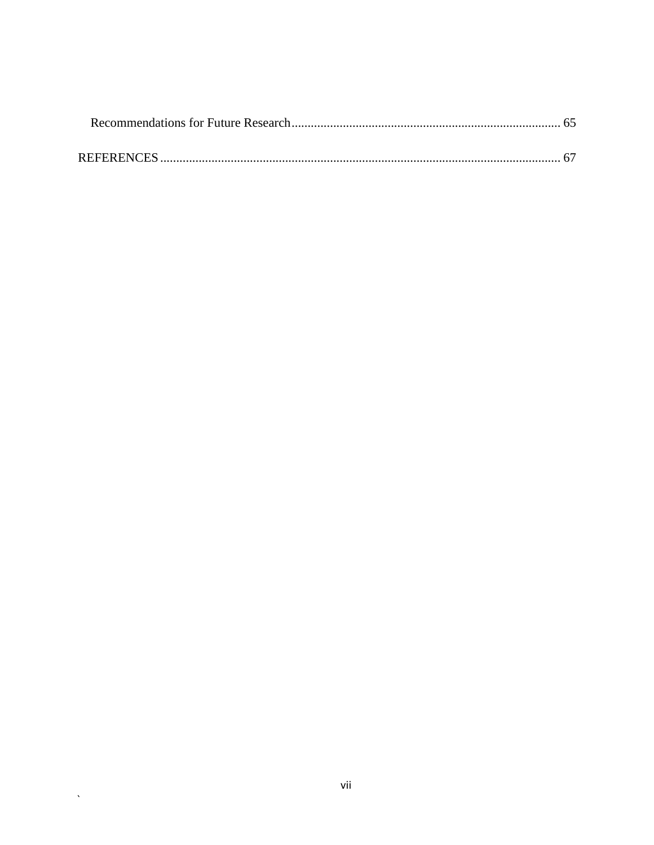$\langle \mathbf{v} \rangle$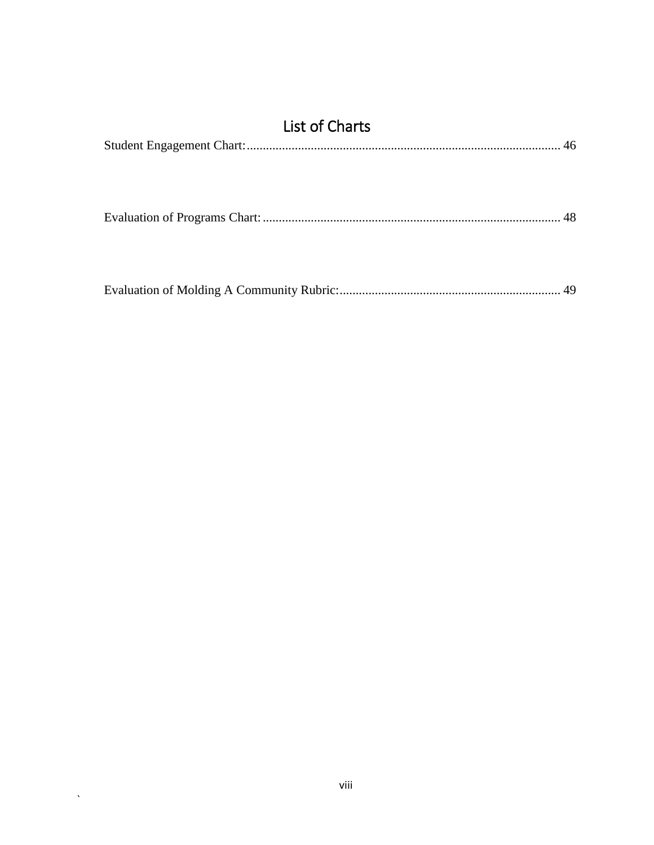<span id="page-9-0"></span>

| <b>List of Charts</b> |  |
|-----------------------|--|
|                       |  |
|                       |  |
|                       |  |
|                       |  |
|                       |  |
|                       |  |
|                       |  |
|                       |  |

 $\hat{\mathbf{v}}$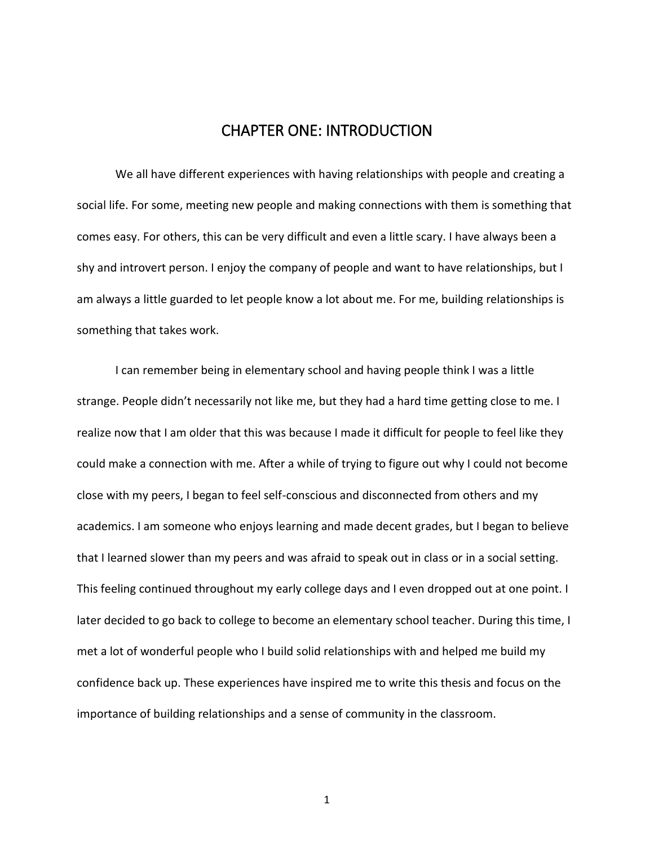## CHAPTER ONE: INTRODUCTION

<span id="page-10-0"></span>We all have different experiences with having relationships with people and creating a social life. For some, meeting new people and making connections with them is something that comes easy. For others, this can be very difficult and even a little scary. I have always been a shy and introvert person. I enjoy the company of people and want to have relationships, but I am always a little guarded to let people know a lot about me. For me, building relationships is something that takes work.

I can remember being in elementary school and having people think I was a little strange. People didn't necessarily not like me, but they had a hard time getting close to me. I realize now that I am older that this was because I made it difficult for people to feel like they could make a connection with me. After a while of trying to figure out why I could not become close with my peers, I began to feel self-conscious and disconnected from others and my academics. I am someone who enjoys learning and made decent grades, but I began to believe that I learned slower than my peers and was afraid to speak out in class or in a social setting. This feeling continued throughout my early college days and I even dropped out at one point. I later decided to go back to college to become an elementary school teacher. During this time, I met a lot of wonderful people who I build solid relationships with and helped me build my confidence back up. These experiences have inspired me to write this thesis and focus on the importance of building relationships and a sense of community in the classroom.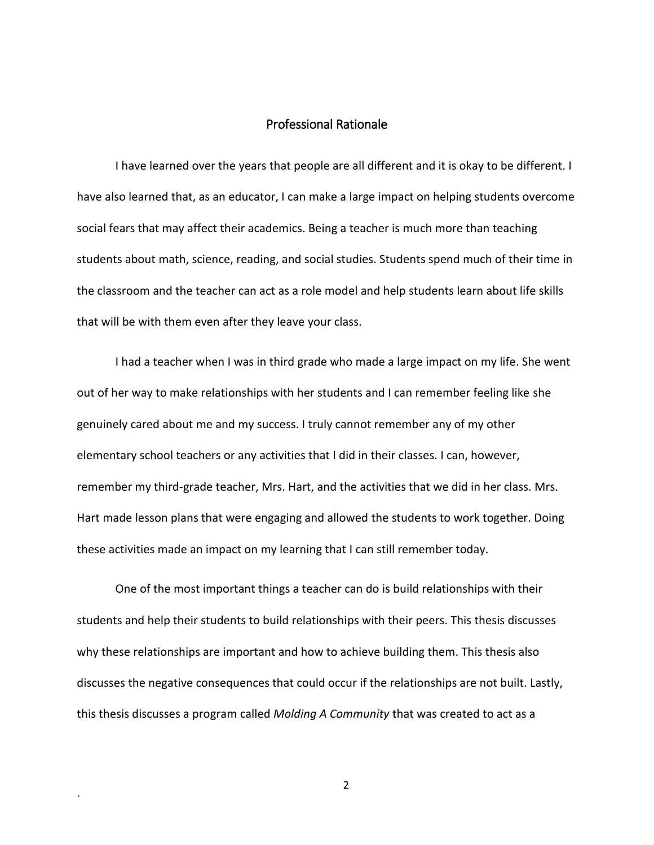#### Professional Rationale

<span id="page-11-0"></span>I have learned over the years that people are all different and it is okay to be different. I have also learned that, as an educator, I can make a large impact on helping students overcome social fears that may affect their academics. Being a teacher is much more than teaching students about math, science, reading, and social studies. Students spend much of their time in the classroom and the teacher can act as a role model and help students learn about life skills that will be with them even after they leave your class.

I had a teacher when I was in third grade who made a large impact on my life. She went out of her way to make relationships with her students and I can remember feeling like she genuinely cared about me and my success. I truly cannot remember any of my other elementary school teachers or any activities that I did in their classes. I can, however, remember my third-grade teacher, Mrs. Hart, and the activities that we did in her class. Mrs. Hart made lesson plans that were engaging and allowed the students to work together. Doing these activities made an impact on my learning that I can still remember today.

One of the most important things a teacher can do is build relationships with their students and help their students to build relationships with their peers. This thesis discusses why these relationships are important and how to achieve building them. This thesis also discusses the negative consequences that could occur if the relationships are not built. Lastly, this thesis discusses a program called *Molding A Community* that was created to act as a

2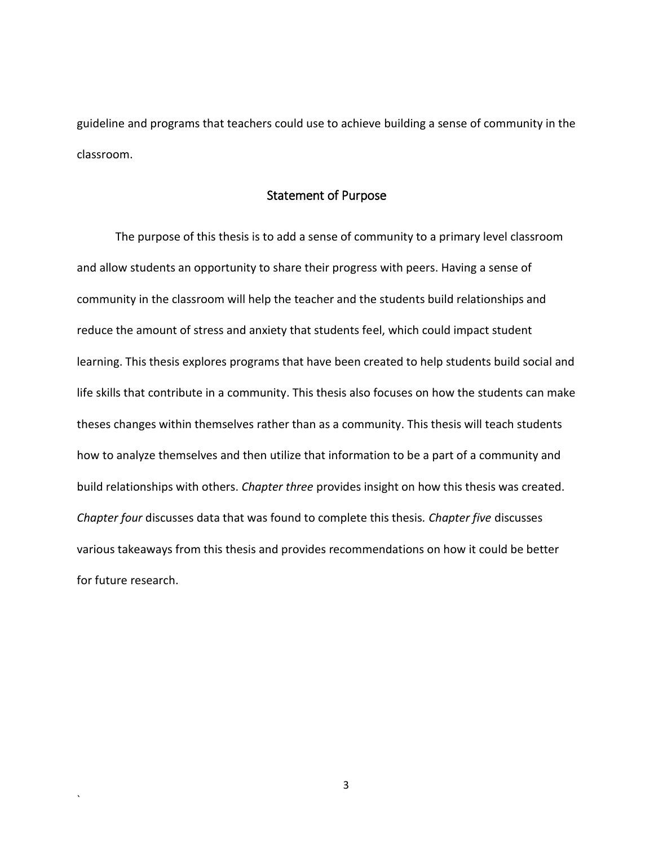guideline and programs that teachers could use to achieve building a sense of community in the classroom.

#### Statement of Purpose

<span id="page-12-0"></span>The purpose of this thesis is to add a sense of community to a primary level classroom and allow students an opportunity to share their progress with peers. Having a sense of community in the classroom will help the teacher and the students build relationships and reduce the amount of stress and anxiety that students feel, which could impact student learning. This thesis explores programs that have been created to help students build social and life skills that contribute in a community. This thesis also focuses on how the students can make theses changes within themselves rather than as a community. This thesis will teach students how to analyze themselves and then utilize that information to be a part of a community and build relationships with others. *Chapter three* provides insight on how this thesis was created. *Chapter four* discusses data that was found to complete this thesis*. Chapter five* discusses various takeaways from this thesis and provides recommendations on how it could be better for future research.

3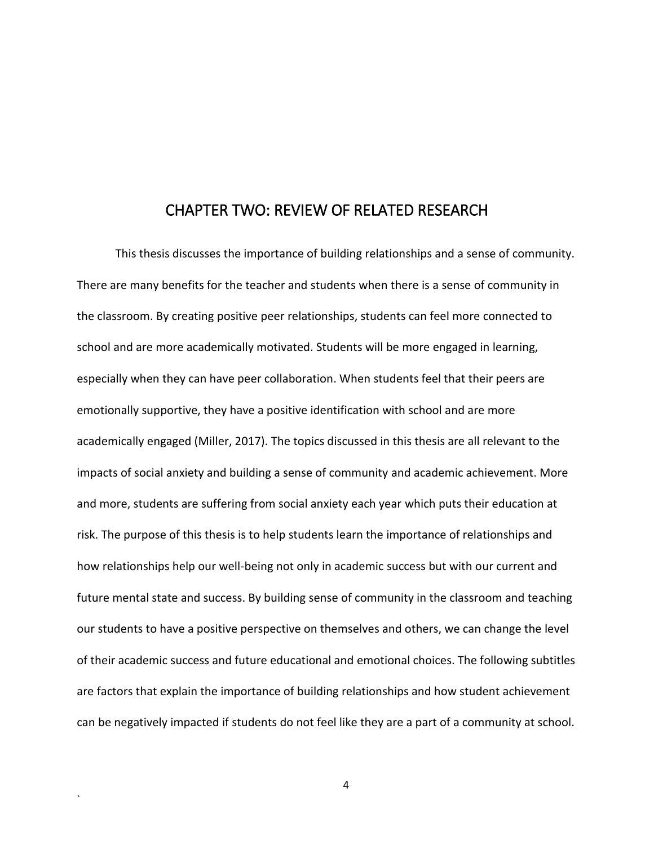### CHAPTER TWO: REVIEW OF RELATED RESEARCH

<span id="page-13-0"></span>This thesis discusses the importance of building relationships and a sense of community. There are many benefits for the teacher and students when there is a sense of community in the classroom. By creating positive peer relationships, students can feel more connected to school and are more academically motivated. Students will be more engaged in learning, especially when they can have peer collaboration. When students feel that their peers are emotionally supportive, they have a positive identification with school and are more academically engaged (Miller, 2017). The topics discussed in this thesis are all relevant to the impacts of social anxiety and building a sense of community and academic achievement. More and more, students are suffering from social anxiety each year which puts their education at risk. The purpose of this thesis is to help students learn the importance of relationships and how relationships help our well-being not only in academic success but with our current and future mental state and success. By building sense of community in the classroom and teaching our students to have a positive perspective on themselves and others, we can change the level of their academic success and future educational and emotional choices. The following subtitles are factors that explain the importance of building relationships and how student achievement can be negatively impacted if students do not feel like they are a part of a community at school.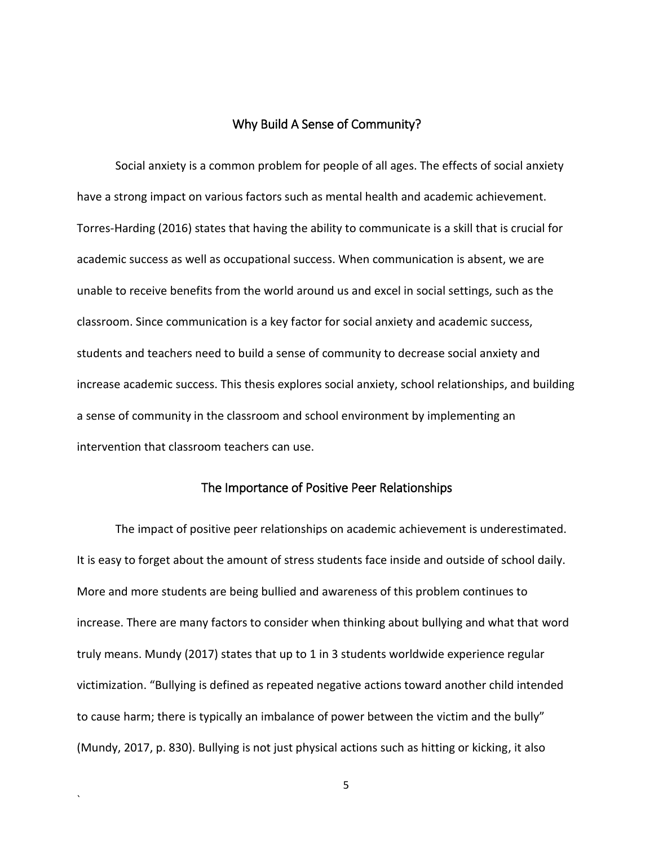#### Why Build A Sense of Community?

<span id="page-14-0"></span>Social anxiety is a common problem for people of all ages. The effects of social anxiety have a strong impact on various factors such as mental health and academic achievement. Torres-Harding (2016) states that having the ability to communicate is a skill that is crucial for academic success as well as occupational success. When communication is absent, we are unable to receive benefits from the world around us and excel in social settings, such as the classroom. Since communication is a key factor for social anxiety and academic success, students and teachers need to build a sense of community to decrease social anxiety and increase academic success. This thesis explores social anxiety, school relationships, and building a sense of community in the classroom and school environment by implementing an intervention that classroom teachers can use.

#### The Importance of Positive Peer Relationships

<span id="page-14-1"></span>The impact of positive peer relationships on academic achievement is underestimated. It is easy to forget about the amount of stress students face inside and outside of school daily. More and more students are being bullied and awareness of this problem continues to increase. There are many factors to consider when thinking about bullying and what that word truly means. Mundy (2017) states that up to 1 in 3 students worldwide experience regular victimization. "Bullying is defined as repeated negative actions toward another child intended to cause harm; there is typically an imbalance of power between the victim and the bully" (Mundy, 2017, p. 830). Bullying is not just physical actions such as hitting or kicking, it also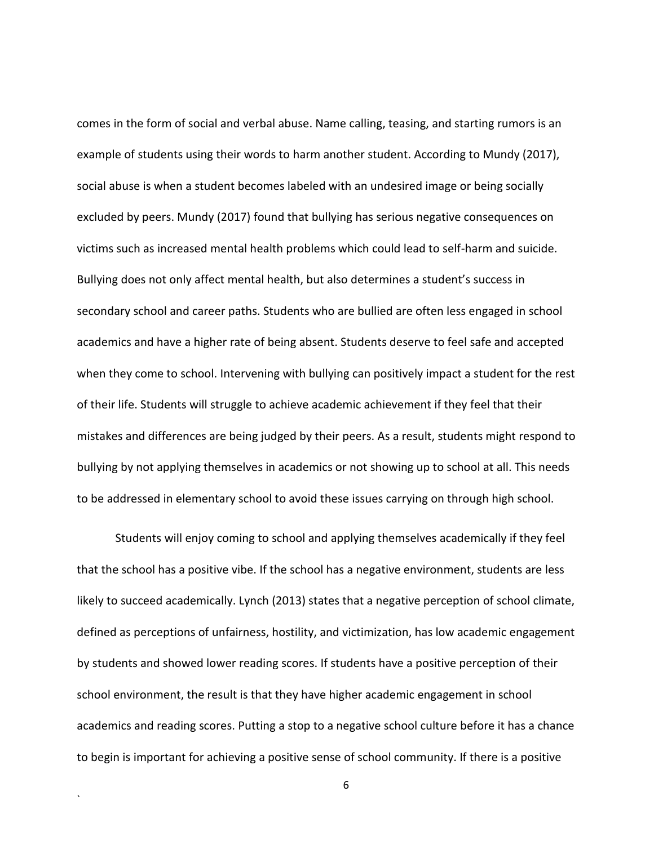comes in the form of social and verbal abuse. Name calling, teasing, and starting rumors is an example of students using their words to harm another student. According to Mundy (2017), social abuse is when a student becomes labeled with an undesired image or being socially excluded by peers. Mundy (2017) found that bullying has serious negative consequences on victims such as increased mental health problems which could lead to self-harm and suicide. Bullying does not only affect mental health, but also determines a student's success in secondary school and career paths. Students who are bullied are often less engaged in school academics and have a higher rate of being absent. Students deserve to feel safe and accepted when they come to school. Intervening with bullying can positively impact a student for the rest of their life. Students will struggle to achieve academic achievement if they feel that their mistakes and differences are being judged by their peers. As a result, students might respond to bullying by not applying themselves in academics or not showing up to school at all. This needs to be addressed in elementary school to avoid these issues carrying on through high school.

Students will enjoy coming to school and applying themselves academically if they feel that the school has a positive vibe. If the school has a negative environment, students are less likely to succeed academically. Lynch (2013) states that a negative perception of school climate, defined as perceptions of unfairness, hostility, and victimization, has low academic engagement by students and showed lower reading scores. If students have a positive perception of their school environment, the result is that they have higher academic engagement in school academics and reading scores. Putting a stop to a negative school culture before it has a chance to begin is important for achieving a positive sense of school community. If there is a positive

6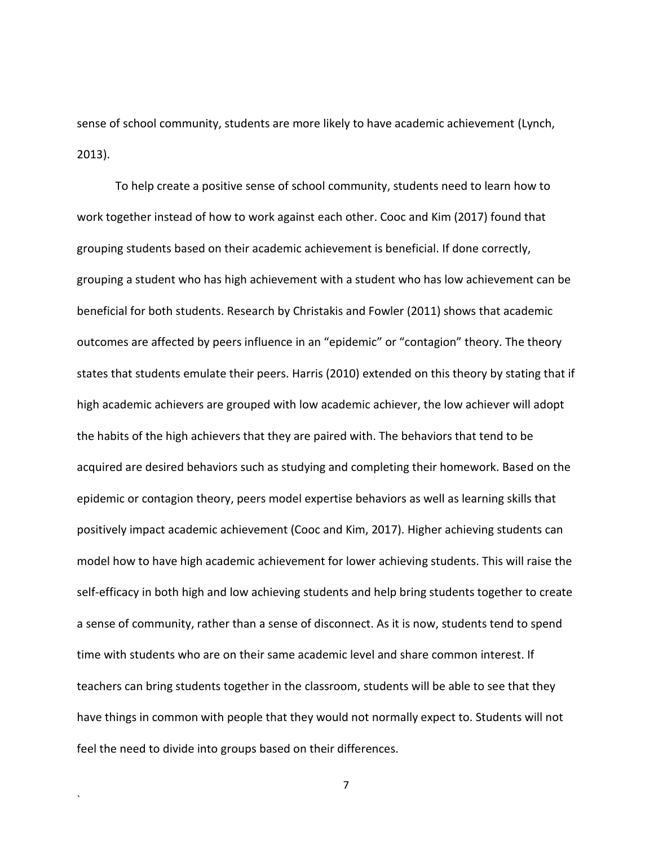sense of school community, students are more likely to have academic achievement (Lynch, 2013).

To help create a positive sense of school community, students need to learn how to work together instead of how to work against each other. Cooc and Kim (2017) found that grouping students based on their academic achievement is beneficial. If done correctly, grouping a student who has high achievement with a student who has low achievement can be beneficial for both students. Research by Christakis and Fowler (2011) shows that academic outcomes are affected by peers influence in an "epidemic" or "contagion" theory. The theory states that students emulate their peers. Harris (2010) extended on this theory by stating that if high academic achievers are grouped with low academic achiever, the low achiever will adopt the habits of the high achievers that they are paired with. The behaviors that tend to be acquired are desired behaviors such as studying and completing their homework. Based on the epidemic or contagion theory, peers model expertise behaviors as well as learning skills that positively impact academic achievement (Cooc and Kim, 2017). Higher achieving students can model how to have high academic achievement for lower achieving students. This will raise the self-efficacy in both high and low achieving students and help bring students together to create a sense of community, rather than a sense of disconnect. As it is now, students tend to spend time with students who are on their same academic level and share common interest. If teachers can bring students together in the classroom, students will be able to see that they have things in common with people that they would not normally expect to. Students will not feel the need to divide into groups based on their differences.

7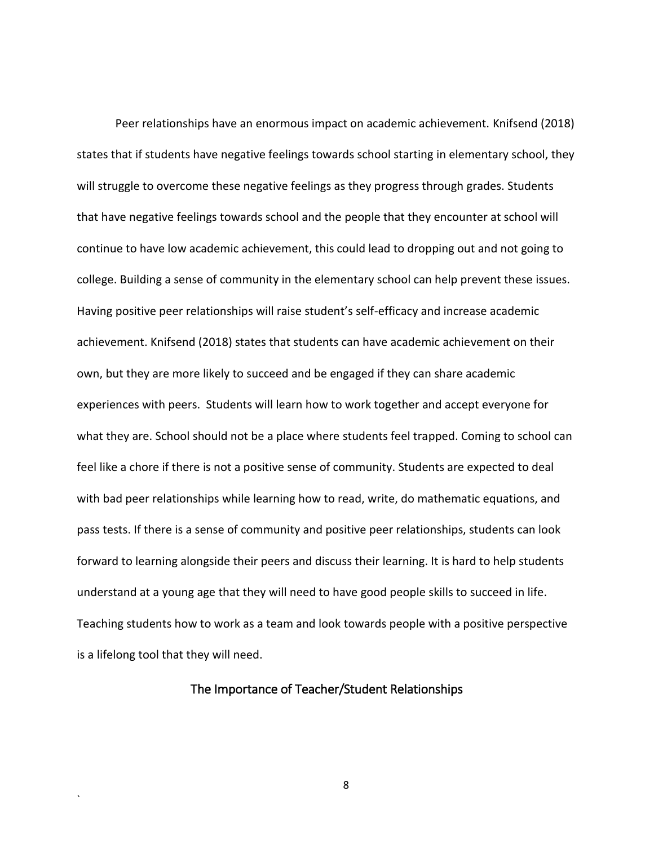Peer relationships have an enormous impact on academic achievement. Knifsend (2018) states that if students have negative feelings towards school starting in elementary school, they will struggle to overcome these negative feelings as they progress through grades. Students that have negative feelings towards school and the people that they encounter at school will continue to have low academic achievement, this could lead to dropping out and not going to college. Building a sense of community in the elementary school can help prevent these issues. Having positive peer relationships will raise student's self-efficacy and increase academic achievement. Knifsend (2018) states that students can have academic achievement on their own, but they are more likely to succeed and be engaged if they can share academic experiences with peers. Students will learn how to work together and accept everyone for what they are. School should not be a place where students feel trapped. Coming to school can feel like a chore if there is not a positive sense of community. Students are expected to deal with bad peer relationships while learning how to read, write, do mathematic equations, and pass tests. If there is a sense of community and positive peer relationships, students can look forward to learning alongside their peers and discuss their learning. It is hard to help students understand at a young age that they will need to have good people skills to succeed in life. Teaching students how to work as a team and look towards people with a positive perspective is a lifelong tool that they will need.

#### <span id="page-17-0"></span>The Importance of Teacher/Student Relationships

`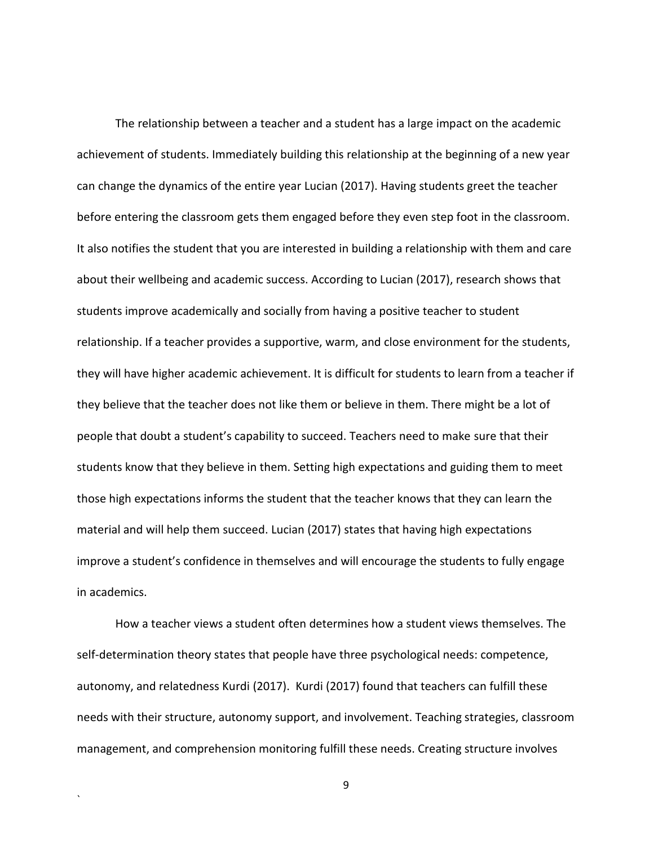The relationship between a teacher and a student has a large impact on the academic achievement of students. Immediately building this relationship at the beginning of a new year can change the dynamics of the entire year Lucian (2017). Having students greet the teacher before entering the classroom gets them engaged before they even step foot in the classroom. It also notifies the student that you are interested in building a relationship with them and care about their wellbeing and academic success. According to Lucian (2017), research shows that students improve academically and socially from having a positive teacher to student relationship. If a teacher provides a supportive, warm, and close environment for the students, they will have higher academic achievement. It is difficult for students to learn from a teacher if they believe that the teacher does not like them or believe in them. There might be a lot of people that doubt a student's capability to succeed. Teachers need to make sure that their students know that they believe in them. Setting high expectations and guiding them to meet those high expectations informs the student that the teacher knows that they can learn the material and will help them succeed. Lucian (2017) states that having high expectations improve a student's confidence in themselves and will encourage the students to fully engage in academics.

How a teacher views a student often determines how a student views themselves. The self-determination theory states that people have three psychological needs: competence, autonomy, and relatedness Kurdi (2017). Kurdi (2017) found that teachers can fulfill these needs with their structure, autonomy support, and involvement. Teaching strategies, classroom management, and comprehension monitoring fulfill these needs. Creating structure involves

`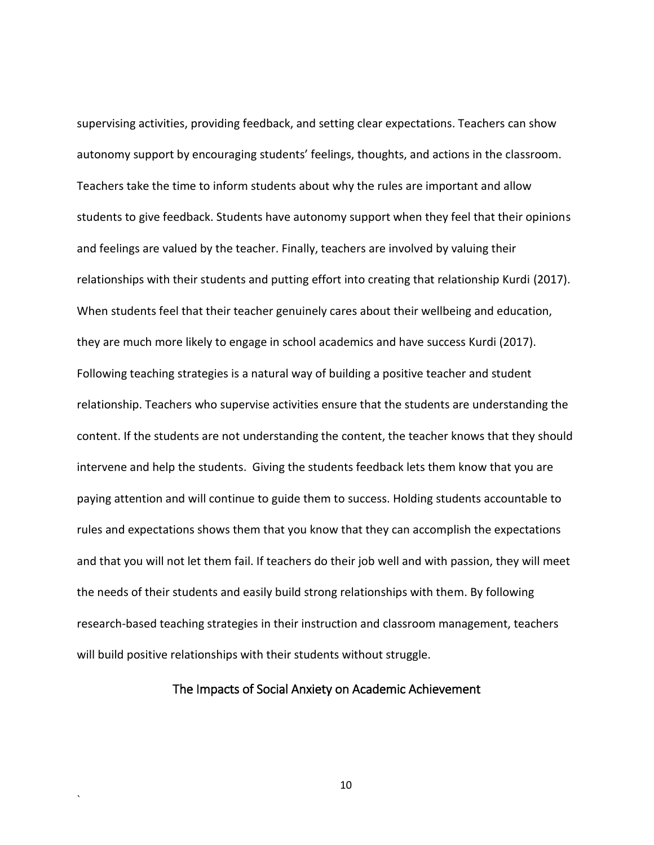supervising activities, providing feedback, and setting clear expectations. Teachers can show autonomy support by encouraging students' feelings, thoughts, and actions in the classroom. Teachers take the time to inform students about why the rules are important and allow students to give feedback. Students have autonomy support when they feel that their opinions and feelings are valued by the teacher. Finally, teachers are involved by valuing their relationships with their students and putting effort into creating that relationship Kurdi (2017). When students feel that their teacher genuinely cares about their wellbeing and education, they are much more likely to engage in school academics and have success Kurdi (2017). Following teaching strategies is a natural way of building a positive teacher and student relationship. Teachers who supervise activities ensure that the students are understanding the content. If the students are not understanding the content, the teacher knows that they should intervene and help the students. Giving the students feedback lets them know that you are paying attention and will continue to guide them to success. Holding students accountable to rules and expectations shows them that you know that they can accomplish the expectations and that you will not let them fail. If teachers do their job well and with passion, they will meet the needs of their students and easily build strong relationships with them. By following research-based teaching strategies in their instruction and classroom management, teachers will build positive relationships with their students without struggle.

#### <span id="page-19-0"></span>The Impacts of Social Anxiety on Academic Achievement

`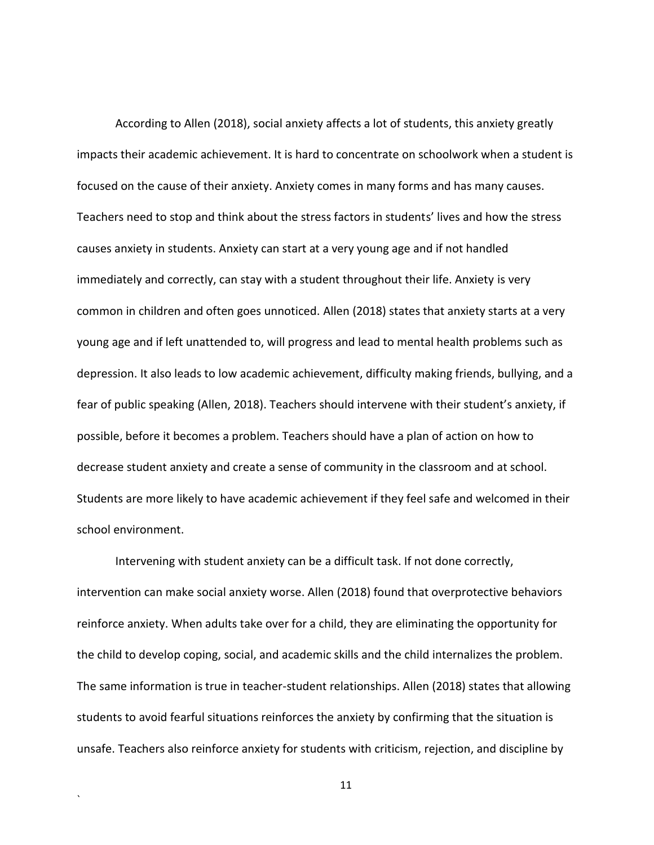According to Allen (2018), social anxiety affects a lot of students, this anxiety greatly impacts their academic achievement. It is hard to concentrate on schoolwork when a student is focused on the cause of their anxiety. Anxiety comes in many forms and has many causes. Teachers need to stop and think about the stress factors in students' lives and how the stress causes anxiety in students. Anxiety can start at a very young age and if not handled immediately and correctly, can stay with a student throughout their life. Anxiety is very common in children and often goes unnoticed. Allen (2018) states that anxiety starts at a very young age and if left unattended to, will progress and lead to mental health problems such as depression. It also leads to low academic achievement, difficulty making friends, bullying, and a fear of public speaking (Allen, 2018). Teachers should intervene with their student's anxiety, if possible, before it becomes a problem. Teachers should have a plan of action on how to decrease student anxiety and create a sense of community in the classroom and at school. Students are more likely to have academic achievement if they feel safe and welcomed in their school environment.

Intervening with student anxiety can be a difficult task. If not done correctly, intervention can make social anxiety worse. Allen (2018) found that overprotective behaviors reinforce anxiety. When adults take over for a child, they are eliminating the opportunity for the child to develop coping, social, and academic skills and the child internalizes the problem. The same information is true in teacher-student relationships. Allen (2018) states that allowing students to avoid fearful situations reinforces the anxiety by confirming that the situation is unsafe. Teachers also reinforce anxiety for students with criticism, rejection, and discipline by

11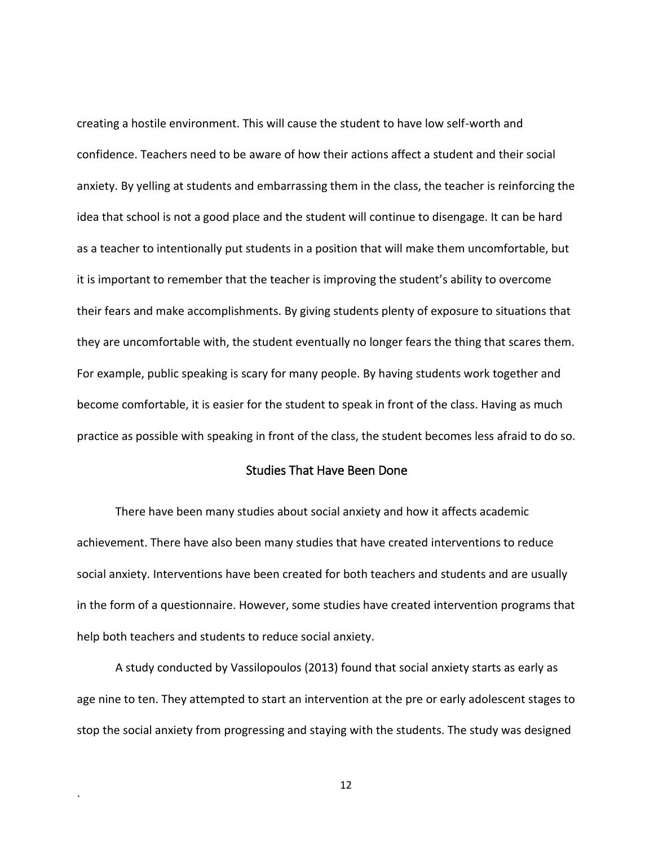creating a hostile environment. This will cause the student to have low self-worth and confidence. Teachers need to be aware of how their actions affect a student and their social anxiety. By yelling at students and embarrassing them in the class, the teacher is reinforcing the idea that school is not a good place and the student will continue to disengage. It can be hard as a teacher to intentionally put students in a position that will make them uncomfortable, but it is important to remember that the teacher is improving the student's ability to overcome their fears and make accomplishments. By giving students plenty of exposure to situations that they are uncomfortable with, the student eventually no longer fears the thing that scares them. For example, public speaking is scary for many people. By having students work together and become comfortable, it is easier for the student to speak in front of the class. Having as much practice as possible with speaking in front of the class, the student becomes less afraid to do so.

#### Studies That Have Been Done

<span id="page-21-0"></span>There have been many studies about social anxiety and how it affects academic achievement. There have also been many studies that have created interventions to reduce social anxiety. Interventions have been created for both teachers and students and are usually in the form of a questionnaire. However, some studies have created intervention programs that help both teachers and students to reduce social anxiety.

A study conducted by Vassilopoulos (2013) found that social anxiety starts as early as age nine to ten. They attempted to start an intervention at the pre or early adolescent stages to stop the social anxiety from progressing and staying with the students. The study was designed

`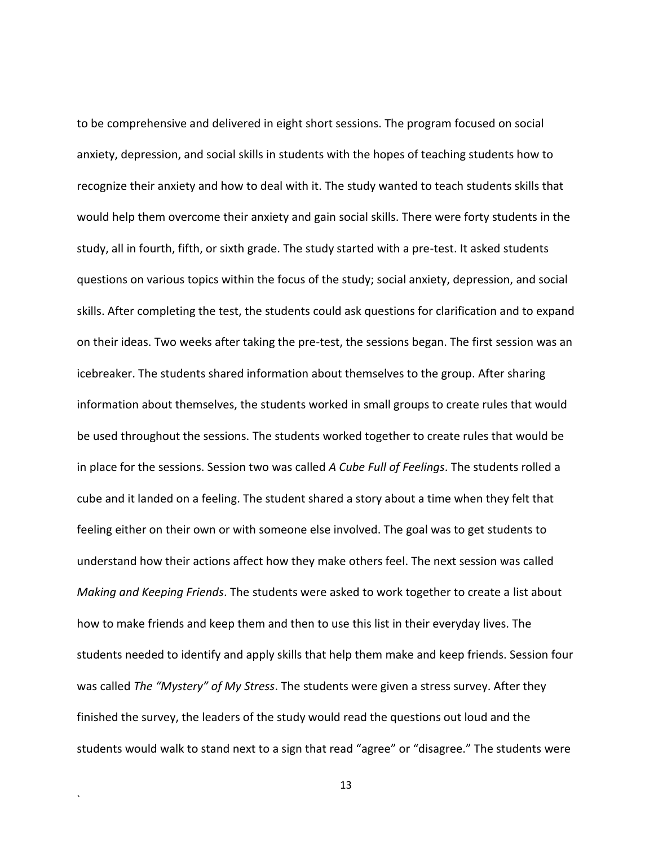to be comprehensive and delivered in eight short sessions. The program focused on social anxiety, depression, and social skills in students with the hopes of teaching students how to recognize their anxiety and how to deal with it. The study wanted to teach students skills that would help them overcome their anxiety and gain social skills. There were forty students in the study, all in fourth, fifth, or sixth grade. The study started with a pre-test. It asked students questions on various topics within the focus of the study; social anxiety, depression, and social skills. After completing the test, the students could ask questions for clarification and to expand on their ideas. Two weeks after taking the pre-test, the sessions began. The first session was an icebreaker. The students shared information about themselves to the group. After sharing information about themselves, the students worked in small groups to create rules that would be used throughout the sessions. The students worked together to create rules that would be in place for the sessions. Session two was called *A Cube Full of Feelings*. The students rolled a cube and it landed on a feeling. The student shared a story about a time when they felt that feeling either on their own or with someone else involved. The goal was to get students to understand how their actions affect how they make others feel. The next session was called *Making and Keeping Friends*. The students were asked to work together to create a list about how to make friends and keep them and then to use this list in their everyday lives. The students needed to identify and apply skills that help them make and keep friends. Session four was called *The "Mystery" of My Stress*. The students were given a stress survey. After they finished the survey, the leaders of the study would read the questions out loud and the students would walk to stand next to a sign that read "agree" or "disagree." The students were

13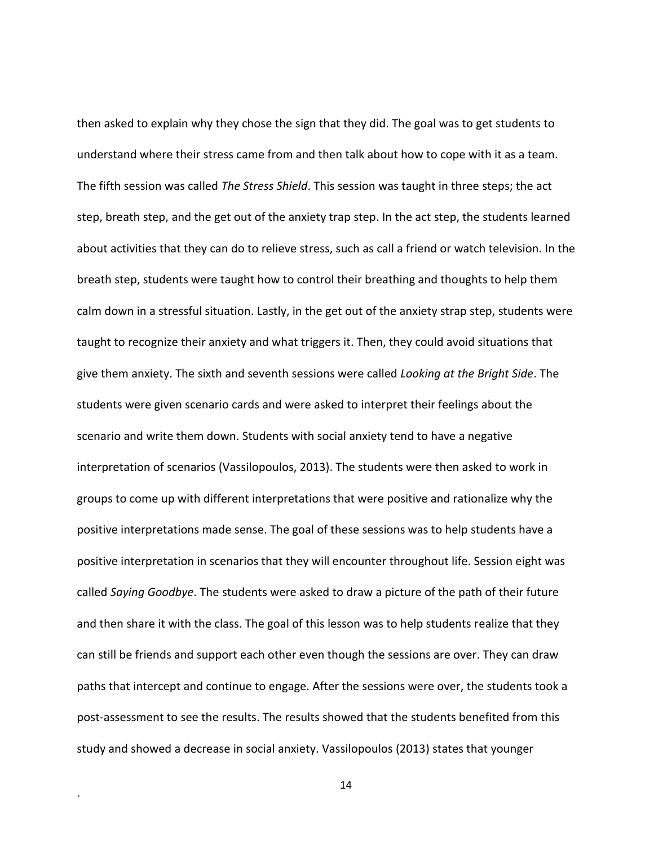then asked to explain why they chose the sign that they did. The goal was to get students to understand where their stress came from and then talk about how to cope with it as a team. The fifth session was called *The Stress Shield*. This session was taught in three steps; the act step, breath step, and the get out of the anxiety trap step. In the act step, the students learned about activities that they can do to relieve stress, such as call a friend or watch television. In the breath step, students were taught how to control their breathing and thoughts to help them calm down in a stressful situation. Lastly, in the get out of the anxiety strap step, students were taught to recognize their anxiety and what triggers it. Then, they could avoid situations that give them anxiety. The sixth and seventh sessions were called *Looking at the Bright Side*. The students were given scenario cards and were asked to interpret their feelings about the scenario and write them down. Students with social anxiety tend to have a negative interpretation of scenarios (Vassilopoulos, 2013). The students were then asked to work in groups to come up with different interpretations that were positive and rationalize why the positive interpretations made sense. The goal of these sessions was to help students have a positive interpretation in scenarios that they will encounter throughout life. Session eight was called *Saying Goodbye*. The students were asked to draw a picture of the path of their future and then share it with the class. The goal of this lesson was to help students realize that they can still be friends and support each other even though the sessions are over. They can draw paths that intercept and continue to engage. After the sessions were over, the students took a post-assessment to see the results. The results showed that the students benefited from this study and showed a decrease in social anxiety. Vassilopoulos (2013) states that younger

14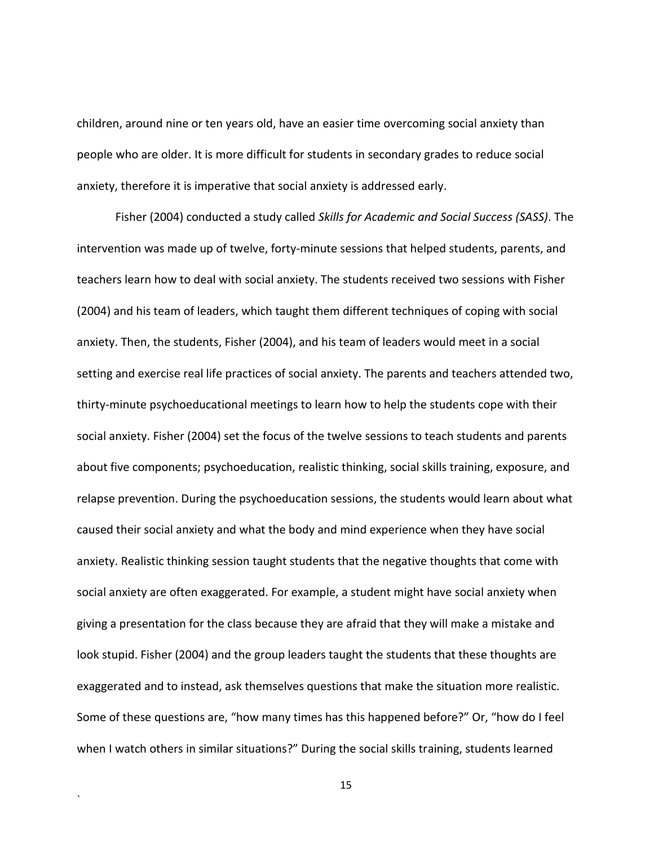children, around nine or ten years old, have an easier time overcoming social anxiety than people who are older. It is more difficult for students in secondary grades to reduce social anxiety, therefore it is imperative that social anxiety is addressed early.

Fisher (2004) conducted a study called *Skills for Academic and Social Success (SASS)*. The intervention was made up of twelve, forty-minute sessions that helped students, parents, and teachers learn how to deal with social anxiety. The students received two sessions with Fisher (2004) and his team of leaders, which taught them different techniques of coping with social anxiety. Then, the students, Fisher (2004), and his team of leaders would meet in a social setting and exercise real life practices of social anxiety. The parents and teachers attended two, thirty-minute psychoeducational meetings to learn how to help the students cope with their social anxiety. Fisher (2004) set the focus of the twelve sessions to teach students and parents about five components; psychoeducation, realistic thinking, social skills training, exposure, and relapse prevention. During the psychoeducation sessions, the students would learn about what caused their social anxiety and what the body and mind experience when they have social anxiety. Realistic thinking session taught students that the negative thoughts that come with social anxiety are often exaggerated. For example, a student might have social anxiety when giving a presentation for the class because they are afraid that they will make a mistake and look stupid. Fisher (2004) and the group leaders taught the students that these thoughts are exaggerated and to instead, ask themselves questions that make the situation more realistic. Some of these questions are, "how many times has this happened before?" Or, "how do I feel when I watch others in similar situations?" During the social skills training, students learned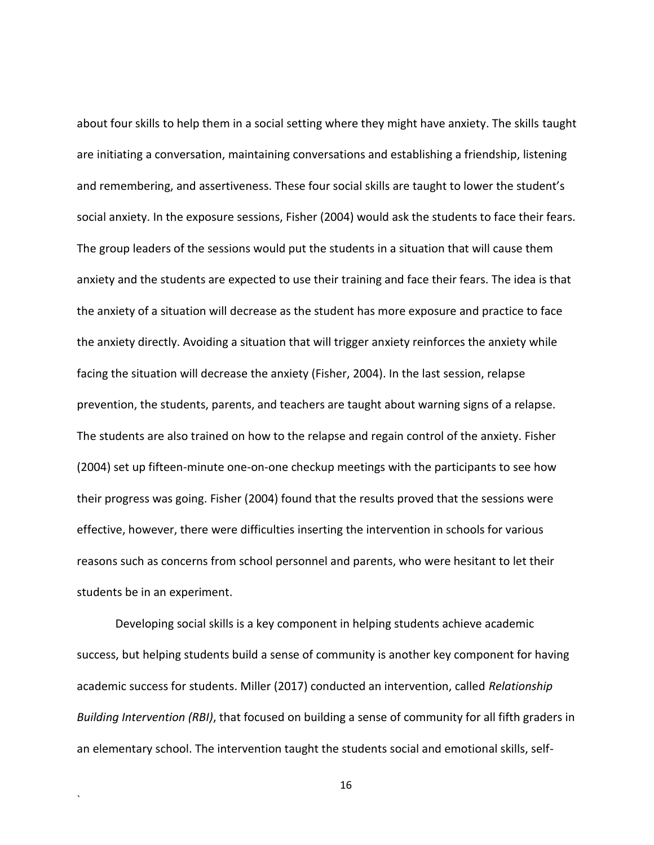about four skills to help them in a social setting where they might have anxiety. The skills taught are initiating a conversation, maintaining conversations and establishing a friendship, listening and remembering, and assertiveness. These four social skills are taught to lower the student's social anxiety. In the exposure sessions, Fisher (2004) would ask the students to face their fears. The group leaders of the sessions would put the students in a situation that will cause them anxiety and the students are expected to use their training and face their fears. The idea is that the anxiety of a situation will decrease as the student has more exposure and practice to face the anxiety directly. Avoiding a situation that will trigger anxiety reinforces the anxiety while facing the situation will decrease the anxiety (Fisher, 2004). In the last session, relapse prevention, the students, parents, and teachers are taught about warning signs of a relapse. The students are also trained on how to the relapse and regain control of the anxiety. Fisher (2004) set up fifteen-minute one-on-one checkup meetings with the participants to see how their progress was going. Fisher (2004) found that the results proved that the sessions were effective, however, there were difficulties inserting the intervention in schools for various reasons such as concerns from school personnel and parents, who were hesitant to let their students be in an experiment.

Developing social skills is a key component in helping students achieve academic success, but helping students build a sense of community is another key component for having academic success for students. Miller (2017) conducted an intervention, called *Relationship Building Intervention (RBI)*, that focused on building a sense of community for all fifth graders in an elementary school. The intervention taught the students social and emotional skills, self-

`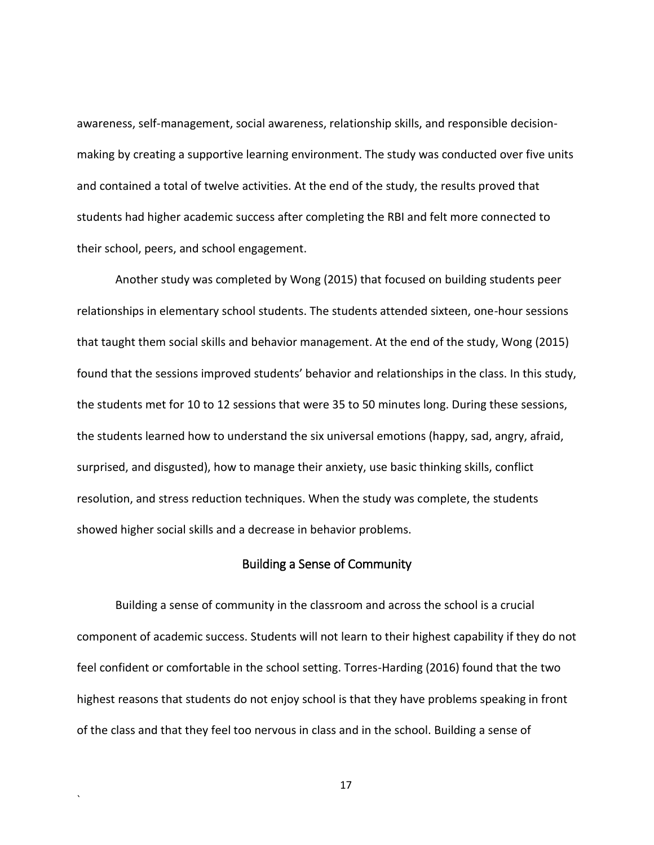awareness, self-management, social awareness, relationship skills, and responsible decisionmaking by creating a supportive learning environment. The study was conducted over five units and contained a total of twelve activities. At the end of the study, the results proved that students had higher academic success after completing the RBI and felt more connected to their school, peers, and school engagement.

Another study was completed by Wong (2015) that focused on building students peer relationships in elementary school students. The students attended sixteen, one-hour sessions that taught them social skills and behavior management. At the end of the study, Wong (2015) found that the sessions improved students' behavior and relationships in the class. In this study, the students met for 10 to 12 sessions that were 35 to 50 minutes long. During these sessions, the students learned how to understand the six universal emotions (happy, sad, angry, afraid, surprised, and disgusted), how to manage their anxiety, use basic thinking skills, conflict resolution, and stress reduction techniques. When the study was complete, the students showed higher social skills and a decrease in behavior problems.

#### Building a Sense of Community

<span id="page-26-0"></span>Building a sense of community in the classroom and across the school is a crucial component of academic success. Students will not learn to their highest capability if they do not feel confident or comfortable in the school setting. Torres-Harding (2016) found that the two highest reasons that students do not enjoy school is that they have problems speaking in front of the class and that they feel too nervous in class and in the school. Building a sense of

17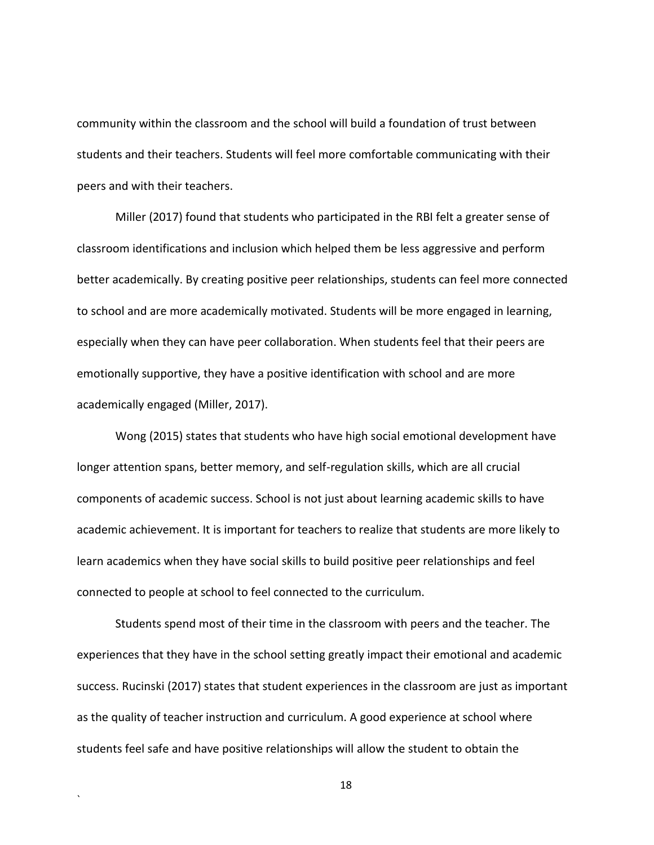community within the classroom and the school will build a foundation of trust between students and their teachers. Students will feel more comfortable communicating with their peers and with their teachers.

Miller (2017) found that students who participated in the RBI felt a greater sense of classroom identifications and inclusion which helped them be less aggressive and perform better academically. By creating positive peer relationships, students can feel more connected to school and are more academically motivated. Students will be more engaged in learning, especially when they can have peer collaboration. When students feel that their peers are emotionally supportive, they have a positive identification with school and are more academically engaged (Miller, 2017).

Wong (2015) states that students who have high social emotional development have longer attention spans, better memory, and self-regulation skills, which are all crucial components of academic success. School is not just about learning academic skills to have academic achievement. It is important for teachers to realize that students are more likely to learn academics when they have social skills to build positive peer relationships and feel connected to people at school to feel connected to the curriculum.

Students spend most of their time in the classroom with peers and the teacher. The experiences that they have in the school setting greatly impact their emotional and academic success. Rucinski (2017) states that student experiences in the classroom are just as important as the quality of teacher instruction and curriculum. A good experience at school where students feel safe and have positive relationships will allow the student to obtain the

`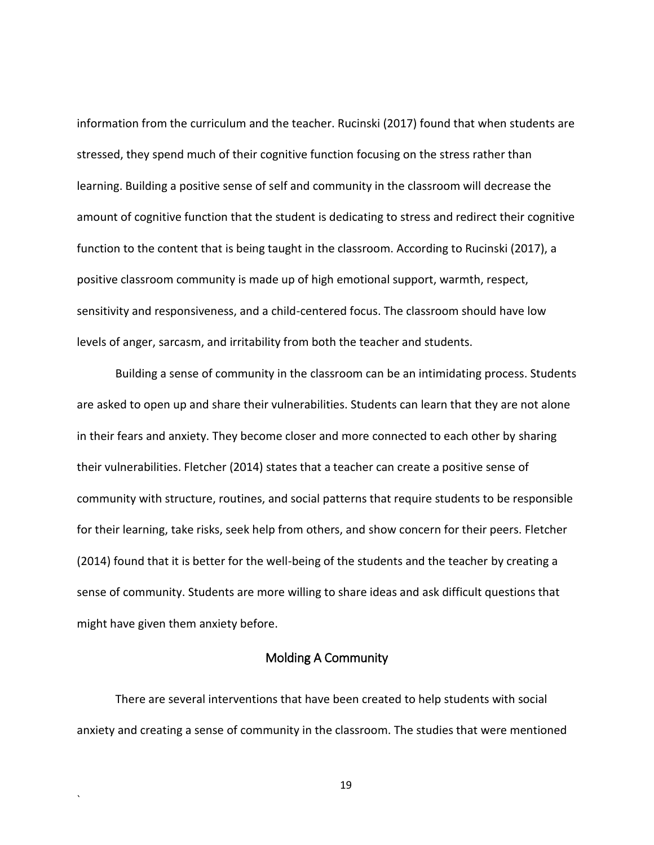information from the curriculum and the teacher. Rucinski (2017) found that when students are stressed, they spend much of their cognitive function focusing on the stress rather than learning. Building a positive sense of self and community in the classroom will decrease the amount of cognitive function that the student is dedicating to stress and redirect their cognitive function to the content that is being taught in the classroom. According to Rucinski (2017), a positive classroom community is made up of high emotional support, warmth, respect, sensitivity and responsiveness, and a child-centered focus. The classroom should have low levels of anger, sarcasm, and irritability from both the teacher and students.

Building a sense of community in the classroom can be an intimidating process. Students are asked to open up and share their vulnerabilities. Students can learn that they are not alone in their fears and anxiety. They become closer and more connected to each other by sharing their vulnerabilities. Fletcher (2014) states that a teacher can create a positive sense of community with structure, routines, and social patterns that require students to be responsible for their learning, take risks, seek help from others, and show concern for their peers. Fletcher (2014) found that it is better for the well-being of the students and the teacher by creating a sense of community. Students are more willing to share ideas and ask difficult questions that might have given them anxiety before.

#### Molding A Community

<span id="page-28-0"></span>There are several interventions that have been created to help students with social anxiety and creating a sense of community in the classroom. The studies that were mentioned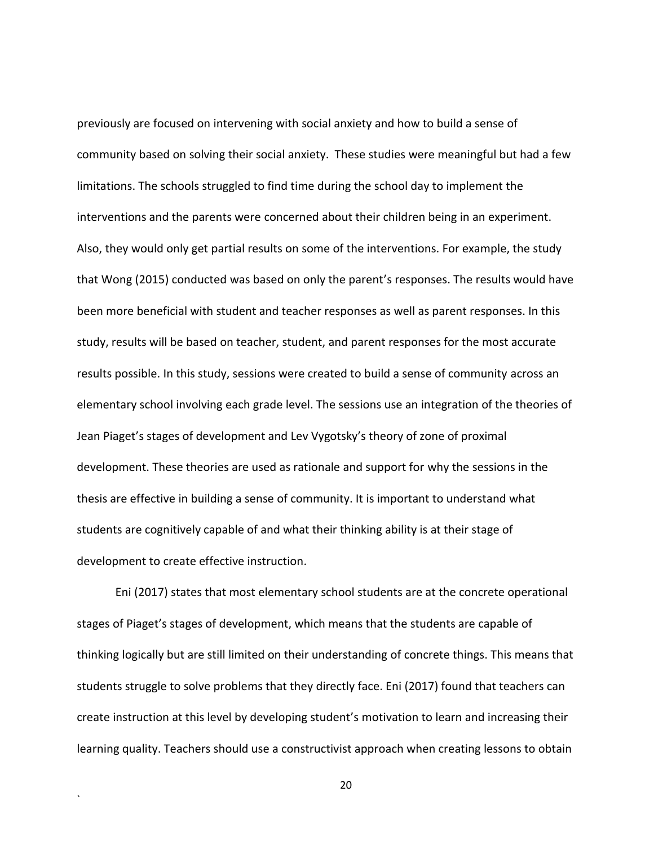previously are focused on intervening with social anxiety and how to build a sense of community based on solving their social anxiety. These studies were meaningful but had a few limitations. The schools struggled to find time during the school day to implement the interventions and the parents were concerned about their children being in an experiment. Also, they would only get partial results on some of the interventions. For example, the study that Wong (2015) conducted was based on only the parent's responses. The results would have been more beneficial with student and teacher responses as well as parent responses. In this study, results will be based on teacher, student, and parent responses for the most accurate results possible. In this study, sessions were created to build a sense of community across an elementary school involving each grade level. The sessions use an integration of the theories of Jean Piaget's stages of development and Lev Vygotsky's theory of zone of proximal development. These theories are used as rationale and support for why the sessions in the thesis are effective in building a sense of community. It is important to understand what students are cognitively capable of and what their thinking ability is at their stage of development to create effective instruction.

Eni (2017) states that most elementary school students are at the concrete operational stages of Piaget's stages of development, which means that the students are capable of thinking logically but are still limited on their understanding of concrete things. This means that students struggle to solve problems that they directly face. Eni (2017) found that teachers can create instruction at this level by developing student's motivation to learn and increasing their learning quality. Teachers should use a constructivist approach when creating lessons to obtain

20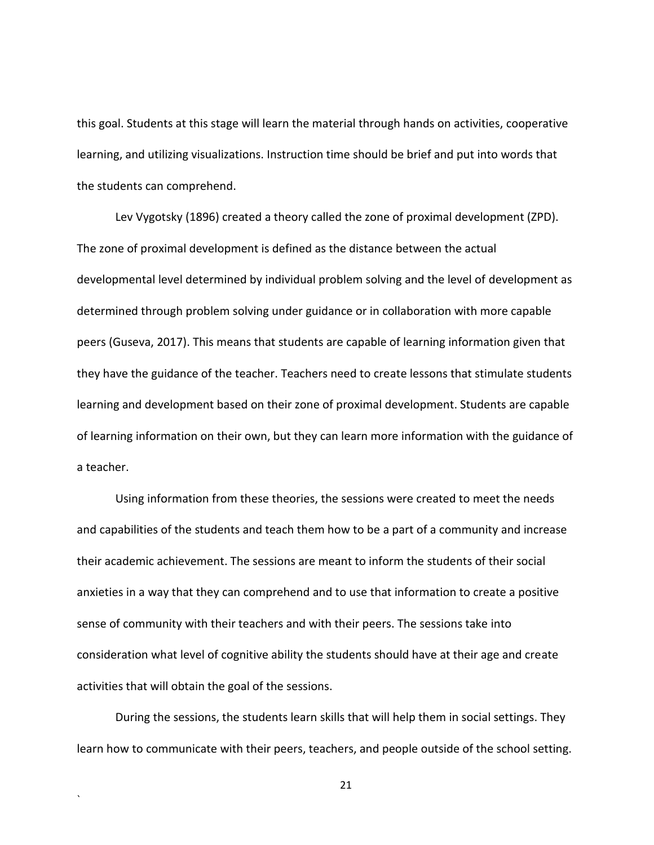this goal. Students at this stage will learn the material through hands on activities, cooperative learning, and utilizing visualizations. Instruction time should be brief and put into words that the students can comprehend.

Lev Vygotsky (1896) created a theory called the zone of proximal development (ZPD). The zone of proximal development is defined as the distance between the actual developmental level determined by individual problem solving and the level of development as determined through problem solving under guidance or in collaboration with more capable peers (Guseva, 2017). This means that students are capable of learning information given that they have the guidance of the teacher. Teachers need to create lessons that stimulate students learning and development based on their zone of proximal development. Students are capable of learning information on their own, but they can learn more information with the guidance of a teacher.

Using information from these theories, the sessions were created to meet the needs and capabilities of the students and teach them how to be a part of a community and increase their academic achievement. The sessions are meant to inform the students of their social anxieties in a way that they can comprehend and to use that information to create a positive sense of community with their teachers and with their peers. The sessions take into consideration what level of cognitive ability the students should have at their age and create activities that will obtain the goal of the sessions.

During the sessions, the students learn skills that will help them in social settings. They learn how to communicate with their peers, teachers, and people outside of the school setting.

`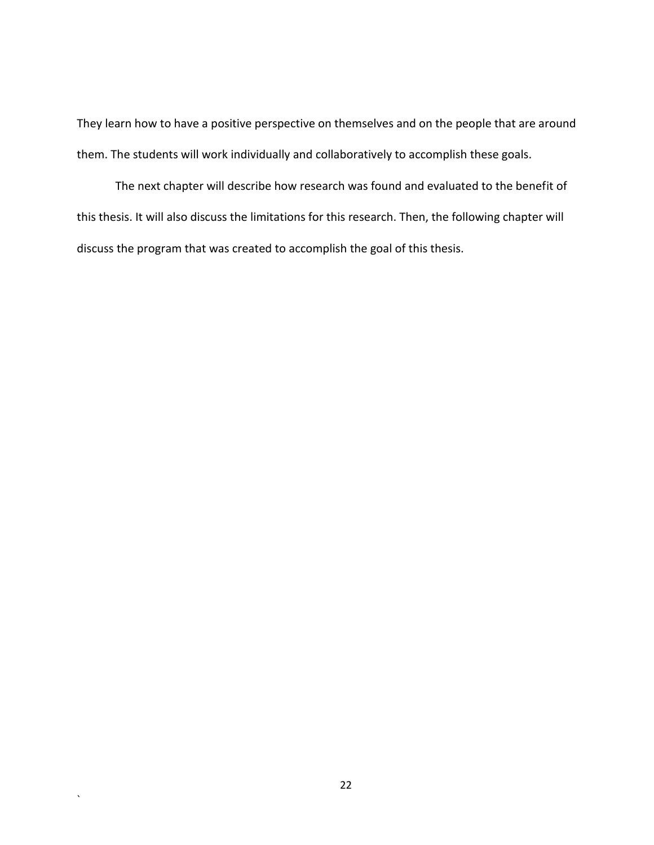They learn how to have a positive perspective on themselves and on the people that are around them. The students will work individually and collaboratively to accomplish these goals.

The next chapter will describe how research was found and evaluated to the benefit of this thesis. It will also discuss the limitations for this research. Then, the following chapter will discuss the program that was created to accomplish the goal of this thesis.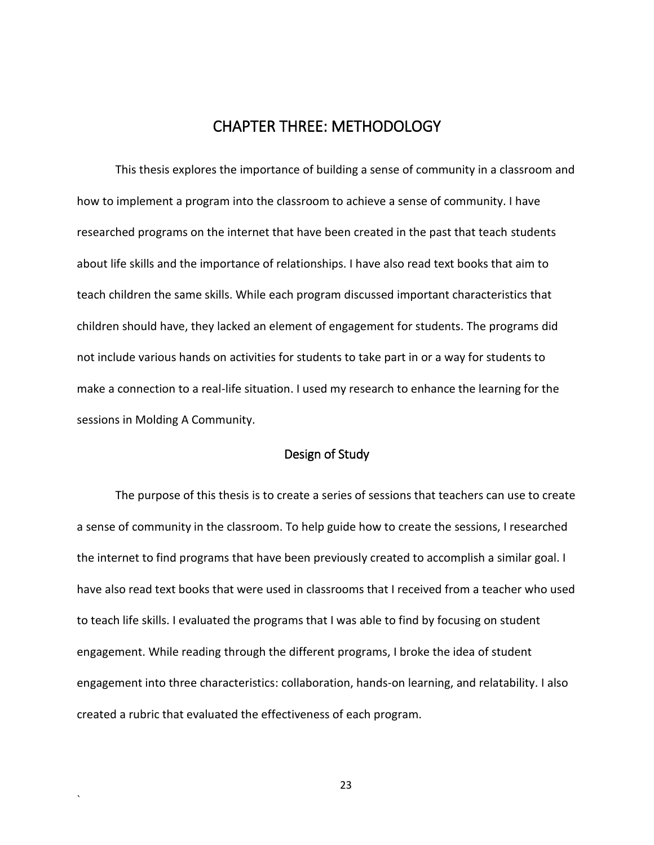## CHAPTER THREE: METHODOLOGY

<span id="page-32-0"></span>This thesis explores the importance of building a sense of community in a classroom and how to implement a program into the classroom to achieve a sense of community. I have researched programs on the internet that have been created in the past that teach students about life skills and the importance of relationships. I have also read text books that aim to teach children the same skills. While each program discussed important characteristics that children should have, they lacked an element of engagement for students. The programs did not include various hands on activities for students to take part in or a way for students to make a connection to a real-life situation. I used my research to enhance the learning for the sessions in Molding A Community.

#### Design of Study

<span id="page-32-1"></span>The purpose of this thesis is to create a series of sessions that teachers can use to create a sense of community in the classroom. To help guide how to create the sessions, I researched the internet to find programs that have been previously created to accomplish a similar goal. I have also read text books that were used in classrooms that I received from a teacher who used to teach life skills. I evaluated the programs that I was able to find by focusing on student engagement. While reading through the different programs, I broke the idea of student engagement into three characteristics: collaboration, hands-on learning, and relatability. I also created a rubric that evaluated the effectiveness of each program.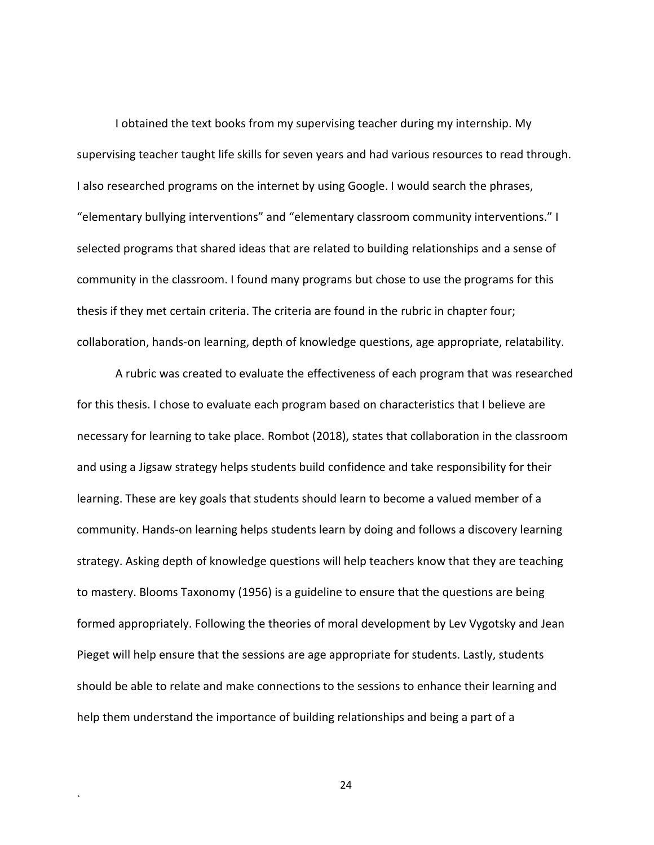I obtained the text books from my supervising teacher during my internship. My supervising teacher taught life skills for seven years and had various resources to read through. I also researched programs on the internet by using Google. I would search the phrases, "elementary bullying interventions" and "elementary classroom community interventions." I selected programs that shared ideas that are related to building relationships and a sense of community in the classroom. I found many programs but chose to use the programs for this thesis if they met certain criteria. The criteria are found in the rubric in chapter four; collaboration, hands-on learning, depth of knowledge questions, age appropriate, relatability.

A rubric was created to evaluate the effectiveness of each program that was researched for this thesis. I chose to evaluate each program based on characteristics that I believe are necessary for learning to take place. Rombot (2018), states that collaboration in the classroom and using a Jigsaw strategy helps students build confidence and take responsibility for their learning. These are key goals that students should learn to become a valued member of a community. Hands-on learning helps students learn by doing and follows a discovery learning strategy. Asking depth of knowledge questions will help teachers know that they are teaching to mastery. Blooms Taxonomy (1956) is a guideline to ensure that the questions are being formed appropriately. Following the theories of moral development by Lev Vygotsky and Jean Pieget will help ensure that the sessions are age appropriate for students. Lastly, students should be able to relate and make connections to the sessions to enhance their learning and help them understand the importance of building relationships and being a part of a

24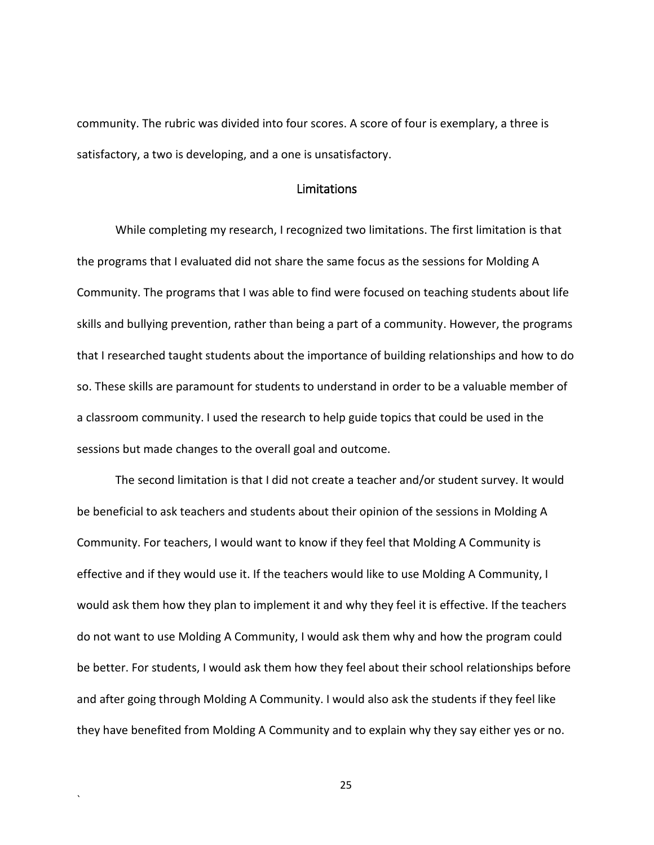community. The rubric was divided into four scores. A score of four is exemplary, a three is satisfactory, a two is developing, and a one is unsatisfactory.

#### Limitations

<span id="page-34-0"></span>While completing my research, I recognized two limitations. The first limitation is that the programs that I evaluated did not share the same focus as the sessions for Molding A Community. The programs that I was able to find were focused on teaching students about life skills and bullying prevention, rather than being a part of a community. However, the programs that I researched taught students about the importance of building relationships and how to do so. These skills are paramount for students to understand in order to be a valuable member of a classroom community. I used the research to help guide topics that could be used in the sessions but made changes to the overall goal and outcome.

The second limitation is that I did not create a teacher and/or student survey. It would be beneficial to ask teachers and students about their opinion of the sessions in Molding A Community. For teachers, I would want to know if they feel that Molding A Community is effective and if they would use it. If the teachers would like to use Molding A Community, I would ask them how they plan to implement it and why they feel it is effective. If the teachers do not want to use Molding A Community, I would ask them why and how the program could be better. For students, I would ask them how they feel about their school relationships before and after going through Molding A Community. I would also ask the students if they feel like they have benefited from Molding A Community and to explain why they say either yes or no.

25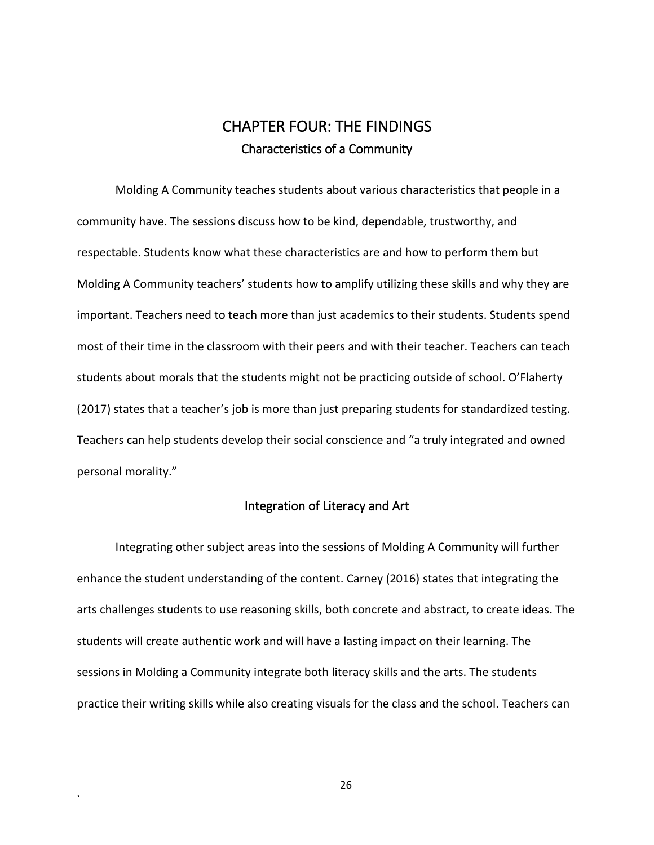## CHAPTER FOUR: THE FINDINGS Characteristics of a Community

<span id="page-35-1"></span><span id="page-35-0"></span>Molding A Community teaches students about various characteristics that people in a community have. The sessions discuss how to be kind, dependable, trustworthy, and respectable. Students know what these characteristics are and how to perform them but Molding A Community teachers' students how to amplify utilizing these skills and why they are important. Teachers need to teach more than just academics to their students. Students spend most of their time in the classroom with their peers and with their teacher. Teachers can teach students about morals that the students might not be practicing outside of school. O'Flaherty (2017) states that a teacher's job is more than just preparing students for standardized testing. Teachers can help students develop their social conscience and "a truly integrated and owned personal morality."

#### Integration of Literacy and Art

<span id="page-35-2"></span>Integrating other subject areas into the sessions of Molding A Community will further enhance the student understanding of the content. Carney (2016) states that integrating the arts challenges students to use reasoning skills, both concrete and abstract, to create ideas. The students will create authentic work and will have a lasting impact on their learning. The sessions in Molding a Community integrate both literacy skills and the arts. The students practice their writing skills while also creating visuals for the class and the school. Teachers can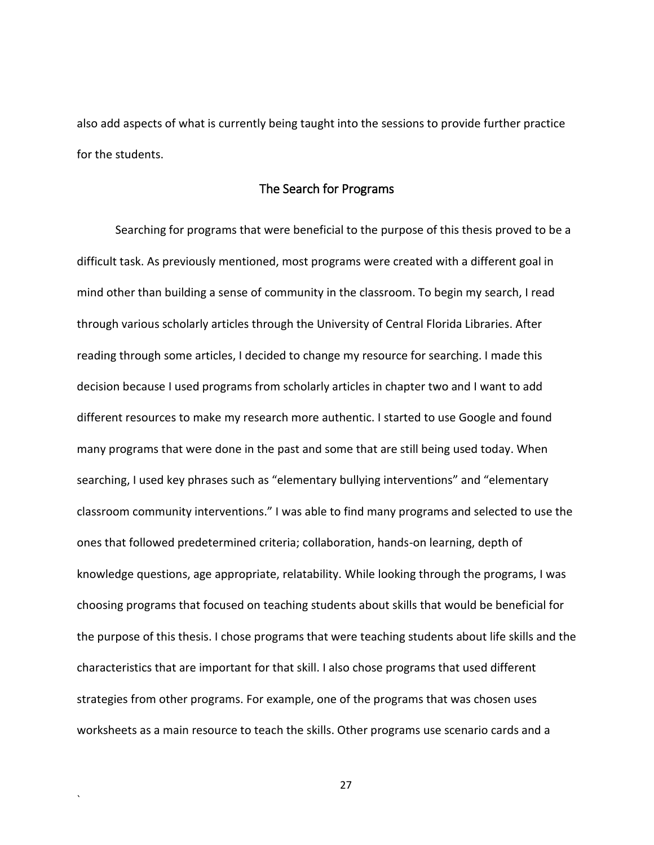also add aspects of what is currently being taught into the sessions to provide further practice for the students.

## The Search for Programs

Searching for programs that were beneficial to the purpose of this thesis proved to be a difficult task. As previously mentioned, most programs were created with a different goal in mind other than building a sense of community in the classroom. To begin my search, I read through various scholarly articles through the University of Central Florida Libraries. After reading through some articles, I decided to change my resource for searching. I made this decision because I used programs from scholarly articles in chapter two and I want to add different resources to make my research more authentic. I started to use Google and found many programs that were done in the past and some that are still being used today. When searching, I used key phrases such as "elementary bullying interventions" and "elementary classroom community interventions." I was able to find many programs and selected to use the ones that followed predetermined criteria; collaboration, hands-on learning, depth of knowledge questions, age appropriate, relatability. While looking through the programs, I was choosing programs that focused on teaching students about skills that would be beneficial for the purpose of this thesis. I chose programs that were teaching students about life skills and the characteristics that are important for that skill. I also chose programs that used different strategies from other programs. For example, one of the programs that was chosen uses worksheets as a main resource to teach the skills. Other programs use scenario cards and a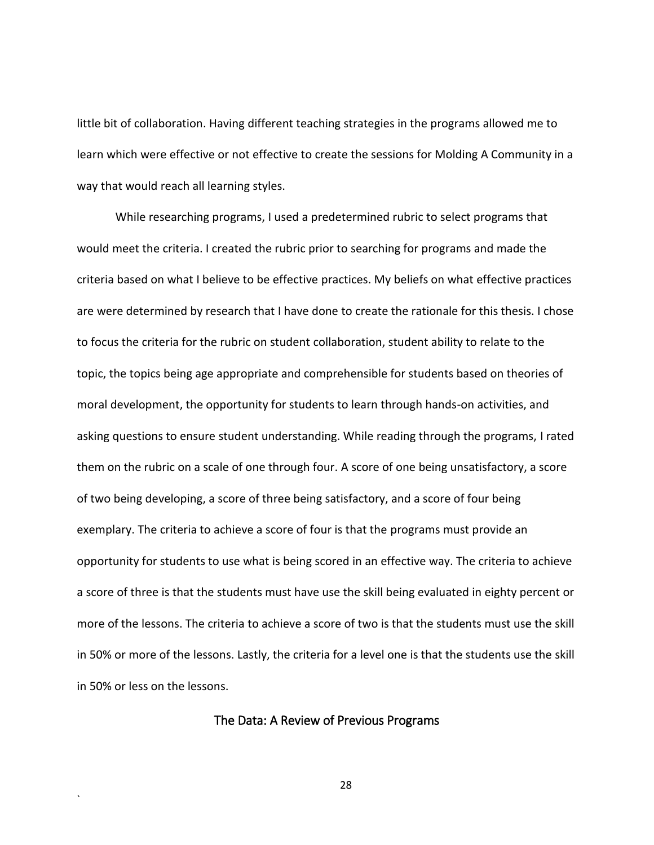little bit of collaboration. Having different teaching strategies in the programs allowed me to learn which were effective or not effective to create the sessions for Molding A Community in a way that would reach all learning styles.

While researching programs, I used a predetermined rubric to select programs that would meet the criteria. I created the rubric prior to searching for programs and made the criteria based on what I believe to be effective practices. My beliefs on what effective practices are were determined by research that I have done to create the rationale for this thesis. I chose to focus the criteria for the rubric on student collaboration, student ability to relate to the topic, the topics being age appropriate and comprehensible for students based on theories of moral development, the opportunity for students to learn through hands-on activities, and asking questions to ensure student understanding. While reading through the programs, I rated them on the rubric on a scale of one through four. A score of one being unsatisfactory, a score of two being developing, a score of three being satisfactory, and a score of four being exemplary. The criteria to achieve a score of four is that the programs must provide an opportunity for students to use what is being scored in an effective way. The criteria to achieve a score of three is that the students must have use the skill being evaluated in eighty percent or more of the lessons. The criteria to achieve a score of two is that the students must use the skill in 50% or more of the lessons. Lastly, the criteria for a level one is that the students use the skill in 50% or less on the lessons.

#### The Data: A Review of Previous Programs

`

28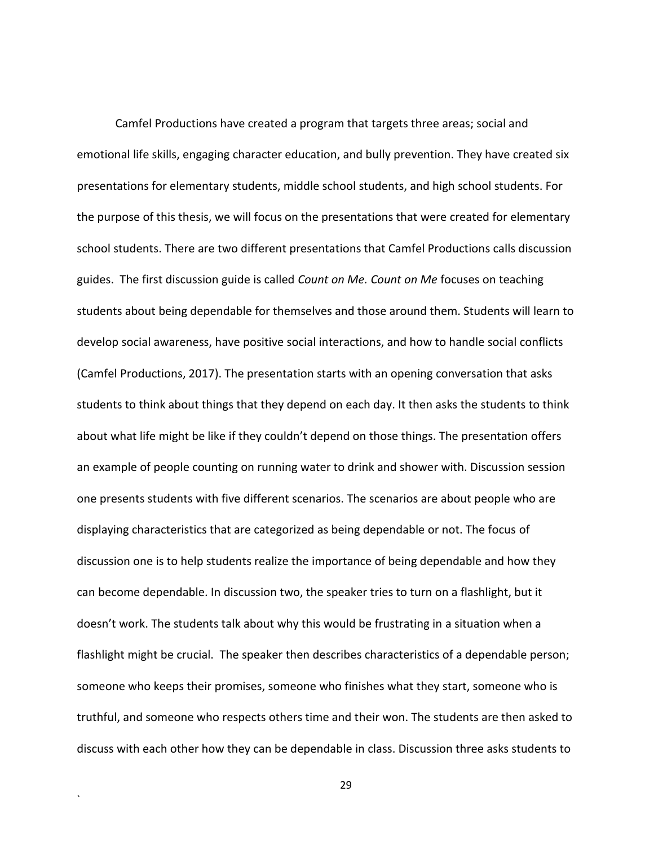Camfel Productions have created a program that targets three areas; social and emotional life skills, engaging character education, and bully prevention. They have created six presentations for elementary students, middle school students, and high school students. For the purpose of this thesis, we will focus on the presentations that were created for elementary school students. There are two different presentations that Camfel Productions calls discussion guides. The first discussion guide is called *Count on Me. Count on Me* focuses on teaching students about being dependable for themselves and those around them. Students will learn to develop social awareness, have positive social interactions, and how to handle social conflicts (Camfel Productions, 2017). The presentation starts with an opening conversation that asks students to think about things that they depend on each day. It then asks the students to think about what life might be like if they couldn't depend on those things. The presentation offers an example of people counting on running water to drink and shower with. Discussion session one presents students with five different scenarios. The scenarios are about people who are displaying characteristics that are categorized as being dependable or not. The focus of discussion one is to help students realize the importance of being dependable and how they can become dependable. In discussion two, the speaker tries to turn on a flashlight, but it doesn't work. The students talk about why this would be frustrating in a situation when a flashlight might be crucial. The speaker then describes characteristics of a dependable person; someone who keeps their promises, someone who finishes what they start, someone who is truthful, and someone who respects others time and their won. The students are then asked to discuss with each other how they can be dependable in class. Discussion three asks students to

29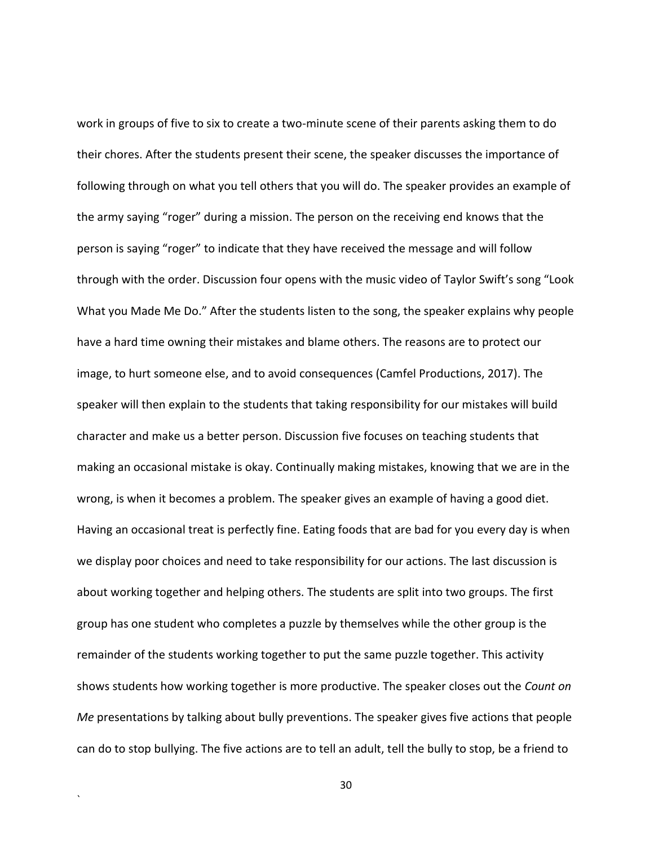work in groups of five to six to create a two-minute scene of their parents asking them to do their chores. After the students present their scene, the speaker discusses the importance of following through on what you tell others that you will do. The speaker provides an example of the army saying "roger" during a mission. The person on the receiving end knows that the person is saying "roger" to indicate that they have received the message and will follow through with the order. Discussion four opens with the music video of Taylor Swift's song "Look What you Made Me Do." After the students listen to the song, the speaker explains why people have a hard time owning their mistakes and blame others. The reasons are to protect our image, to hurt someone else, and to avoid consequences (Camfel Productions, 2017). The speaker will then explain to the students that taking responsibility for our mistakes will build character and make us a better person. Discussion five focuses on teaching students that making an occasional mistake is okay. Continually making mistakes, knowing that we are in the wrong, is when it becomes a problem. The speaker gives an example of having a good diet. Having an occasional treat is perfectly fine. Eating foods that are bad for you every day is when we display poor choices and need to take responsibility for our actions. The last discussion is about working together and helping others. The students are split into two groups. The first group has one student who completes a puzzle by themselves while the other group is the remainder of the students working together to put the same puzzle together. This activity shows students how working together is more productive. The speaker closes out the *Count on Me* presentations by talking about bully preventions. The speaker gives five actions that people can do to stop bullying. The five actions are to tell an adult, tell the bully to stop, be a friend to

30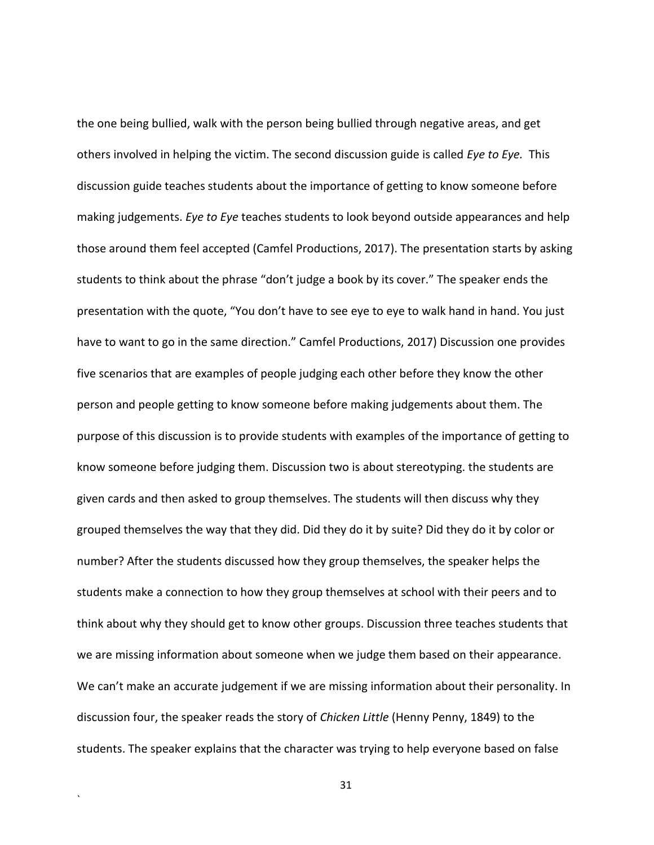the one being bullied, walk with the person being bullied through negative areas, and get others involved in helping the victim. The second discussion guide is called *Eye to Eye.* This discussion guide teaches students about the importance of getting to know someone before making judgements. *Eye to Eye* teaches students to look beyond outside appearances and help those around them feel accepted (Camfel Productions, 2017). The presentation starts by asking students to think about the phrase "don't judge a book by its cover." The speaker ends the presentation with the quote, "You don't have to see eye to eye to walk hand in hand. You just have to want to go in the same direction." Camfel Productions, 2017) Discussion one provides five scenarios that are examples of people judging each other before they know the other person and people getting to know someone before making judgements about them. The purpose of this discussion is to provide students with examples of the importance of getting to know someone before judging them. Discussion two is about stereotyping. the students are given cards and then asked to group themselves. The students will then discuss why they grouped themselves the way that they did. Did they do it by suite? Did they do it by color or number? After the students discussed how they group themselves, the speaker helps the students make a connection to how they group themselves at school with their peers and to think about why they should get to know other groups. Discussion three teaches students that we are missing information about someone when we judge them based on their appearance. We can't make an accurate judgement if we are missing information about their personality. In discussion four, the speaker reads the story of *Chicken Little* (Henny Penny, 1849) to the students. The speaker explains that the character was trying to help everyone based on false

31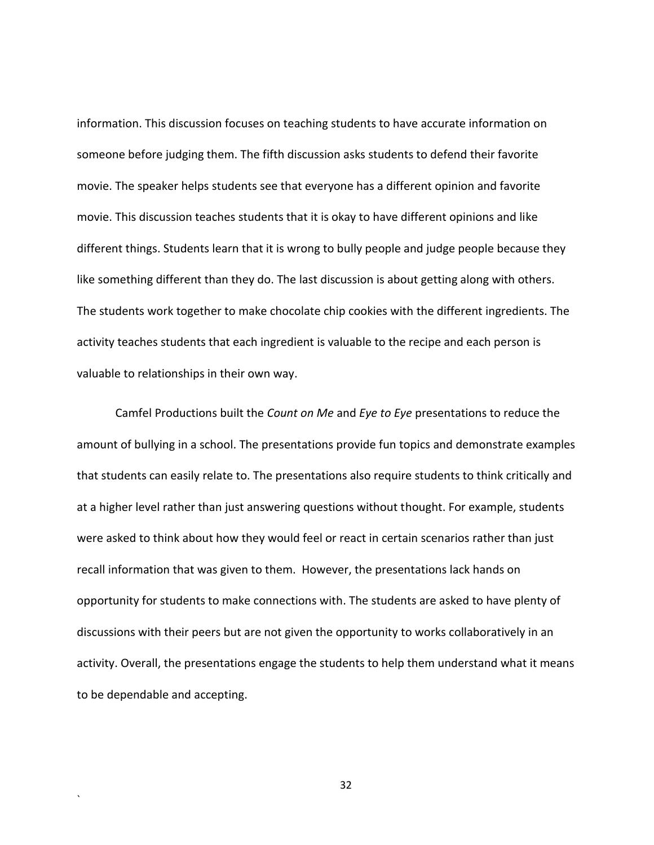information. This discussion focuses on teaching students to have accurate information on someone before judging them. The fifth discussion asks students to defend their favorite movie. The speaker helps students see that everyone has a different opinion and favorite movie. This discussion teaches students that it is okay to have different opinions and like different things. Students learn that it is wrong to bully people and judge people because they like something different than they do. The last discussion is about getting along with others. The students work together to make chocolate chip cookies with the different ingredients. The activity teaches students that each ingredient is valuable to the recipe and each person is valuable to relationships in their own way.

Camfel Productions built the *Count on Me* and *Eye to Eye* presentations to reduce the amount of bullying in a school. The presentations provide fun topics and demonstrate examples that students can easily relate to. The presentations also require students to think critically and at a higher level rather than just answering questions without thought. For example, students were asked to think about how they would feel or react in certain scenarios rather than just recall information that was given to them. However, the presentations lack hands on opportunity for students to make connections with. The students are asked to have plenty of discussions with their peers but are not given the opportunity to works collaboratively in an activity. Overall, the presentations engage the students to help them understand what it means to be dependable and accepting.

32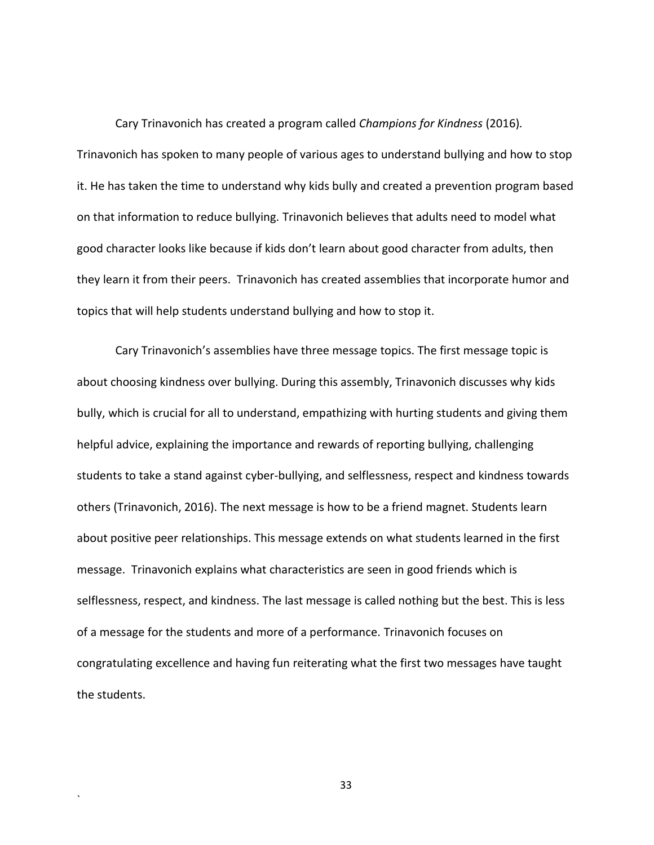Cary Trinavonich has created a program called *Champions for Kindness* (2016)*.*  Trinavonich has spoken to many people of various ages to understand bullying and how to stop it. He has taken the time to understand why kids bully and created a prevention program based on that information to reduce bullying. Trinavonich believes that adults need to model what good character looks like because if kids don't learn about good character from adults, then they learn it from their peers. Trinavonich has created assemblies that incorporate humor and topics that will help students understand bullying and how to stop it.

Cary Trinavonich's assemblies have three message topics. The first message topic is about choosing kindness over bullying. During this assembly, Trinavonich discusses why kids bully, which is crucial for all to understand, empathizing with hurting students and giving them helpful advice, explaining the importance and rewards of reporting bullying, challenging students to take a stand against cyber-bullying, and selflessness, respect and kindness towards others (Trinavonich, 2016). The next message is how to be a friend magnet. Students learn about positive peer relationships. This message extends on what students learned in the first message. Trinavonich explains what characteristics are seen in good friends which is selflessness, respect, and kindness. The last message is called nothing but the best. This is less of a message for the students and more of a performance. Trinavonich focuses on congratulating excellence and having fun reiterating what the first two messages have taught the students.

33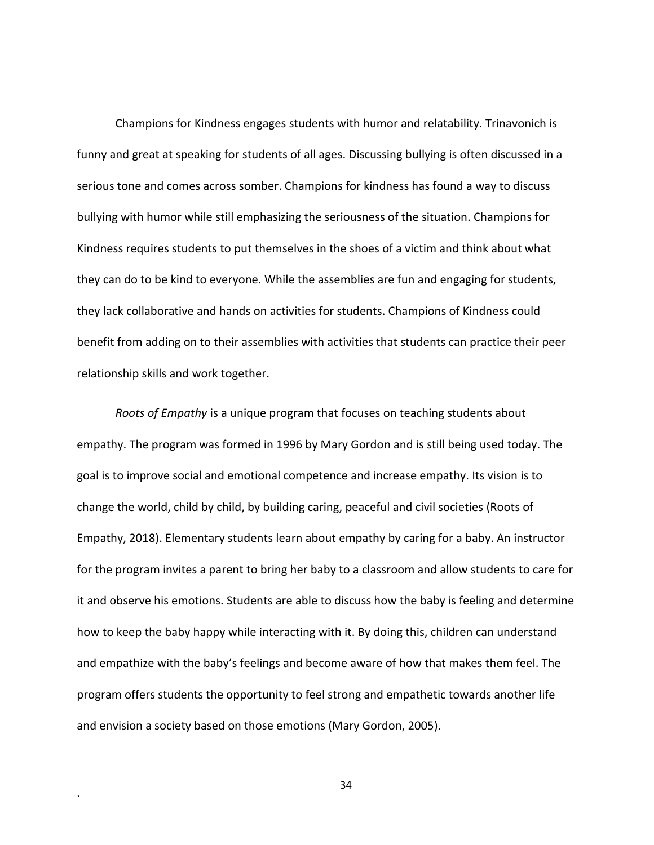Champions for Kindness engages students with humor and relatability. Trinavonich is funny and great at speaking for students of all ages. Discussing bullying is often discussed in a serious tone and comes across somber. Champions for kindness has found a way to discuss bullying with humor while still emphasizing the seriousness of the situation. Champions for Kindness requires students to put themselves in the shoes of a victim and think about what they can do to be kind to everyone. While the assemblies are fun and engaging for students, they lack collaborative and hands on activities for students. Champions of Kindness could benefit from adding on to their assemblies with activities that students can practice their peer relationship skills and work together.

*Roots of Empathy* is a unique program that focuses on teaching students about empathy. The program was formed in 1996 by Mary Gordon and is still being used today. The goal is to improve social and emotional competence and increase empathy. Its vision is to change the world, child by child, by building caring, peaceful and civil societies (Roots of Empathy, 2018). Elementary students learn about empathy by caring for a baby. An instructor for the program invites a parent to bring her baby to a classroom and allow students to care for it and observe his emotions. Students are able to discuss how the baby is feeling and determine how to keep the baby happy while interacting with it. By doing this, children can understand and empathize with the baby's feelings and become aware of how that makes them feel. The program offers students the opportunity to feel strong and empathetic towards another life and envision a society based on those emotions (Mary Gordon, 2005).

34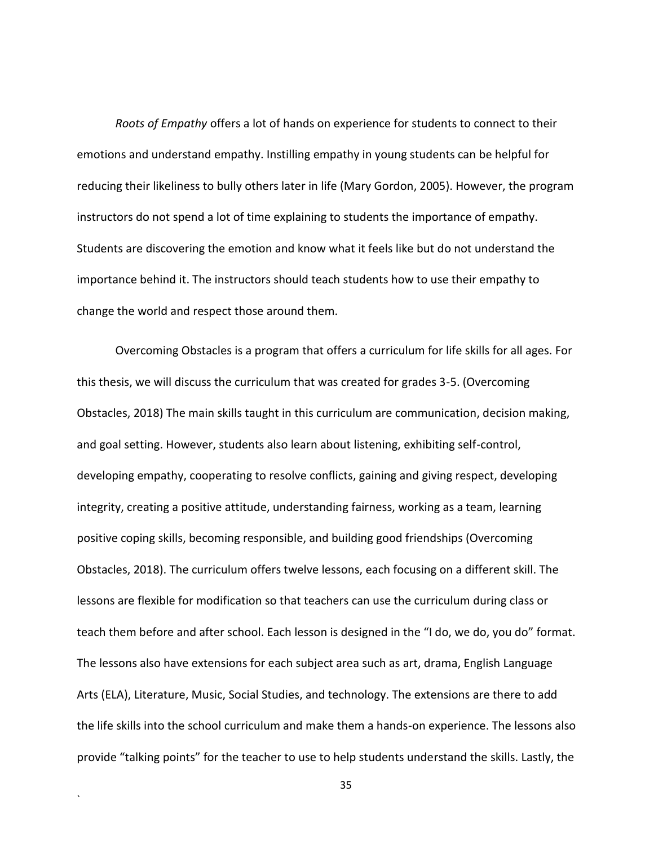*Roots of Empathy* offers a lot of hands on experience for students to connect to their emotions and understand empathy. Instilling empathy in young students can be helpful for reducing their likeliness to bully others later in life (Mary Gordon, 2005). However, the program instructors do not spend a lot of time explaining to students the importance of empathy. Students are discovering the emotion and know what it feels like but do not understand the importance behind it. The instructors should teach students how to use their empathy to change the world and respect those around them.

Overcoming Obstacles is a program that offers a curriculum for life skills for all ages. For this thesis, we will discuss the curriculum that was created for grades 3-5. (Overcoming Obstacles, 2018) The main skills taught in this curriculum are communication, decision making, and goal setting. However, students also learn about listening, exhibiting self-control, developing empathy, cooperating to resolve conflicts, gaining and giving respect, developing integrity, creating a positive attitude, understanding fairness, working as a team, learning positive coping skills, becoming responsible, and building good friendships (Overcoming Obstacles, 2018). The curriculum offers twelve lessons, each focusing on a different skill. The lessons are flexible for modification so that teachers can use the curriculum during class or teach them before and after school. Each lesson is designed in the "I do, we do, you do" format. The lessons also have extensions for each subject area such as art, drama, English Language Arts (ELA), Literature, Music, Social Studies, and technology. The extensions are there to add the life skills into the school curriculum and make them a hands-on experience. The lessons also provide "talking points" for the teacher to use to help students understand the skills. Lastly, the

35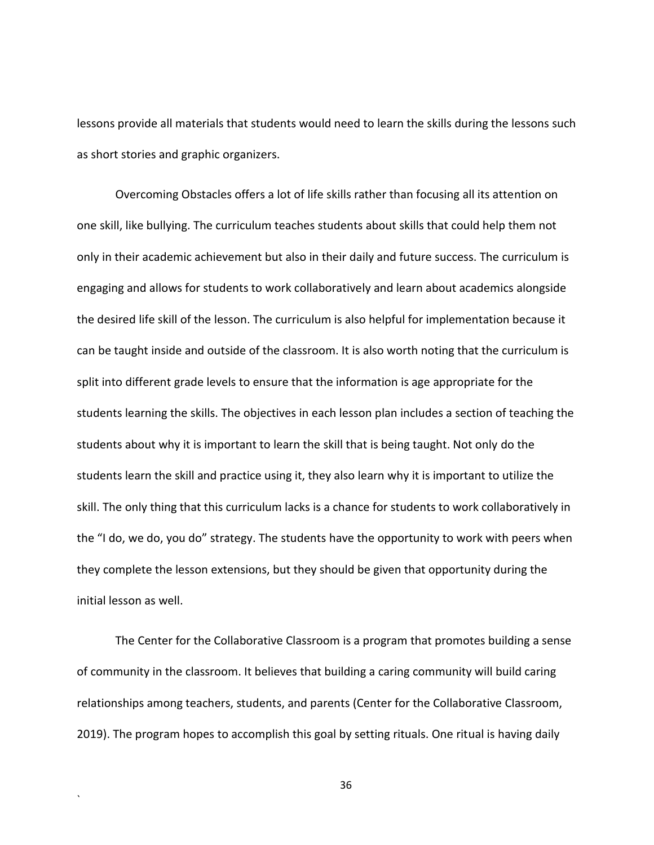lessons provide all materials that students would need to learn the skills during the lessons such as short stories and graphic organizers.

Overcoming Obstacles offers a lot of life skills rather than focusing all its attention on one skill, like bullying. The curriculum teaches students about skills that could help them not only in their academic achievement but also in their daily and future success. The curriculum is engaging and allows for students to work collaboratively and learn about academics alongside the desired life skill of the lesson. The curriculum is also helpful for implementation because it can be taught inside and outside of the classroom. It is also worth noting that the curriculum is split into different grade levels to ensure that the information is age appropriate for the students learning the skills. The objectives in each lesson plan includes a section of teaching the students about why it is important to learn the skill that is being taught. Not only do the students learn the skill and practice using it, they also learn why it is important to utilize the skill. The only thing that this curriculum lacks is a chance for students to work collaboratively in the "I do, we do, you do" strategy. The students have the opportunity to work with peers when they complete the lesson extensions, but they should be given that opportunity during the initial lesson as well.

The Center for the Collaborative Classroom is a program that promotes building a sense of community in the classroom. It believes that building a caring community will build caring relationships among teachers, students, and parents (Center for the Collaborative Classroom, 2019). The program hopes to accomplish this goal by setting rituals. One ritual is having daily

`

36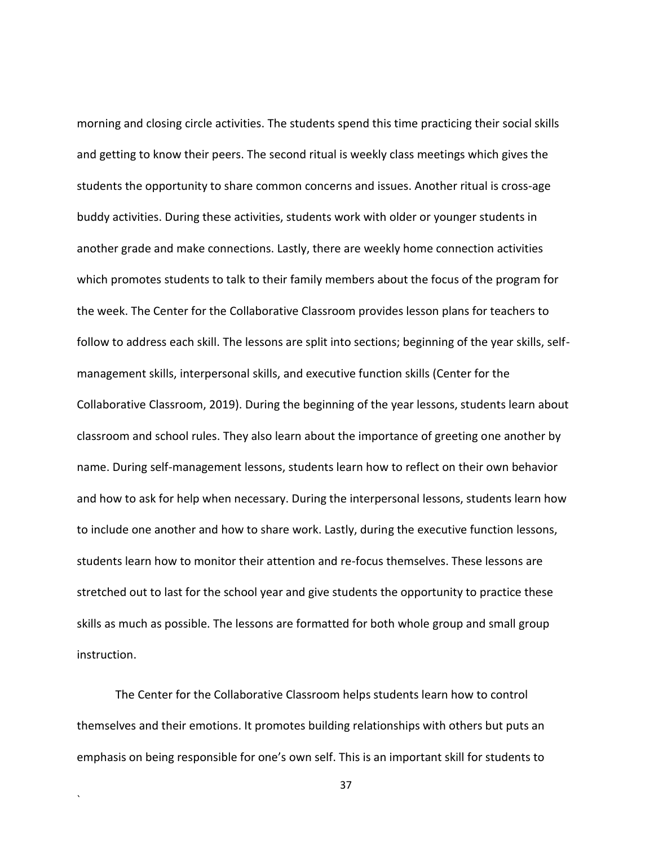morning and closing circle activities. The students spend this time practicing their social skills and getting to know their peers. The second ritual is weekly class meetings which gives the students the opportunity to share common concerns and issues. Another ritual is cross-age buddy activities. During these activities, students work with older or younger students in another grade and make connections. Lastly, there are weekly home connection activities which promotes students to talk to their family members about the focus of the program for the week. The Center for the Collaborative Classroom provides lesson plans for teachers to follow to address each skill. The lessons are split into sections; beginning of the year skills, selfmanagement skills, interpersonal skills, and executive function skills (Center for the Collaborative Classroom, 2019). During the beginning of the year lessons, students learn about classroom and school rules. They also learn about the importance of greeting one another by name. During self-management lessons, students learn how to reflect on their own behavior and how to ask for help when necessary. During the interpersonal lessons, students learn how to include one another and how to share work. Lastly, during the executive function lessons, students learn how to monitor their attention and re-focus themselves. These lessons are stretched out to last for the school year and give students the opportunity to practice these skills as much as possible. The lessons are formatted for both whole group and small group instruction.

The Center for the Collaborative Classroom helps students learn how to control themselves and their emotions. It promotes building relationships with others but puts an emphasis on being responsible for one's own self. This is an important skill for students to

`

37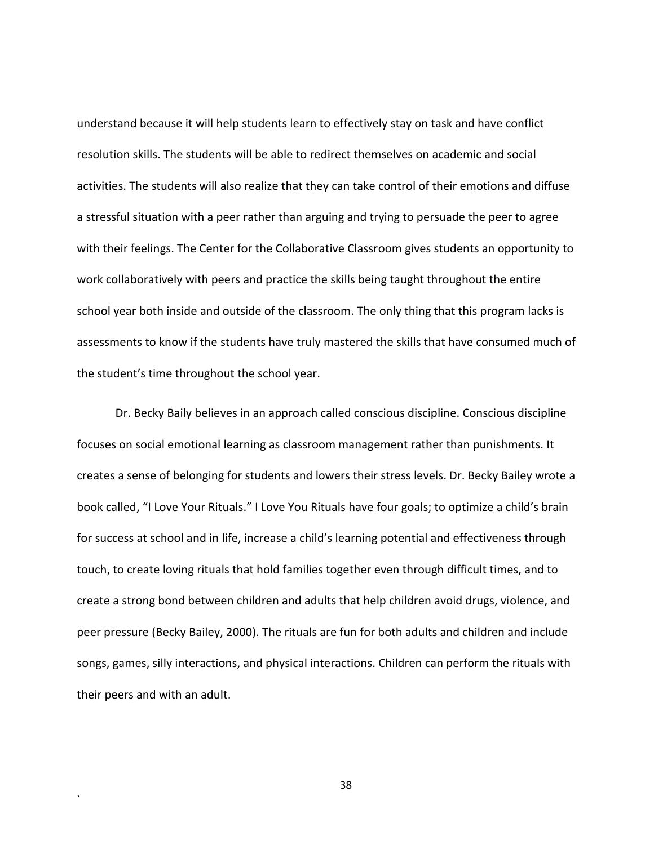understand because it will help students learn to effectively stay on task and have conflict resolution skills. The students will be able to redirect themselves on academic and social activities. The students will also realize that they can take control of their emotions and diffuse a stressful situation with a peer rather than arguing and trying to persuade the peer to agree with their feelings. The Center for the Collaborative Classroom gives students an opportunity to work collaboratively with peers and practice the skills being taught throughout the entire school year both inside and outside of the classroom. The only thing that this program lacks is assessments to know if the students have truly mastered the skills that have consumed much of the student's time throughout the school year.

Dr. Becky Baily believes in an approach called conscious discipline. Conscious discipline focuses on social emotional learning as classroom management rather than punishments. It creates a sense of belonging for students and lowers their stress levels. Dr. Becky Bailey wrote a book called, "I Love Your Rituals." I Love You Rituals have four goals; to optimize a child's brain for success at school and in life, increase a child's learning potential and effectiveness through touch, to create loving rituals that hold families together even through difficult times, and to create a strong bond between children and adults that help children avoid drugs, violence, and peer pressure (Becky Bailey, 2000). The rituals are fun for both adults and children and include songs, games, silly interactions, and physical interactions. Children can perform the rituals with their peers and with an adult.

38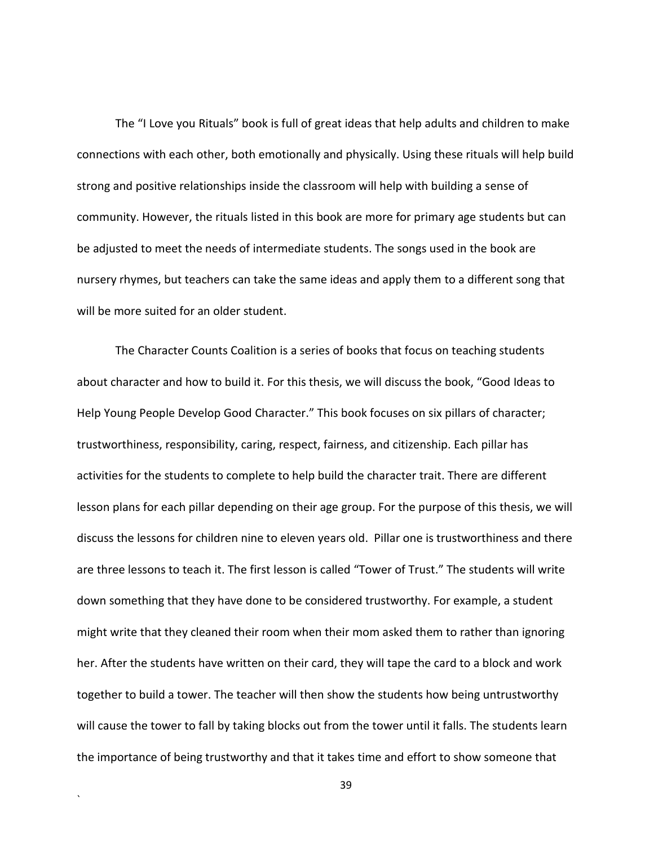The "I Love you Rituals" book is full of great ideas that help adults and children to make connections with each other, both emotionally and physically. Using these rituals will help build strong and positive relationships inside the classroom will help with building a sense of community. However, the rituals listed in this book are more for primary age students but can be adjusted to meet the needs of intermediate students. The songs used in the book are nursery rhymes, but teachers can take the same ideas and apply them to a different song that will be more suited for an older student.

The Character Counts Coalition is a series of books that focus on teaching students about character and how to build it. For this thesis, we will discuss the book, "Good Ideas to Help Young People Develop Good Character." This book focuses on six pillars of character; trustworthiness, responsibility, caring, respect, fairness, and citizenship. Each pillar has activities for the students to complete to help build the character trait. There are different lesson plans for each pillar depending on their age group. For the purpose of this thesis, we will discuss the lessons for children nine to eleven years old. Pillar one is trustworthiness and there are three lessons to teach it. The first lesson is called "Tower of Trust." The students will write down something that they have done to be considered trustworthy. For example, a student might write that they cleaned their room when their mom asked them to rather than ignoring her. After the students have written on their card, they will tape the card to a block and work together to build a tower. The teacher will then show the students how being untrustworthy will cause the tower to fall by taking blocks out from the tower until it falls. The students learn the importance of being trustworthy and that it takes time and effort to show someone that

39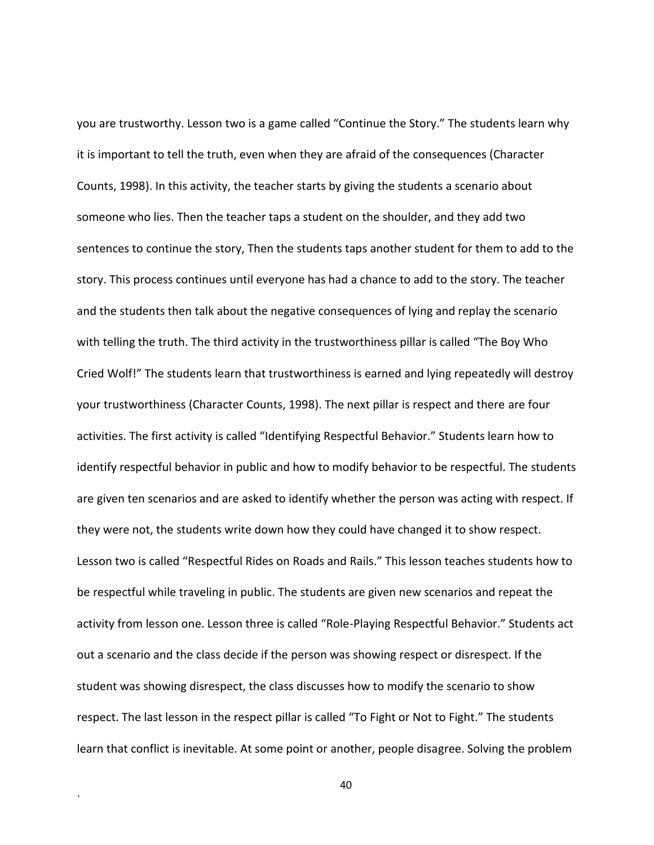you are trustworthy. Lesson two is a game called "Continue the Story." The students learn why it is important to tell the truth, even when they are afraid of the consequences (Character Counts, 1998). In this activity, the teacher starts by giving the students a scenario about someone who lies. Then the teacher taps a student on the shoulder, and they add two sentences to continue the story, Then the students taps another student for them to add to the story. This process continues until everyone has had a chance to add to the story. The teacher and the students then talk about the negative consequences of lying and replay the scenario with telling the truth. The third activity in the trustworthiness pillar is called "The Boy Who Cried Wolf!" The students learn that trustworthiness is earned and lying repeatedly will destroy your trustworthiness (Character Counts, 1998). The next pillar is respect and there are four activities. The first activity is called "Identifying Respectful Behavior." Students learn how to identify respectful behavior in public and how to modify behavior to be respectful. The students are given ten scenarios and are asked to identify whether the person was acting with respect. If they were not, the students write down how they could have changed it to show respect. Lesson two is called "Respectful Rides on Roads and Rails." This lesson teaches students how to be respectful while traveling in public. The students are given new scenarios and repeat the activity from lesson one. Lesson three is called "Role-Playing Respectful Behavior." Students act out a scenario and the class decide if the person was showing respect or disrespect. If the student was showing disrespect, the class discusses how to modify the scenario to show respect. The last lesson in the respect pillar is called "To Fight or Not to Fight." The students learn that conflict is inevitable. At some point or another, people disagree. Solving the problem

40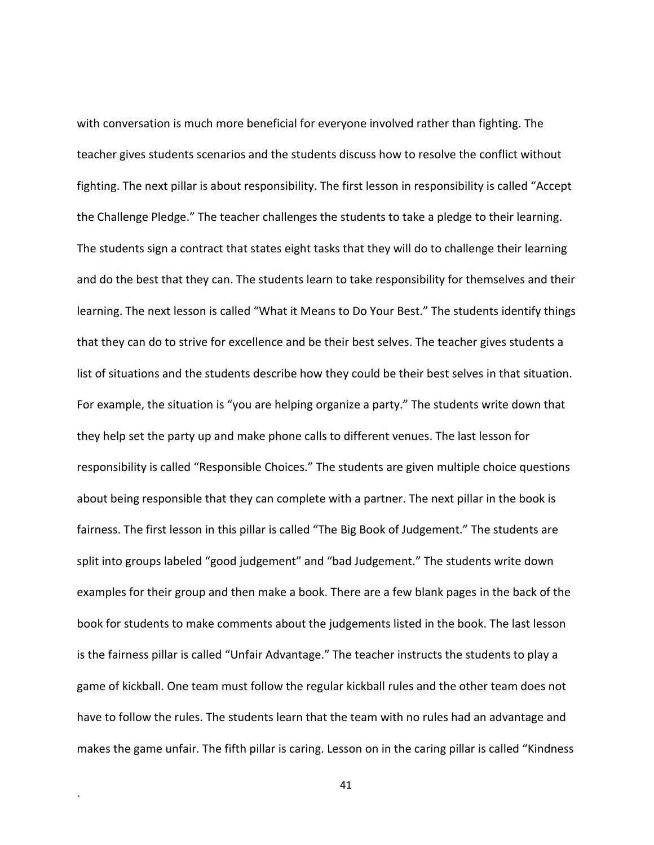with conversation is much more beneficial for everyone involved rather than fighting. The teacher gives students scenarios and the students discuss how to resolve the conflict without fighting. The next pillar is about responsibility. The first lesson in responsibility is called "Accept the Challenge Pledge." The teacher challenges the students to take a pledge to their learning. The students sign a contract that states eight tasks that they will do to challenge their learning and do the best that they can. The students learn to take responsibility for themselves and their learning. The next lesson is called "What it Means to Do Your Best." The students identify things that they can do to strive for excellence and be their best selves. The teacher gives students a list of situations and the students describe how they could be their best selves in that situation. For example, the situation is "you are helping organize a party." The students write down that they help set the party up and make phone calls to different venues. The last lesson for responsibility is called "Responsible Choices." The students are given multiple choice questions about being responsible that they can complete with a partner. The next pillar in the book is fairness. The first lesson in this pillar is called "The Big Book of Judgement." The students are split into groups labeled "good judgement" and "bad Judgement." The students write down examples for their group and then make a book. There are a few blank pages in the back of the book for students to make comments about the judgements listed in the book. The last lesson is the fairness pillar is called "Unfair Advantage." The teacher instructs the students to play a game of kickball. One team must follow the regular kickball rules and the other team does not have to follow the rules. The students learn that the team with no rules had an advantage and makes the game unfair. The fifth pillar is caring. Lesson on in the caring pillar is called "Kindness

41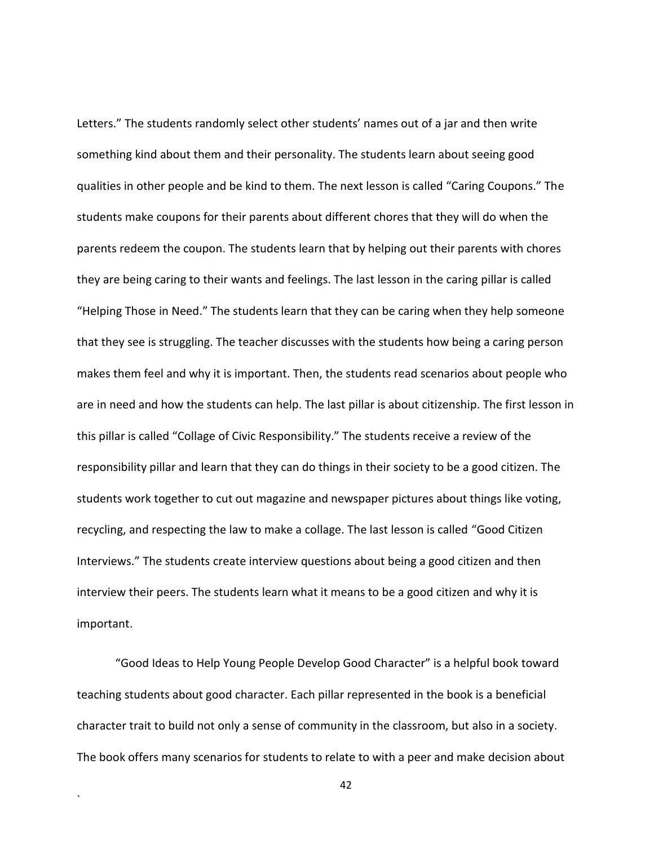Letters." The students randomly select other students' names out of a jar and then write something kind about them and their personality. The students learn about seeing good qualities in other people and be kind to them. The next lesson is called "Caring Coupons." The students make coupons for their parents about different chores that they will do when the parents redeem the coupon. The students learn that by helping out their parents with chores they are being caring to their wants and feelings. The last lesson in the caring pillar is called "Helping Those in Need." The students learn that they can be caring when they help someone that they see is struggling. The teacher discusses with the students how being a caring person makes them feel and why it is important. Then, the students read scenarios about people who are in need and how the students can help. The last pillar is about citizenship. The first lesson in this pillar is called "Collage of Civic Responsibility." The students receive a review of the responsibility pillar and learn that they can do things in their society to be a good citizen. The students work together to cut out magazine and newspaper pictures about things like voting, recycling, and respecting the law to make a collage. The last lesson is called "Good Citizen Interviews." The students create interview questions about being a good citizen and then interview their peers. The students learn what it means to be a good citizen and why it is important.

"Good Ideas to Help Young People Develop Good Character" is a helpful book toward teaching students about good character. Each pillar represented in the book is a beneficial character trait to build not only a sense of community in the classroom, but also in a society. The book offers many scenarios for students to relate to with a peer and make decision about

`

42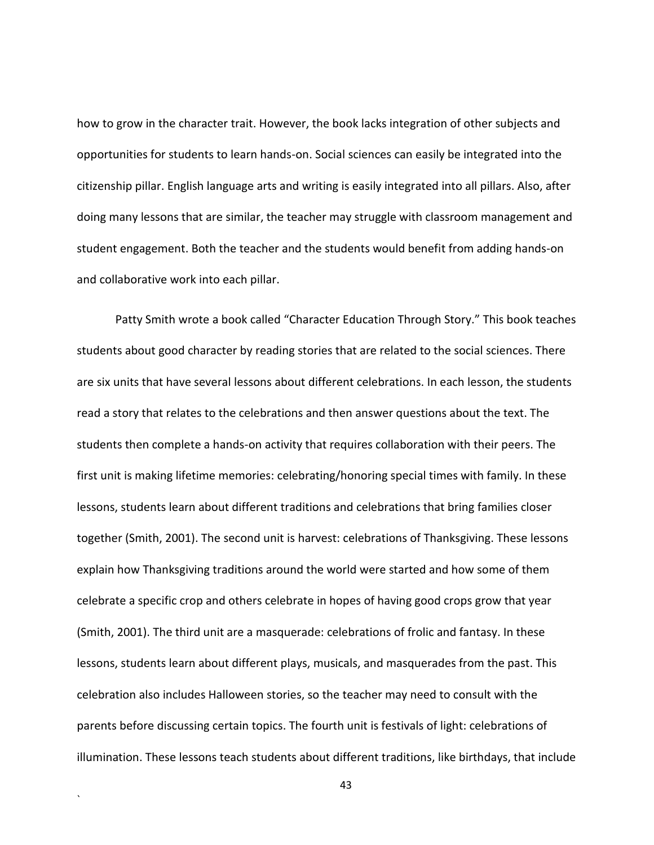how to grow in the character trait. However, the book lacks integration of other subjects and opportunities for students to learn hands-on. Social sciences can easily be integrated into the citizenship pillar. English language arts and writing is easily integrated into all pillars. Also, after doing many lessons that are similar, the teacher may struggle with classroom management and student engagement. Both the teacher and the students would benefit from adding hands-on and collaborative work into each pillar.

Patty Smith wrote a book called "Character Education Through Story." This book teaches students about good character by reading stories that are related to the social sciences. There are six units that have several lessons about different celebrations. In each lesson, the students read a story that relates to the celebrations and then answer questions about the text. The students then complete a hands-on activity that requires collaboration with their peers. The first unit is making lifetime memories: celebrating/honoring special times with family. In these lessons, students learn about different traditions and celebrations that bring families closer together (Smith, 2001). The second unit is harvest: celebrations of Thanksgiving. These lessons explain how Thanksgiving traditions around the world were started and how some of them celebrate a specific crop and others celebrate in hopes of having good crops grow that year (Smith, 2001). The third unit are a masquerade: celebrations of frolic and fantasy. In these lessons, students learn about different plays, musicals, and masquerades from the past. This celebration also includes Halloween stories, so the teacher may need to consult with the parents before discussing certain topics. The fourth unit is festivals of light: celebrations of illumination. These lessons teach students about different traditions, like birthdays, that include

43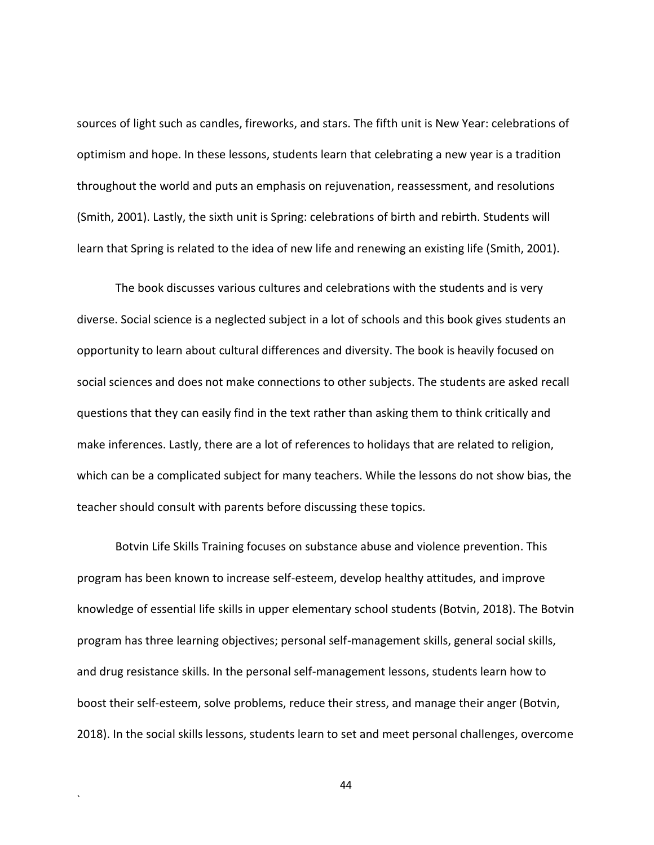sources of light such as candles, fireworks, and stars. The fifth unit is New Year: celebrations of optimism and hope. In these lessons, students learn that celebrating a new year is a tradition throughout the world and puts an emphasis on rejuvenation, reassessment, and resolutions (Smith, 2001). Lastly, the sixth unit is Spring: celebrations of birth and rebirth. Students will learn that Spring is related to the idea of new life and renewing an existing life (Smith, 2001).

The book discusses various cultures and celebrations with the students and is very diverse. Social science is a neglected subject in a lot of schools and this book gives students an opportunity to learn about cultural differences and diversity. The book is heavily focused on social sciences and does not make connections to other subjects. The students are asked recall questions that they can easily find in the text rather than asking them to think critically and make inferences. Lastly, there are a lot of references to holidays that are related to religion, which can be a complicated subject for many teachers. While the lessons do not show bias, the teacher should consult with parents before discussing these topics.

Botvin Life Skills Training focuses on substance abuse and violence prevention. This program has been known to increase self-esteem, develop healthy attitudes, and improve knowledge of essential life skills in upper elementary school students (Botvin, 2018). The Botvin program has three learning objectives; personal self-management skills, general social skills, and drug resistance skills. In the personal self-management lessons, students learn how to boost their self-esteem, solve problems, reduce their stress, and manage their anger (Botvin, 2018). In the social skills lessons, students learn to set and meet personal challenges, overcome

44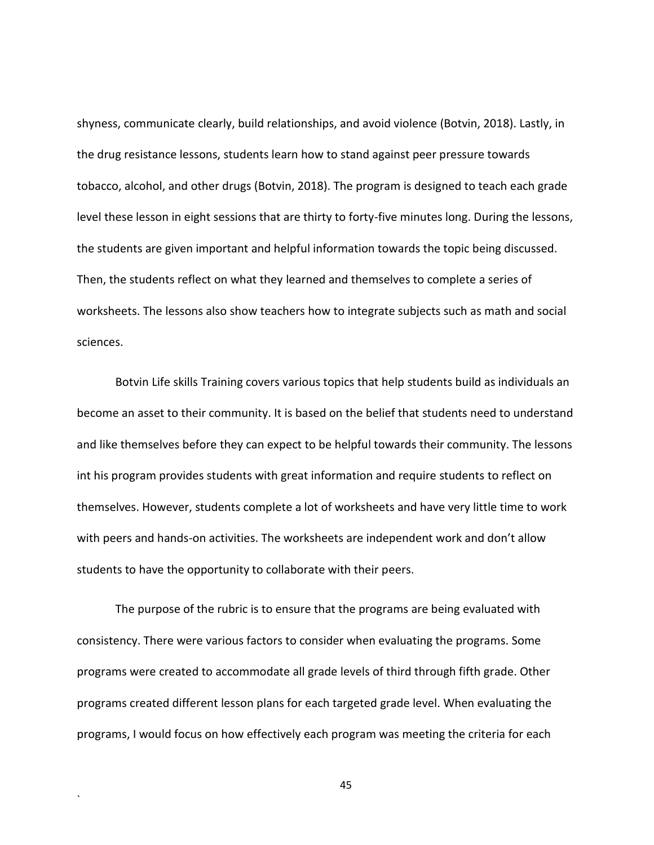shyness, communicate clearly, build relationships, and avoid violence (Botvin, 2018). Lastly, in the drug resistance lessons, students learn how to stand against peer pressure towards tobacco, alcohol, and other drugs (Botvin, 2018). The program is designed to teach each grade level these lesson in eight sessions that are thirty to forty-five minutes long. During the lessons, the students are given important and helpful information towards the topic being discussed. Then, the students reflect on what they learned and themselves to complete a series of worksheets. The lessons also show teachers how to integrate subjects such as math and social sciences.

Botvin Life skills Training covers various topics that help students build as individuals an become an asset to their community. It is based on the belief that students need to understand and like themselves before they can expect to be helpful towards their community. The lessons int his program provides students with great information and require students to reflect on themselves. However, students complete a lot of worksheets and have very little time to work with peers and hands-on activities. The worksheets are independent work and don't allow students to have the opportunity to collaborate with their peers.

The purpose of the rubric is to ensure that the programs are being evaluated with consistency. There were various factors to consider when evaluating the programs. Some programs were created to accommodate all grade levels of third through fifth grade. Other programs created different lesson plans for each targeted grade level. When evaluating the programs, I would focus on how effectively each program was meeting the criteria for each

`

45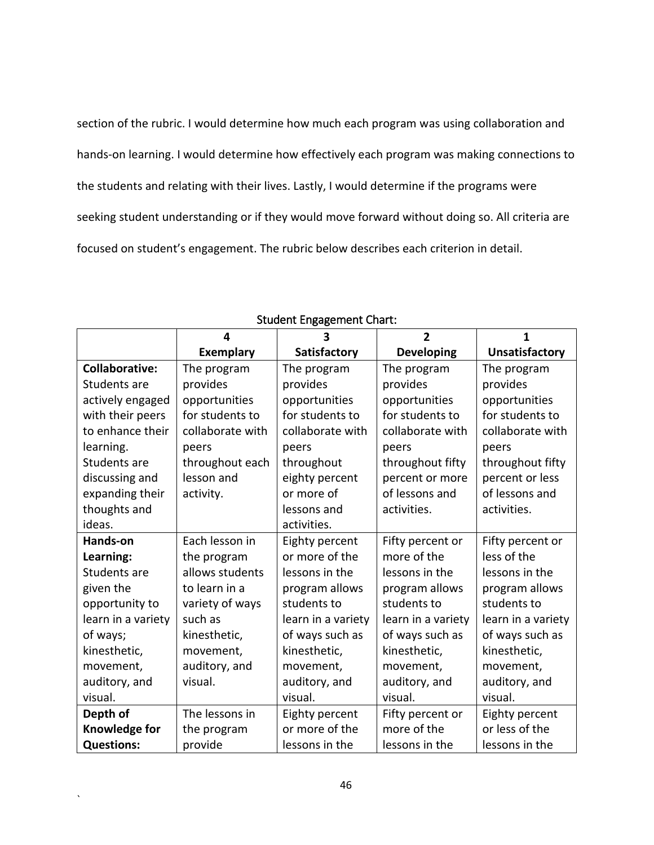section of the rubric. I would determine how much each program was using collaboration and hands-on learning. I would determine how effectively each program was making connections to the students and relating with their lives. Lastly, I would determine if the programs were seeking student understanding or if they would move forward without doing so. All criteria are focused on student's engagement. The rubric below describes each criterion in detail.

|                       | 4                | 3                  | $\overline{2}$     | 1                     |
|-----------------------|------------------|--------------------|--------------------|-----------------------|
|                       | <b>Exemplary</b> | Satisfactory       | <b>Developing</b>  | <b>Unsatisfactory</b> |
| <b>Collaborative:</b> | The program      | The program        | The program        | The program           |
| Students are          | provides         | provides           | provides           | provides              |
| actively engaged      | opportunities    | opportunities      | opportunities      | opportunities         |
| with their peers      | for students to  | for students to    | for students to    | for students to       |
| to enhance their      | collaborate with | collaborate with   | collaborate with   | collaborate with      |
| learning.             | peers            | peers              | peers              | peers                 |
| Students are          | throughout each  | throughout         | throughout fifty   | throughout fifty      |
| discussing and        | lesson and       | eighty percent     | percent or more    | percent or less       |
| expanding their       | activity.        | or more of         | of lessons and     | of lessons and        |
| thoughts and          |                  | lessons and        | activities.        | activities.           |
| ideas.                |                  | activities.        |                    |                       |
| Hands-on              | Each lesson in   | Eighty percent     | Fifty percent or   | Fifty percent or      |
| Learning:             | the program      | or more of the     | more of the        | less of the           |
| Students are          | allows students  | lessons in the     | lessons in the     | lessons in the        |
| given the             | to learn in a    | program allows     | program allows     | program allows        |
| opportunity to        | variety of ways  | students to        | students to        | students to           |
| learn in a variety    | such as          | learn in a variety | learn in a variety | learn in a variety    |
| of ways;              | kinesthetic,     | of ways such as    | of ways such as    | of ways such as       |
| kinesthetic,          | movement,        | kinesthetic,       | kinesthetic,       | kinesthetic,          |
| movement,             | auditory, and    | movement,          | movement,          | movement,             |
| auditory, and         | visual.          | auditory, and      | auditory, and      | auditory, and         |
| visual.               |                  | visual.            | visual.            | visual.               |
| Depth of              | The lessons in   | Eighty percent     | Fifty percent or   | Eighty percent        |
| Knowledge for         | the program      | or more of the     | more of the        | or less of the        |
| <b>Questions:</b>     | provide          | lessons in the     | lessons in the     | lessons in the        |

# Student Engagement Chart: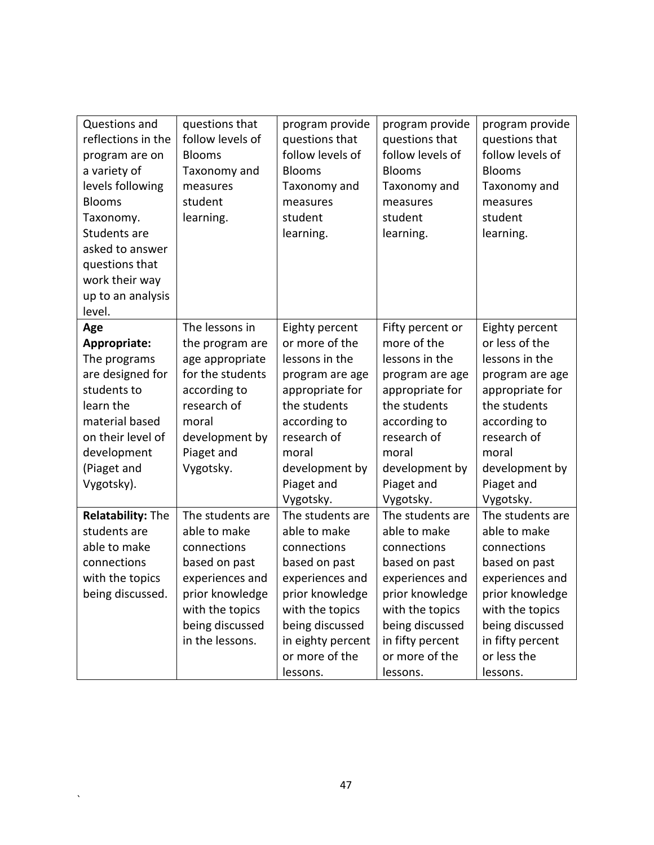| Questions and<br>reflections in the<br>program are on<br>a variety of<br>levels following<br><b>Blooms</b><br>Taxonomy.<br>Students are<br>asked to answer<br>questions that | questions that<br>follow levels of<br><b>Blooms</b><br>Taxonomy and<br>measures<br>student<br>learning.                                                         | program provide<br>questions that<br>follow levels of<br><b>Blooms</b><br>Taxonomy and<br>measures<br>student<br>learning.                                                                                   | program provide<br>questions that<br>follow levels of<br><b>Blooms</b><br>Taxonomy and<br>measures<br>student<br>learning.                                                                                  | program provide<br>questions that<br>follow levels of<br><b>Blooms</b><br>Taxonomy and<br>measures<br>student<br>learning.                                                                               |
|------------------------------------------------------------------------------------------------------------------------------------------------------------------------------|-----------------------------------------------------------------------------------------------------------------------------------------------------------------|--------------------------------------------------------------------------------------------------------------------------------------------------------------------------------------------------------------|-------------------------------------------------------------------------------------------------------------------------------------------------------------------------------------------------------------|----------------------------------------------------------------------------------------------------------------------------------------------------------------------------------------------------------|
| work their way                                                                                                                                                               |                                                                                                                                                                 |                                                                                                                                                                                                              |                                                                                                                                                                                                             |                                                                                                                                                                                                          |
| up to an analysis<br>level.                                                                                                                                                  |                                                                                                                                                                 |                                                                                                                                                                                                              |                                                                                                                                                                                                             |                                                                                                                                                                                                          |
| Age<br>Appropriate:<br>The programs<br>are designed for<br>students to<br>learn the<br>material based<br>on their level of<br>development                                    | The lessons in<br>the program are<br>age appropriate<br>for the students<br>according to<br>research of<br>moral<br>development by<br>Piaget and                | Eighty percent<br>or more of the<br>lessons in the<br>program are age<br>appropriate for<br>the students<br>according to<br>research of<br>moral                                                             | Fifty percent or<br>more of the<br>lessons in the<br>program are age<br>appropriate for<br>the students<br>according to<br>research of<br>moral                                                             | Eighty percent<br>or less of the<br>lessons in the<br>program are age<br>appropriate for<br>the students<br>according to<br>research of<br>moral                                                         |
| (Piaget and<br>Vygotsky).                                                                                                                                                    | Vygotsky.                                                                                                                                                       | development by<br>Piaget and                                                                                                                                                                                 | development by<br>Piaget and                                                                                                                                                                                | development by<br>Piaget and                                                                                                                                                                             |
| <b>Relatability: The</b><br>students are<br>able to make<br>connections<br>with the topics<br>being discussed.                                                               | The students are<br>able to make<br>connections<br>based on past<br>experiences and<br>prior knowledge<br>with the topics<br>being discussed<br>in the lessons. | Vygotsky.<br>The students are<br>able to make<br>connections<br>based on past<br>experiences and<br>prior knowledge<br>with the topics<br>being discussed<br>in eighty percent<br>or more of the<br>lessons. | Vygotsky.<br>The students are<br>able to make<br>connections<br>based on past<br>experiences and<br>prior knowledge<br>with the topics<br>being discussed<br>in fifty percent<br>or more of the<br>lessons. | Vygotsky.<br>The students are<br>able to make<br>connections<br>based on past<br>experiences and<br>prior knowledge<br>with the topics<br>being discussed<br>in fifty percent<br>or less the<br>lessons. |

 $\sqrt{2}$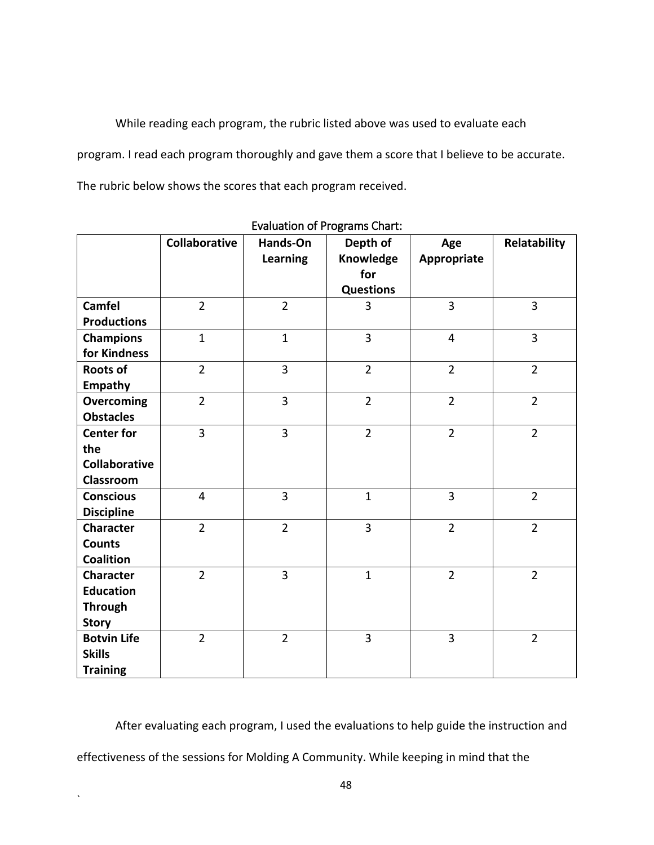While reading each program, the rubric listed above was used to evaluate each program. I read each program thoroughly and gave them a score that I believe to be accurate. The rubric below shows the scores that each program received.

|                      | Collaborative  | Hands-On<br>Learning | Depth of<br>Knowledge<br>for<br><b>Questions</b> | Age<br>Appropriate | Relatability   |
|----------------------|----------------|----------------------|--------------------------------------------------|--------------------|----------------|
| <b>Camfel</b>        | $\overline{2}$ | $\overline{2}$       | 3                                                | $\overline{3}$     | 3              |
| <b>Productions</b>   |                |                      |                                                  |                    |                |
| <b>Champions</b>     | $\mathbf{1}$   | $\mathbf{1}$         | 3                                                | $\overline{4}$     | 3              |
| for Kindness         |                |                      |                                                  |                    |                |
| <b>Roots of</b>      | $\overline{2}$ | $\overline{3}$       | $\overline{2}$                                   | $\overline{2}$     | $\overline{2}$ |
| <b>Empathy</b>       |                |                      |                                                  |                    |                |
| <b>Overcoming</b>    | $\overline{2}$ | $\overline{3}$       | $\overline{2}$                                   | $\overline{2}$     | $\overline{2}$ |
| <b>Obstacles</b>     |                |                      |                                                  |                    |                |
| <b>Center for</b>    | $\overline{3}$ | 3                    | $\overline{2}$                                   | $\overline{2}$     | $\overline{2}$ |
| the                  |                |                      |                                                  |                    |                |
| <b>Collaborative</b> |                |                      |                                                  |                    |                |
| Classroom            |                |                      |                                                  |                    |                |
| <b>Conscious</b>     | $\overline{4}$ | 3                    | $\mathbf{1}$                                     | 3                  | $\overline{2}$ |
| <b>Discipline</b>    |                |                      |                                                  |                    |                |
| <b>Character</b>     | $\overline{2}$ | $\overline{2}$       | $\overline{3}$                                   | $\overline{2}$     | $\overline{2}$ |
| <b>Counts</b>        |                |                      |                                                  |                    |                |
| <b>Coalition</b>     |                |                      |                                                  |                    |                |
| <b>Character</b>     | $\overline{2}$ | 3                    | $\mathbf{1}$                                     | $\overline{2}$     | $\overline{2}$ |
| <b>Education</b>     |                |                      |                                                  |                    |                |
| <b>Through</b>       |                |                      |                                                  |                    |                |
| <b>Story</b>         |                |                      |                                                  |                    |                |
| <b>Botvin Life</b>   | $\overline{2}$ | $\overline{2}$       | $\overline{3}$                                   | 3                  | $\overline{2}$ |
| <b>Skills</b>        |                |                      |                                                  |                    |                |
| <b>Training</b>      |                |                      |                                                  |                    |                |

Evaluation of Programs Chart:

After evaluating each program, I used the evaluations to help guide the instruction and effectiveness of the sessions for Molding A Community. While keeping in mind that the

 $\ddot{\phantom{0}}$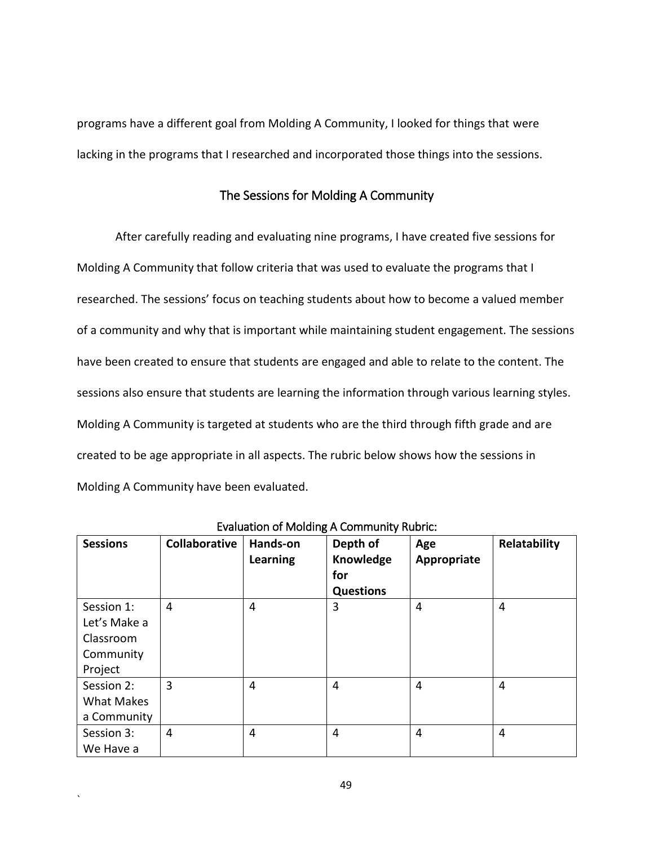programs have a different goal from Molding A Community, I looked for things that were lacking in the programs that I researched and incorporated those things into the sessions.

## The Sessions for Molding A Community

After carefully reading and evaluating nine programs, I have created five sessions for Molding A Community that follow criteria that was used to evaluate the programs that I researched. The sessions' focus on teaching students about how to become a valued member of a community and why that is important while maintaining student engagement. The sessions have been created to ensure that students are engaged and able to relate to the content. The sessions also ensure that students are learning the information through various learning styles. Molding A Community is targeted at students who are the third through fifth grade and are created to be age appropriate in all aspects. The rubric below shows how the sessions in Molding A Community have been evaluated.

| <b>Sessions</b>                                | Collaborative | Hands-on<br>Learning | Depth of<br>Knowledge<br>for<br><b>Questions</b> | Age<br>Appropriate | Relatability |
|------------------------------------------------|---------------|----------------------|--------------------------------------------------|--------------------|--------------|
| Session 1:<br>Let's Make a<br>Classroom        | 4             | 4                    | 3                                                | 4                  | 4            |
| Community<br>Project                           |               |                      |                                                  |                    |              |
| Session 2:<br><b>What Makes</b><br>a Community | 3             | 4                    | 4                                                | 4                  | 4            |
| Session 3:<br>We Have a                        | 4             | 4                    | 4                                                | 4                  | 4            |

Evaluation of Molding A Community Rubric:

49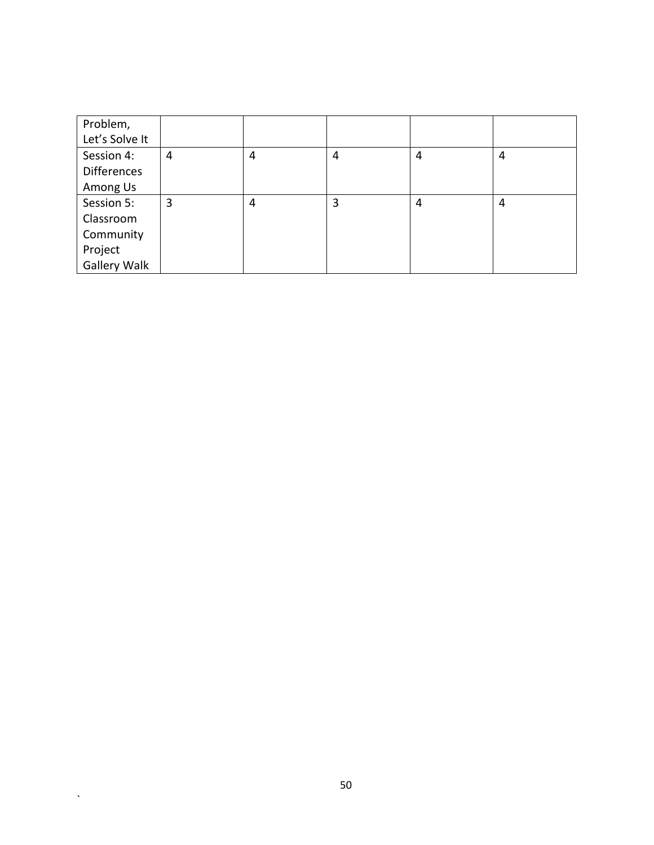| Problem,           |   |   |   |   |   |
|--------------------|---|---|---|---|---|
| Let's Solve It     |   |   |   |   |   |
| Session 4:         | 4 | 4 | 4 | 4 | 4 |
| <b>Differences</b> |   |   |   |   |   |
| Among Us           |   |   |   |   |   |
| Session 5:         | 3 | 4 | 3 | 4 | 4 |
| Classroom          |   |   |   |   |   |
| Community          |   |   |   |   |   |
| Project            |   |   |   |   |   |
| Gallery Walk       |   |   |   |   |   |

 $\Delta \sim 10^4$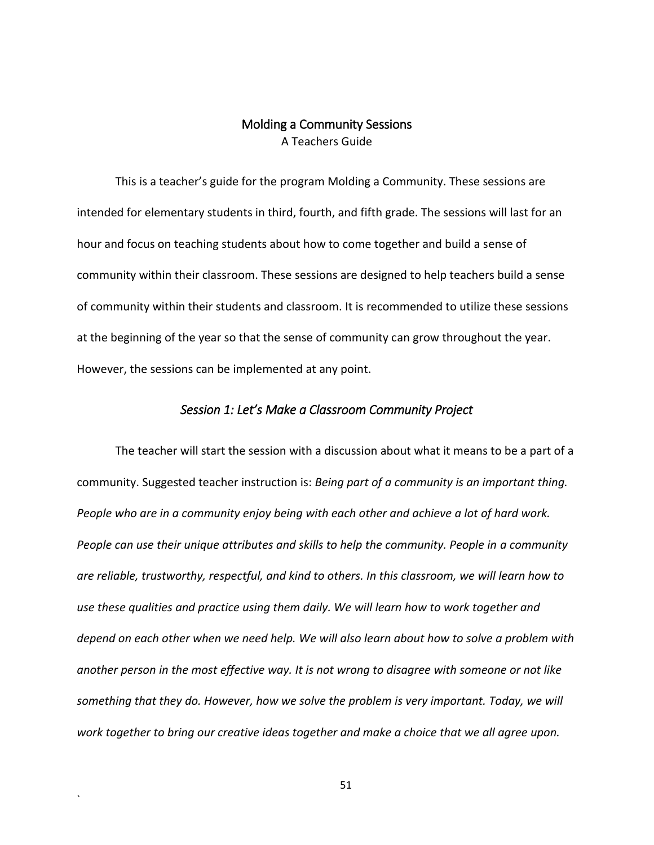## Molding a Community Sessions A Teachers Guide

This is a teacher's guide for the program Molding a Community. These sessions are intended for elementary students in third, fourth, and fifth grade. The sessions will last for an hour and focus on teaching students about how to come together and build a sense of community within their classroom. These sessions are designed to help teachers build a sense of community within their students and classroom. It is recommended to utilize these sessions at the beginning of the year so that the sense of community can grow throughout the year. However, the sessions can be implemented at any point.

#### *Session 1: Let's Make a Classroom Community Project*

The teacher will start the session with a discussion about what it means to be a part of a community. Suggested teacher instruction is: *Being part of a community is an important thing. People who are in a community enjoy being with each other and achieve a lot of hard work. People can use their unique attributes and skills to help the community. People in a community are reliable, trustworthy, respectful, and kind to others. In this classroom, we will learn how to use these qualities and practice using them daily. We will learn how to work together and depend on each other when we need help. We will also learn about how to solve a problem with another person in the most effective way. It is not wrong to disagree with someone or not like something that they do. However, how we solve the problem is very important. Today, we will work together to bring our creative ideas together and make a choice that we all agree upon.*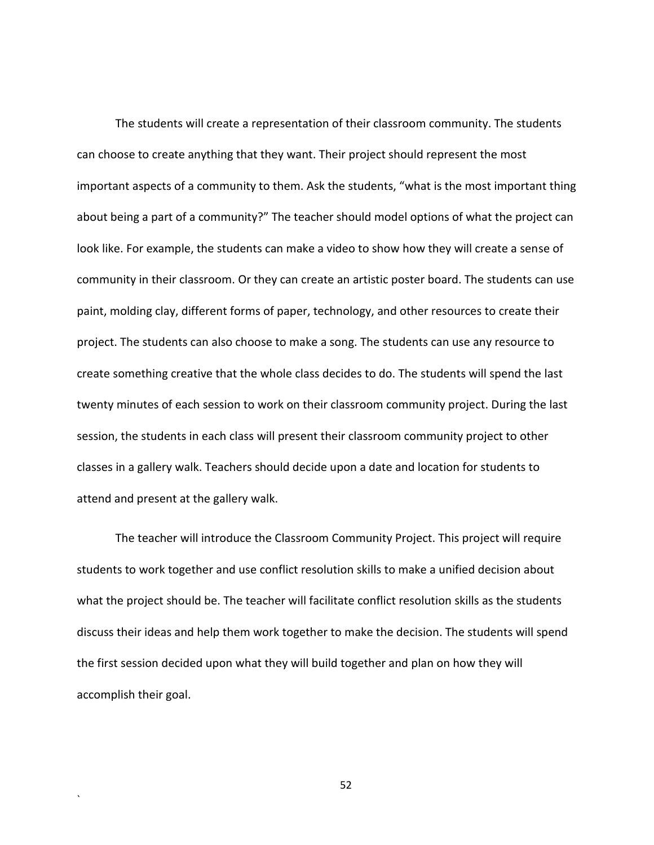The students will create a representation of their classroom community. The students can choose to create anything that they want. Their project should represent the most important aspects of a community to them. Ask the students, "what is the most important thing about being a part of a community?" The teacher should model options of what the project can look like. For example, the students can make a video to show how they will create a sense of community in their classroom. Or they can create an artistic poster board. The students can use paint, molding clay, different forms of paper, technology, and other resources to create their project. The students can also choose to make a song. The students can use any resource to create something creative that the whole class decides to do. The students will spend the last twenty minutes of each session to work on their classroom community project. During the last session, the students in each class will present their classroom community project to other classes in a gallery walk. Teachers should decide upon a date and location for students to attend and present at the gallery walk.

The teacher will introduce the Classroom Community Project. This project will require students to work together and use conflict resolution skills to make a unified decision about what the project should be. The teacher will facilitate conflict resolution skills as the students discuss their ideas and help them work together to make the decision. The students will spend the first session decided upon what they will build together and plan on how they will accomplish their goal.

52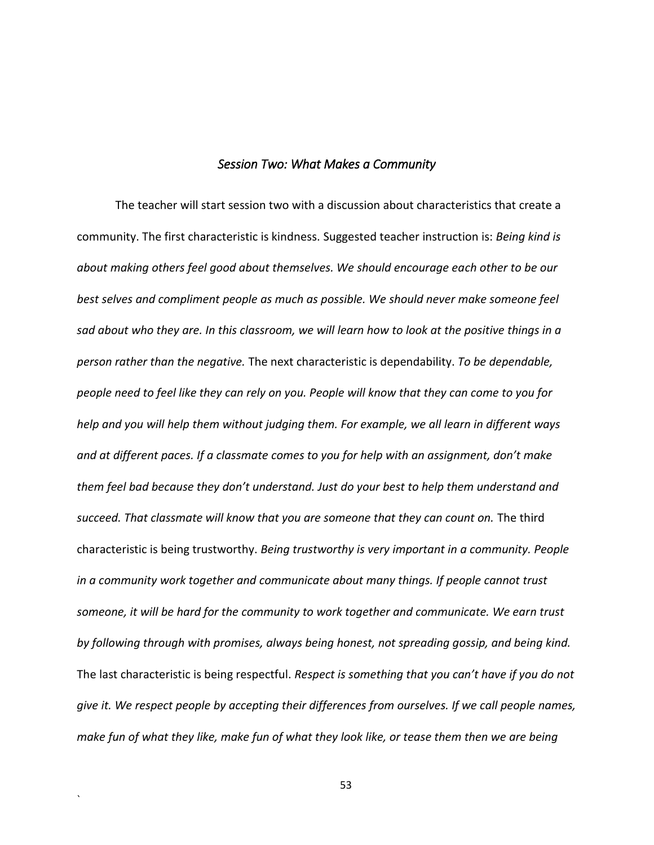#### *Session Two: What Makes a Community*

The teacher will start session two with a discussion about characteristics that create a community. The first characteristic is kindness. Suggested teacher instruction is: *Being kind is about making others feel good about themselves. We should encourage each other to be our best selves and compliment people as much as possible. We should never make someone feel sad about who they are. In this classroom, we will learn how to look at the positive things in a person rather than the negative.* The next characteristic is dependability. *To be dependable, people need to feel like they can rely on you. People will know that they can come to you for help and you will help them without judging them. For example, we all learn in different ways and at different paces. If a classmate comes to you for help with an assignment, don't make them feel bad because they don't understand. Just do your best to help them understand and succeed. That classmate will know that you are someone that they can count on.* The third characteristic is being trustworthy. *Being trustworthy is very important in a community. People in a community work together and communicate about many things. If people cannot trust someone, it will be hard for the community to work together and communicate. We earn trust by following through with promises, always being honest, not spreading gossip, and being kind.*  The last characteristic is being respectful. *Respect is something that you can't have if you do not give it. We respect people by accepting their differences from ourselves. If we call people names, make fun of what they like, make fun of what they look like, or tease them then we are being* 

53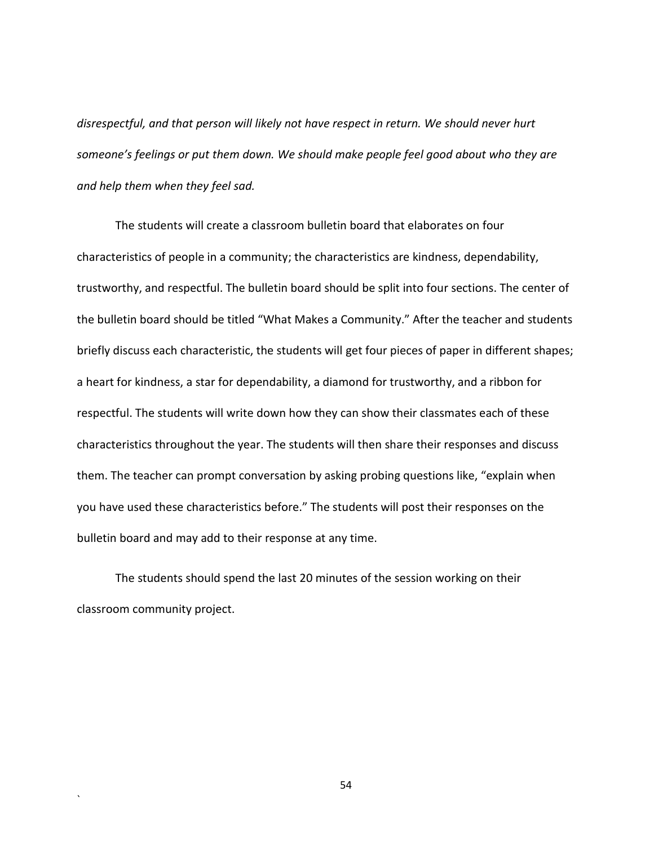*disrespectful, and that person will likely not have respect in return. We should never hurt someone's feelings or put them down. We should make people feel good about who they are and help them when they feel sad.* 

The students will create a classroom bulletin board that elaborates on four characteristics of people in a community; the characteristics are kindness, dependability, trustworthy, and respectful. The bulletin board should be split into four sections. The center of the bulletin board should be titled "What Makes a Community." After the teacher and students briefly discuss each characteristic, the students will get four pieces of paper in different shapes; a heart for kindness, a star for dependability, a diamond for trustworthy, and a ribbon for respectful. The students will write down how they can show their classmates each of these characteristics throughout the year. The students will then share their responses and discuss them. The teacher can prompt conversation by asking probing questions like, "explain when you have used these characteristics before." The students will post their responses on the bulletin board and may add to their response at any time.

The students should spend the last 20 minutes of the session working on their classroom community project.

`

54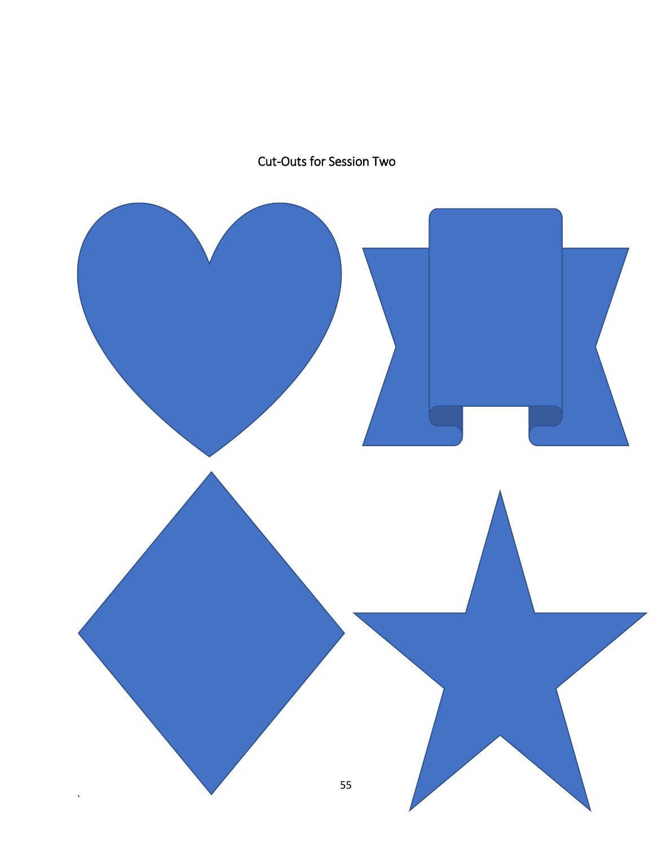# Cut-Outs for Session Two

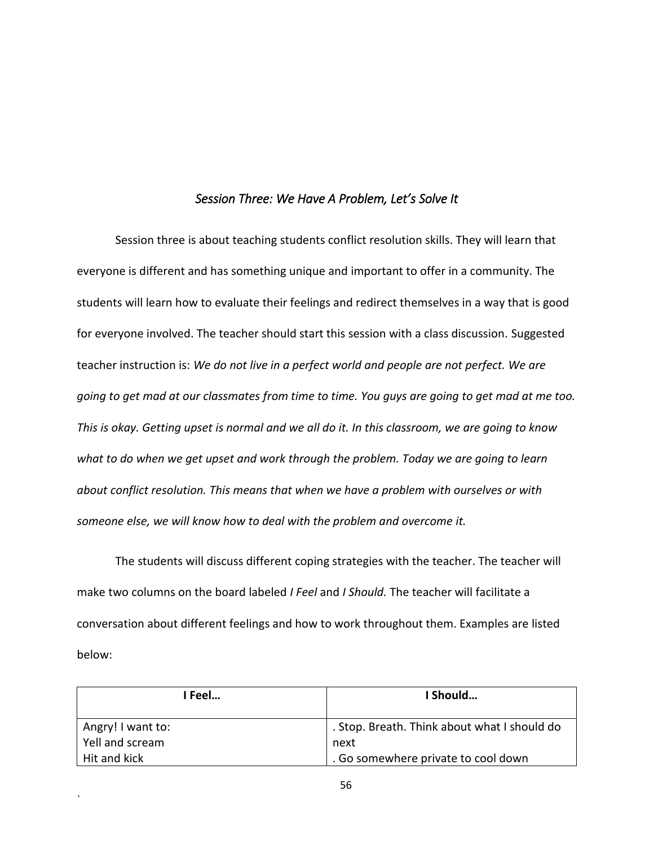#### *Session Three: We Have A Problem, Let's Solve It*

Session three is about teaching students conflict resolution skills. They will learn that everyone is different and has something unique and important to offer in a community. The students will learn how to evaluate their feelings and redirect themselves in a way that is good for everyone involved. The teacher should start this session with a class discussion. Suggested teacher instruction is: *We do not live in a perfect world and people are not perfect. We are going to get mad at our classmates from time to time. You guys are going to get mad at me too. This is okay. Getting upset is normal and we all do it. In this classroom, we are going to know what to do when we get upset and work through the problem. Today we are going to learn about conflict resolution. This means that when we have a problem with ourselves or with someone else, we will know how to deal with the problem and overcome it.* 

The students will discuss different coping strategies with the teacher. The teacher will make two columns on the board labeled *I Feel* and *I Should.* The teacher will facilitate a conversation about different feelings and how to work throughout them. Examples are listed below:

| I Feel            | l Should                                     |
|-------------------|----------------------------------------------|
| Angry! I want to: | . Stop. Breath. Think about what I should do |
| Yell and scream   | next                                         |
| Hit and kick      | . Go somewhere private to cool down          |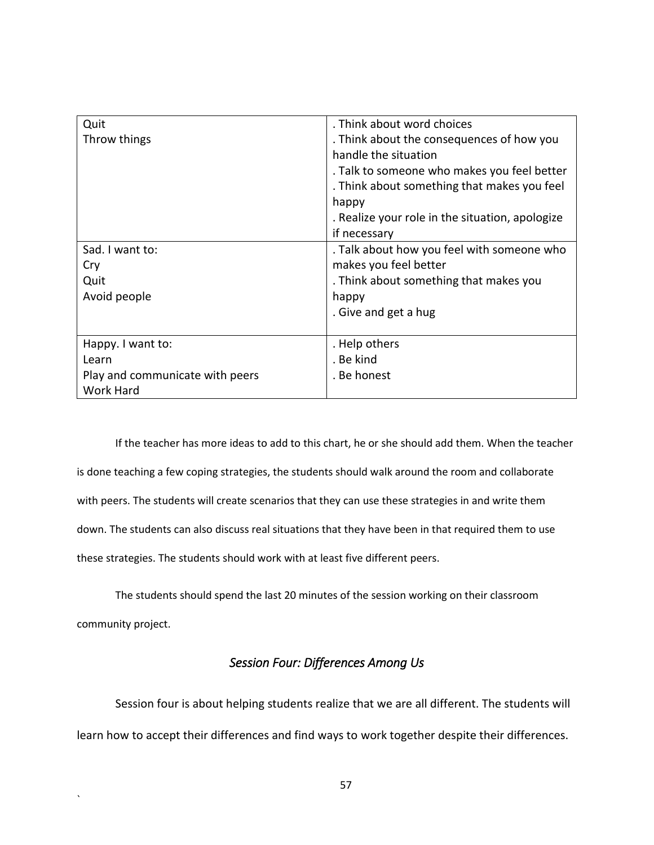| Quit                            | . Think about word choices                      |
|---------------------------------|-------------------------------------------------|
| Throw things                    | . Think about the consequences of how you       |
|                                 | handle the situation                            |
|                                 | . Talk to someone who makes you feel better     |
|                                 | . Think about something that makes you feel     |
|                                 | happy                                           |
|                                 | . Realize your role in the situation, apologize |
|                                 | if necessary                                    |
| Sad. I want to:                 | . Talk about how you feel with someone who      |
| Cry                             | makes you feel better                           |
| Quit                            | . Think about something that makes you          |
| Avoid people                    | happy                                           |
|                                 | . Give and get a hug                            |
|                                 |                                                 |
| Happy. I want to:               | . Help others                                   |
| Learn                           | . Be kind                                       |
| Play and communicate with peers | . Be honest                                     |
| Work Hard                       |                                                 |

If the teacher has more ideas to add to this chart, he or she should add them. When the teacher is done teaching a few coping strategies, the students should walk around the room and collaborate with peers. The students will create scenarios that they can use these strategies in and write them down. The students can also discuss real situations that they have been in that required them to use these strategies. The students should work with at least five different peers.

The students should spend the last 20 minutes of the session working on their classroom community project.

# *Session Four: Differences Among Us*

Session four is about helping students realize that we are all different. The students will learn how to accept their differences and find ways to work together despite their differences.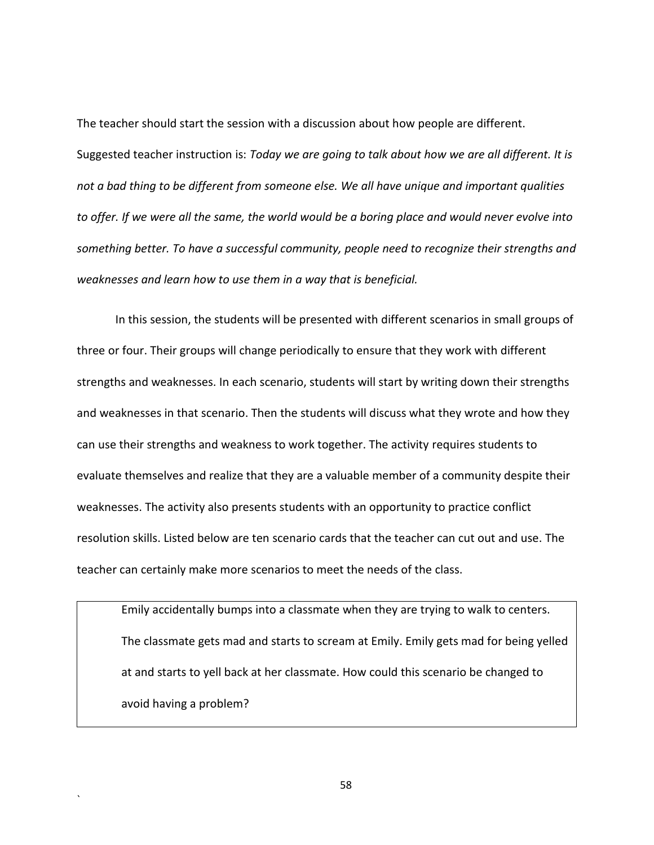The teacher should start the session with a discussion about how people are different. Suggested teacher instruction is: *Today we are going to talk about how we are all different. It is not a bad thing to be different from someone else. We all have unique and important qualities to offer. If we were all the same, the world would be a boring place and would never evolve into something better. To have a successful community, people need to recognize their strengths and weaknesses and learn how to use them in a way that is beneficial.* 

In this session, the students will be presented with different scenarios in small groups of three or four. Their groups will change periodically to ensure that they work with different strengths and weaknesses. In each scenario, students will start by writing down their strengths and weaknesses in that scenario. Then the students will discuss what they wrote and how they can use their strengths and weakness to work together. The activity requires students to evaluate themselves and realize that they are a valuable member of a community despite their weaknesses. The activity also presents students with an opportunity to practice conflict resolution skills. Listed below are ten scenario cards that the teacher can cut out and use. The teacher can certainly make more scenarios to meet the needs of the class.

Emily accidentally bumps into a classmate when they are trying to walk to centers. The classmate gets mad and starts to scream at Emily. Emily gets mad for being yelled at and starts to yell back at her classmate. How could this scenario be changed to avoid having a problem?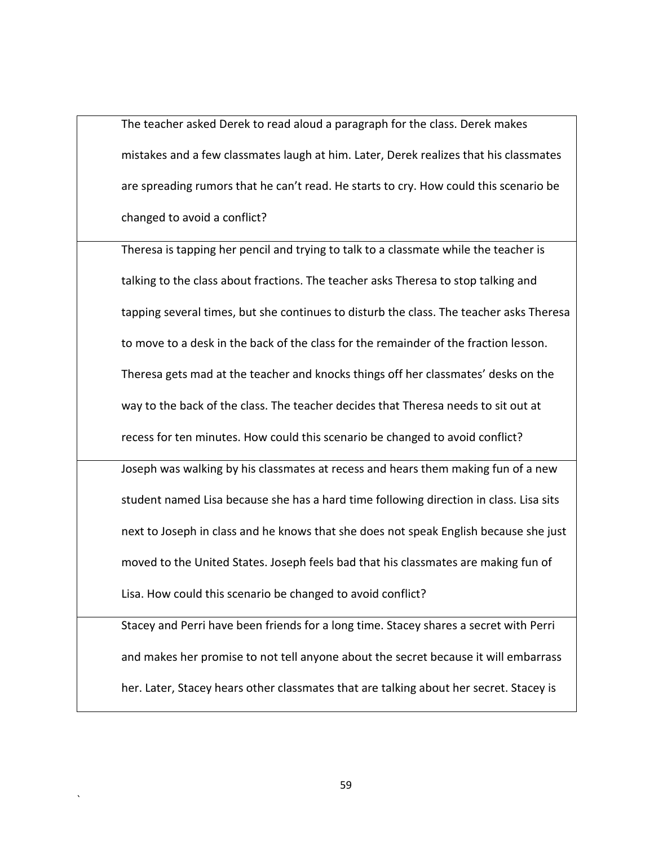The teacher asked Derek to read aloud a paragraph for the class. Derek makes mistakes and a few classmates laugh at him. Later, Derek realizes that his classmates are spreading rumors that he can't read. He starts to cry. How could this scenario be changed to avoid a conflict?

Theresa is tapping her pencil and trying to talk to a classmate while the teacher is talking to the class about fractions. The teacher asks Theresa to stop talking and tapping several times, but she continues to disturb the class. The teacher asks Theresa to move to a desk in the back of the class for the remainder of the fraction lesson. Theresa gets mad at the teacher and knocks things off her classmates' desks on the way to the back of the class. The teacher decides that Theresa needs to sit out at recess for ten minutes. How could this scenario be changed to avoid conflict?

Joseph was walking by his classmates at recess and hears them making fun of a new student named Lisa because she has a hard time following direction in class. Lisa sits next to Joseph in class and he knows that she does not speak English because she just moved to the United States. Joseph feels bad that his classmates are making fun of Lisa. How could this scenario be changed to avoid conflict?

Stacey and Perri have been friends for a long time. Stacey shares a secret with Perri and makes her promise to not tell anyone about the secret because it will embarrass her. Later, Stacey hears other classmates that are talking about her secret. Stacey is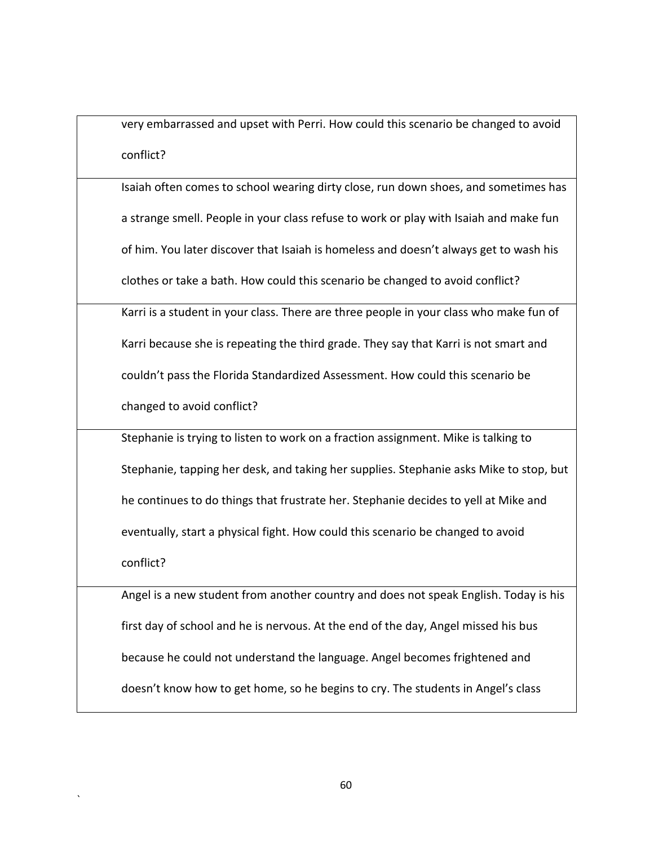very embarrassed and upset with Perri. How could this scenario be changed to avoid conflict?

Isaiah often comes to school wearing dirty close, run down shoes, and sometimes has a strange smell. People in your class refuse to work or play with Isaiah and make fun of him. You later discover that Isaiah is homeless and doesn't always get to wash his clothes or take a bath. How could this scenario be changed to avoid conflict?

Karri is a student in your class. There are three people in your class who make fun of Karri because she is repeating the third grade. They say that Karri is not smart and couldn't pass the Florida Standardized Assessment. How could this scenario be changed to avoid conflict?

Stephanie is trying to listen to work on a fraction assignment. Mike is talking to Stephanie, tapping her desk, and taking her supplies. Stephanie asks Mike to stop, but he continues to do things that frustrate her. Stephanie decides to yell at Mike and eventually, start a physical fight. How could this scenario be changed to avoid conflict?

Angel is a new student from another country and does not speak English. Today is his first day of school and he is nervous. At the end of the day, Angel missed his bus because he could not understand the language. Angel becomes frightened and doesn't know how to get home, so he begins to cry. The students in Angel's class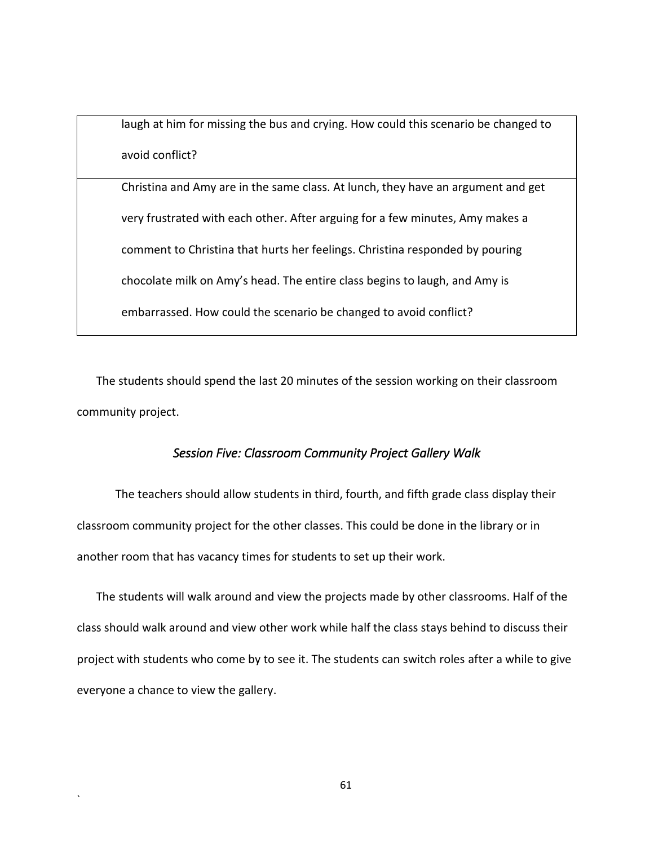laugh at him for missing the bus and crying. How could this scenario be changed to avoid conflict?

Christina and Amy are in the same class. At lunch, they have an argument and get very frustrated with each other. After arguing for a few minutes, Amy makes a comment to Christina that hurts her feelings. Christina responded by pouring chocolate milk on Amy's head. The entire class begins to laugh, and Amy is embarrassed. How could the scenario be changed to avoid conflict?

The students should spend the last 20 minutes of the session working on their classroom community project.

### *Session Five: Classroom Community Project Gallery Walk*

The teachers should allow students in third, fourth, and fifth grade class display their classroom community project for the other classes. This could be done in the library or in another room that has vacancy times for students to set up their work.

The students will walk around and view the projects made by other classrooms. Half of the class should walk around and view other work while half the class stays behind to discuss their project with students who come by to see it. The students can switch roles after a while to give everyone a chance to view the gallery.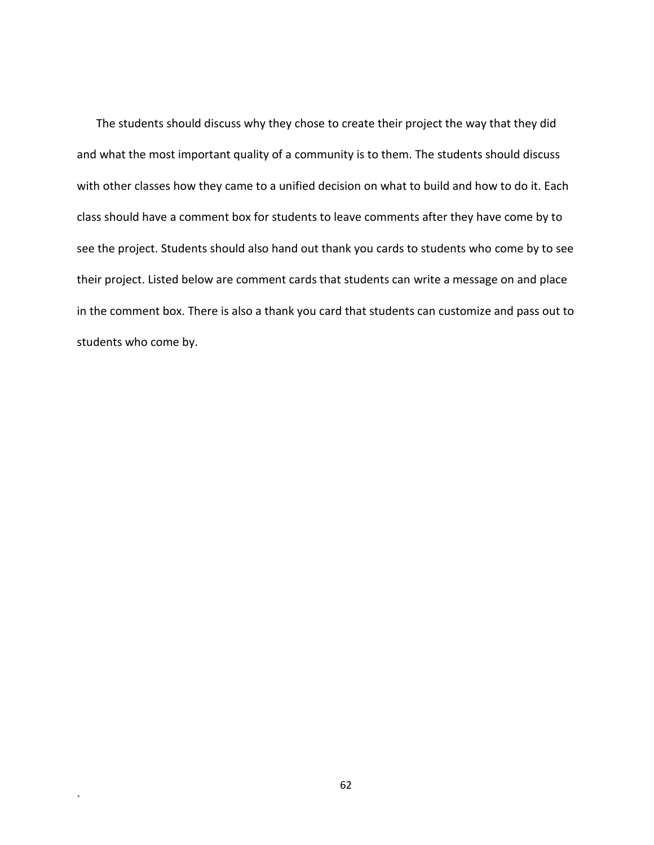The students should discuss why they chose to create their project the way that they did and what the most important quality of a community is to them. The students should discuss with other classes how they came to a unified decision on what to build and how to do it. Each class should have a comment box for students to leave comments after they have come by to see the project. Students should also hand out thank you cards to students who come by to see their project. Listed below are comment cards that students can write a message on and place in the comment box. There is also a thank you card that students can customize and pass out to students who come by.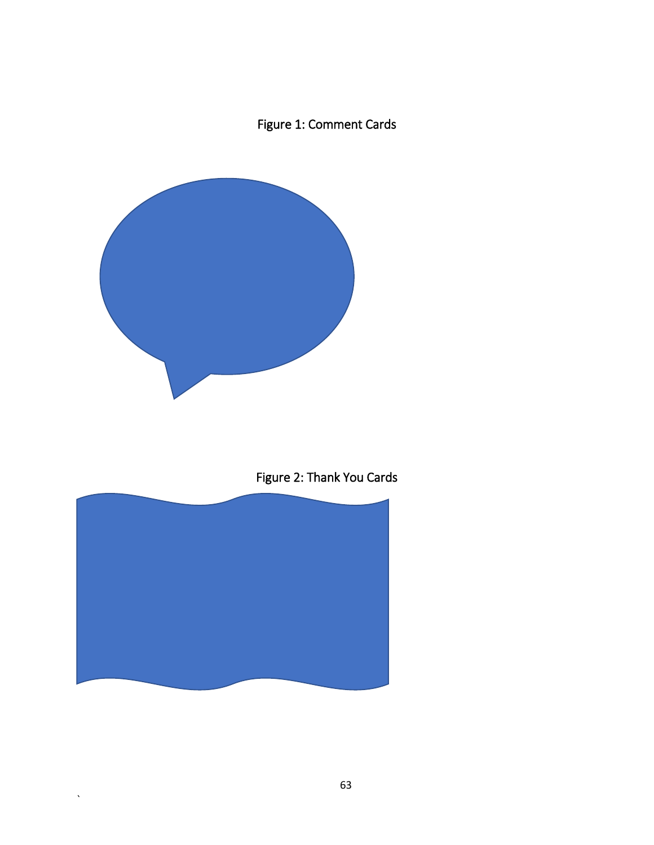## Figure 1: Comment Cards



Figure 2: Thank You Cards



 $\ddot{\phantom{0}}$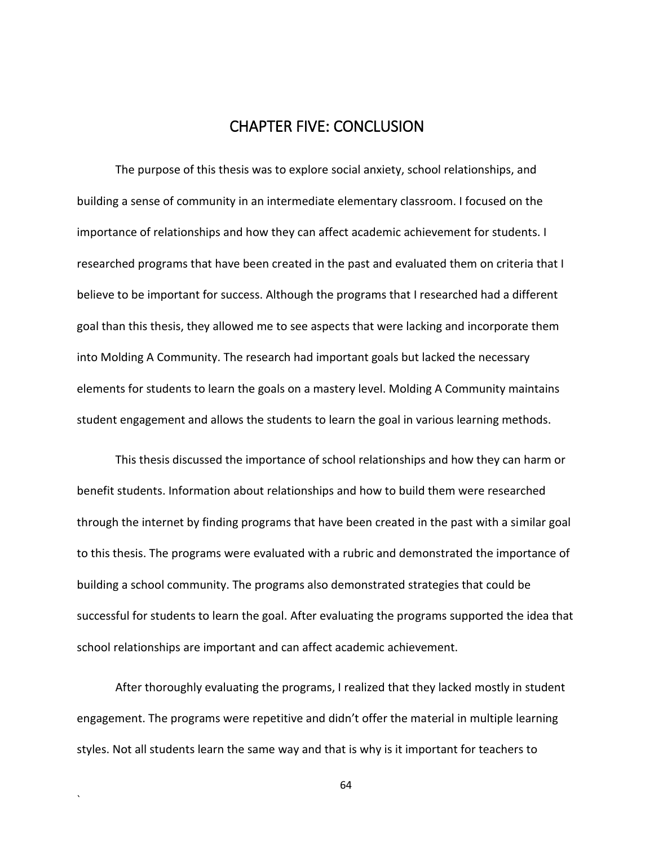## CHAPTER FIVE: CONCLUSION

The purpose of this thesis was to explore social anxiety, school relationships, and building a sense of community in an intermediate elementary classroom. I focused on the importance of relationships and how they can affect academic achievement for students. I researched programs that have been created in the past and evaluated them on criteria that I believe to be important for success. Although the programs that I researched had a different goal than this thesis, they allowed me to see aspects that were lacking and incorporate them into Molding A Community. The research had important goals but lacked the necessary elements for students to learn the goals on a mastery level. Molding A Community maintains student engagement and allows the students to learn the goal in various learning methods.

This thesis discussed the importance of school relationships and how they can harm or benefit students. Information about relationships and how to build them were researched through the internet by finding programs that have been created in the past with a similar goal to this thesis. The programs were evaluated with a rubric and demonstrated the importance of building a school community. The programs also demonstrated strategies that could be successful for students to learn the goal. After evaluating the programs supported the idea that school relationships are important and can affect academic achievement.

After thoroughly evaluating the programs, I realized that they lacked mostly in student engagement. The programs were repetitive and didn't offer the material in multiple learning styles. Not all students learn the same way and that is why is it important for teachers to

`

64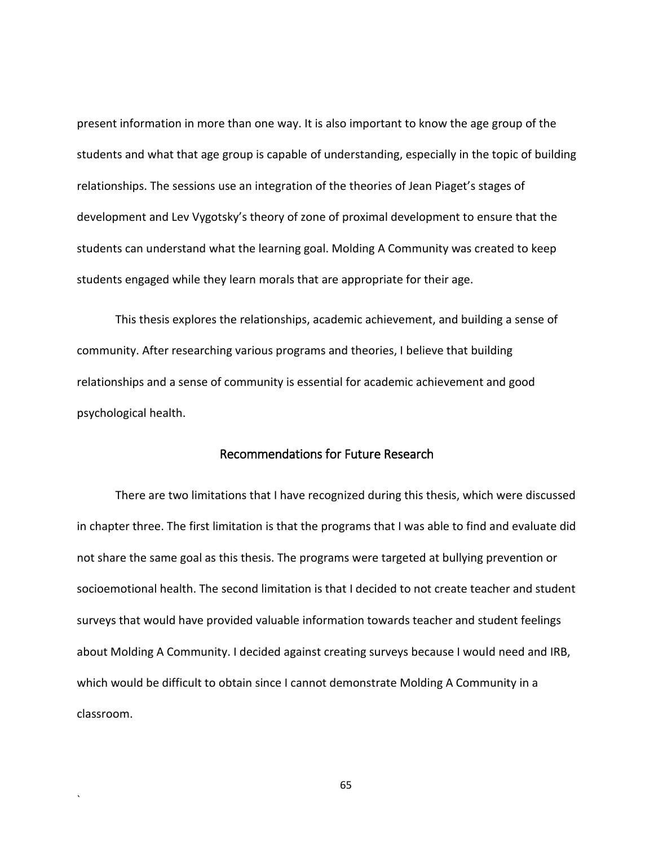present information in more than one way. It is also important to know the age group of the students and what that age group is capable of understanding, especially in the topic of building relationships. The sessions use an integration of the theories of Jean Piaget's stages of development and Lev Vygotsky's theory of zone of proximal development to ensure that the students can understand what the learning goal. Molding A Community was created to keep students engaged while they learn morals that are appropriate for their age.

This thesis explores the relationships, academic achievement, and building a sense of community. After researching various programs and theories, I believe that building relationships and a sense of community is essential for academic achievement and good psychological health.

## Recommendations for Future Research

There are two limitations that I have recognized during this thesis, which were discussed in chapter three. The first limitation is that the programs that I was able to find and evaluate did not share the same goal as this thesis. The programs were targeted at bullying prevention or socioemotional health. The second limitation is that I decided to not create teacher and student surveys that would have provided valuable information towards teacher and student feelings about Molding A Community. I decided against creating surveys because I would need and IRB, which would be difficult to obtain since I cannot demonstrate Molding A Community in a classroom.

65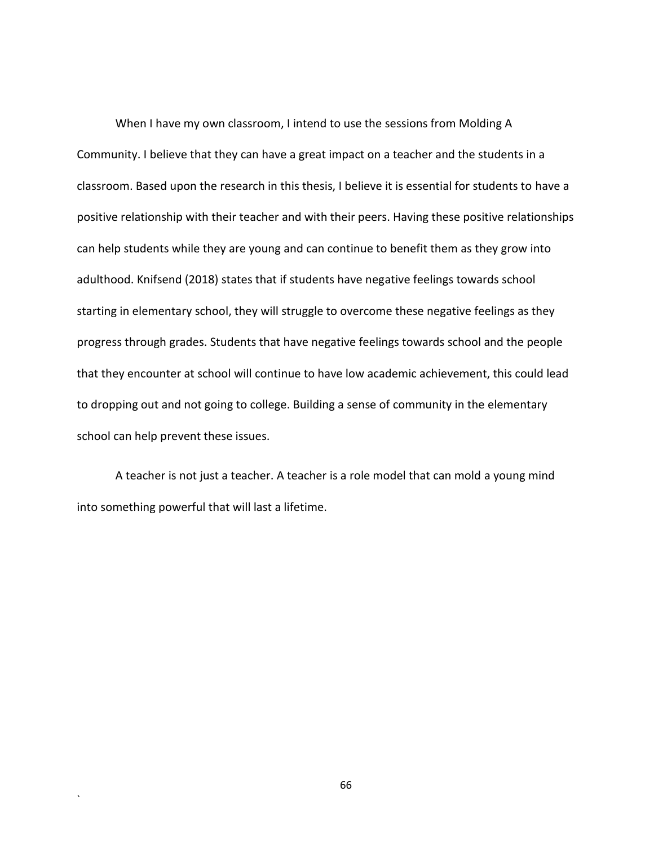When I have my own classroom, I intend to use the sessions from Molding A Community. I believe that they can have a great impact on a teacher and the students in a classroom. Based upon the research in this thesis, I believe it is essential for students to have a positive relationship with their teacher and with their peers. Having these positive relationships can help students while they are young and can continue to benefit them as they grow into adulthood. Knifsend (2018) states that if students have negative feelings towards school starting in elementary school, they will struggle to overcome these negative feelings as they progress through grades. Students that have negative feelings towards school and the people that they encounter at school will continue to have low academic achievement, this could lead to dropping out and not going to college. Building a sense of community in the elementary school can help prevent these issues.

A teacher is not just a teacher. A teacher is a role model that can mold a young mind into something powerful that will last a lifetime.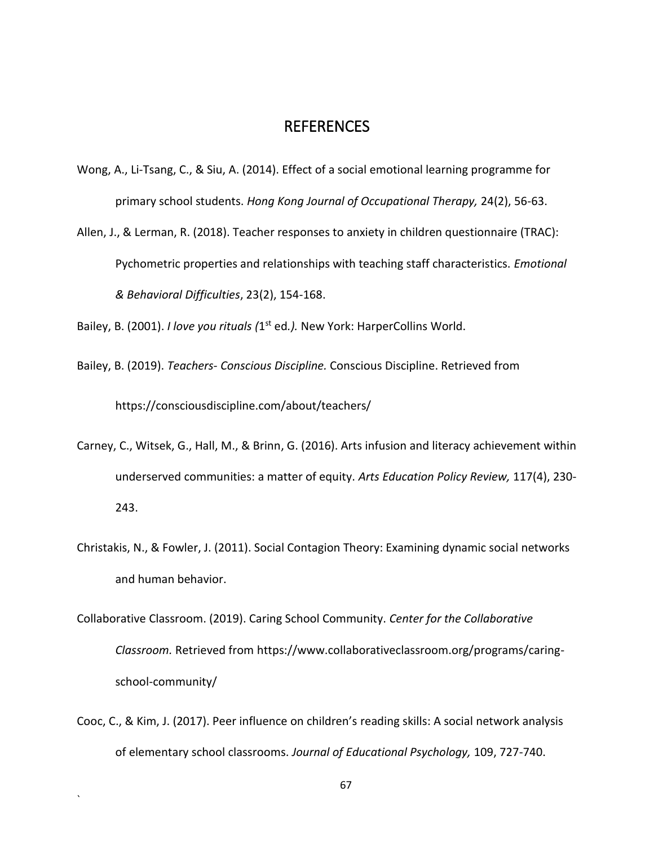## REFERENCES

- Wong, A., Li-Tsang, C., & Siu, A. (2014). Effect of a social emotional learning programme for primary school students. *Hong Kong Journal of Occupational Therapy,* 24(2), 56-63.
- Allen, J., & Lerman, R. (2018). Teacher responses to anxiety in children questionnaire (TRAC): Pychometric properties and relationships with teaching staff characteristics. *Emotional & Behavioral Difficulties*, 23(2), 154-168.

Bailey, B. (2001). *I love you rituals (*1<sup>st</sup> ed.). New York: HarperCollins World.

- Bailey, B. (2019). *Teachers- Conscious Discipline.* Conscious Discipline. Retrieved from https://consciousdiscipline.com/about/teachers/
- Carney, C., Witsek, G., Hall, M., & Brinn, G. (2016). Arts infusion and literacy achievement within underserved communities: a matter of equity. *Arts Education Policy Review,* 117(4), 230- 243.
- Christakis, N., & Fowler, J. (2011). Social Contagion Theory: Examining dynamic social networks and human behavior.
- Collaborative Classroom. (2019). Caring School Community. *Center for the Collaborative Classroom.* Retrieved from https://www.collaborativeclassroom.org/programs/caringschool-community/
- Cooc, C., & Kim, J. (2017). Peer influence on children's reading skills: A social network analysis of elementary school classrooms. *Journal of Educational Psychology,* 109, 727-740.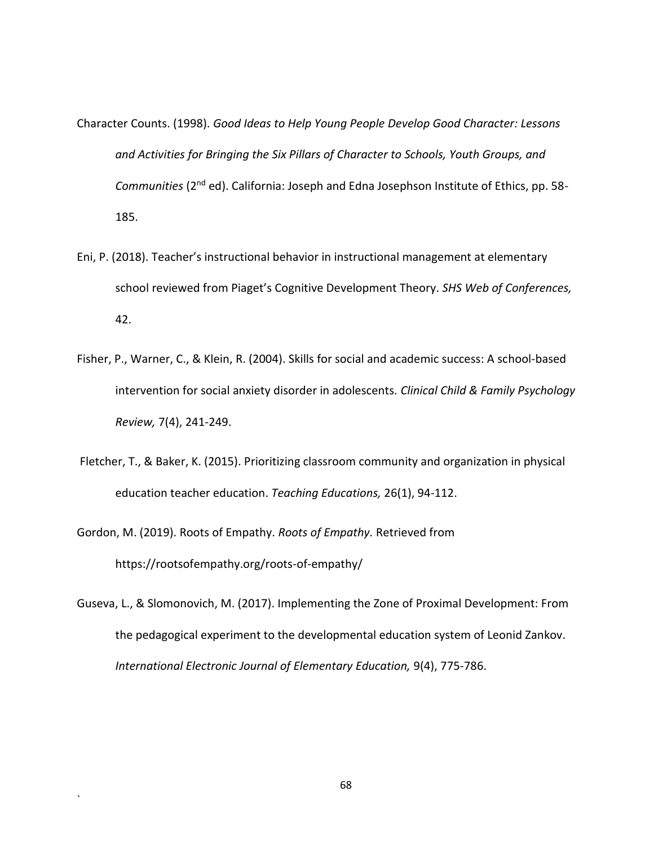Character Counts. (1998). *Good Ideas to Help Young People Develop Good Character: Lessons and Activities for Bringing the Six Pillars of Character to Schools, Youth Groups, and Communities* (2nd ed). California: Joseph and Edna Josephson Institute of Ethics, pp. 58- 185.

- Eni, P. (2018). Teacher's instructional behavior in instructional management at elementary school reviewed from Piaget's Cognitive Development Theory. *SHS Web of Conferences,*  42.
- Fisher, P., Warner, C., & Klein, R. (2004). Skills for social and academic success: A school-based intervention for social anxiety disorder in adolescents. *Clinical Child & Family Psychology Review,* 7(4), 241-249.
- Fletcher, T., & Baker, K. (2015). Prioritizing classroom community and organization in physical education teacher education. *Teaching Educations,* 26(1), 94-112.
- Gordon, M. (2019). Roots of Empathy. *Roots of Empathy.* Retrieved from https://rootsofempathy.org/roots-of-empathy/

`

Guseva, L., & Slomonovich, M. (2017). Implementing the Zone of Proximal Development: From the pedagogical experiment to the developmental education system of Leonid Zankov. *International Electronic Journal of Elementary Education,* 9(4), 775-786.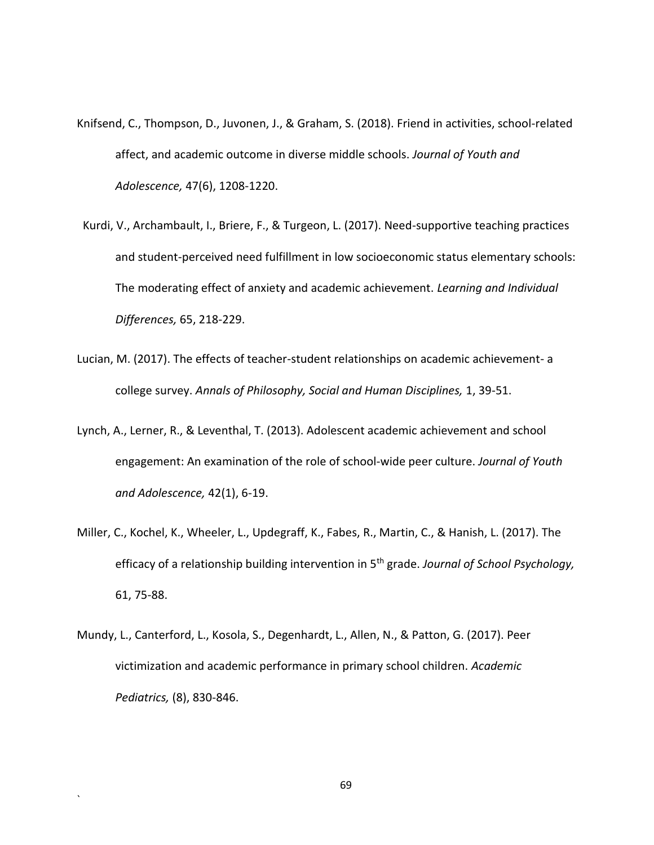- Knifsend, C., Thompson, D., Juvonen, J., & Graham, S. (2018). Friend in activities, school-related affect, and academic outcome in diverse middle schools. *Journal of Youth and Adolescence,* 47(6), 1208-1220.
- Kurdi, V., Archambault, I., Briere, F., & Turgeon, L. (2017). Need-supportive teaching practices and student-perceived need fulfillment in low socioeconomic status elementary schools: The moderating effect of anxiety and academic achievement. *Learning and Individual Differences,* 65, 218-229.
- Lucian, M. (2017). The effects of teacher-student relationships on academic achievement- a college survey. *Annals of Philosophy, Social and Human Disciplines,* 1, 39-51.
- Lynch, A., Lerner, R., & Leventhal, T. (2013). Adolescent academic achievement and school engagement: An examination of the role of school-wide peer culture. *Journal of Youth and Adolescence,* 42(1), 6-19.
- Miller, C., Kochel, K., Wheeler, L., Updegraff, K., Fabes, R., Martin, C., & Hanish, L. (2017). The efficacy of a relationship building intervention in 5th grade. *Journal of School Psychology,*  61, 75-88.
- Mundy, L., Canterford, L., Kosola, S., Degenhardt, L., Allen, N., & Patton, G. (2017). Peer victimization and academic performance in primary school children. *Academic Pediatrics,* (8), 830-846.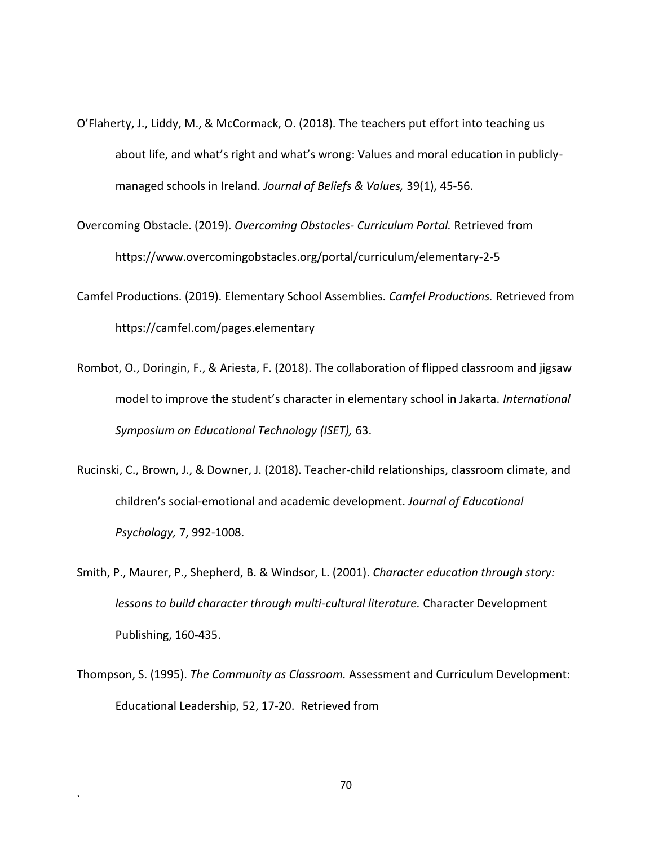- O'Flaherty, J., Liddy, M., & McCormack, O. (2018). The teachers put effort into teaching us about life, and what's right and what's wrong: Values and moral education in publiclymanaged schools in Ireland. *Journal of Beliefs & Values,* 39(1), 45-56.
- Overcoming Obstacle. (2019). *Overcoming Obstacles- Curriculum Portal.* Retrieved from https://www.overcomingobstacles.org/portal/curriculum/elementary-2-5
- Camfel Productions. (2019). Elementary School Assemblies. *Camfel Productions.* Retrieved from https://camfel.com/pages.elementary
- Rombot, O., Doringin, F., & Ariesta, F. (2018). The collaboration of flipped classroom and jigsaw model to improve the student's character in elementary school in Jakarta. *International Symposium on Educational Technology (ISET),* 63.
- Rucinski, C., Brown, J., & Downer, J. (2018). Teacher-child relationships, classroom climate, and children's social-emotional and academic development. *Journal of Educational Psychology,* 7, 992-1008.
- Smith, P., Maurer, P., Shepherd, B. & Windsor, L. (2001). *Character education through story: lessons to build character through multi-cultural literature.* Character Development Publishing, 160-435.
- Thompson, S. (1995). *The Community as Classroom.* Assessment and Curriculum Development: Educational Leadership, 52, 17-20. Retrieved from